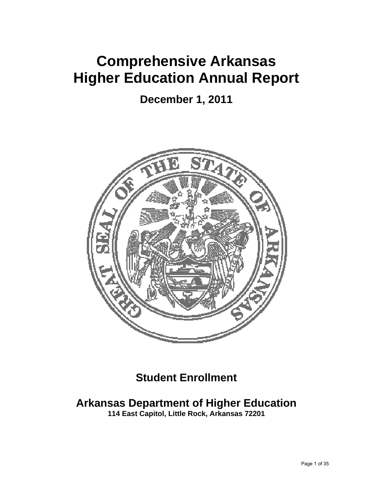# **Comprehensive Arkansas Higher Education Annual Report**

**December 1, 2011** 



**Student Enrollment** 

## **Arkansas Department of Higher Education**

**114 East Capitol, Little Rock, Arkansas 72201**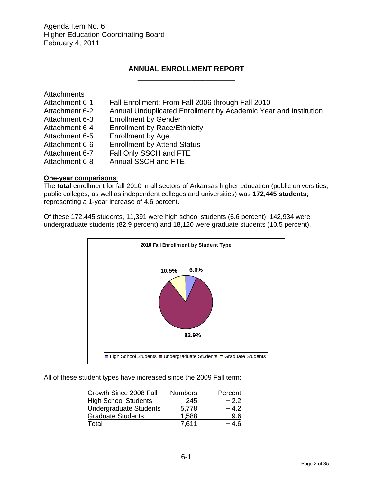Agenda Item No. 6 Higher Education Coordinating Board February 4, 2011

### **ANNUAL ENROLLMENT REPORT \_\_\_\_\_\_\_\_\_\_\_\_\_\_\_\_\_\_\_\_\_\_\_\_**

| Attachments    |                                                                 |
|----------------|-----------------------------------------------------------------|
| Attachment 6-1 | Fall Enrollment: From Fall 2006 through Fall 2010               |
| Attachment 6-2 | Annual Unduplicated Enrollment by Academic Year and Institution |
| Attachment 6-3 | <b>Enrollment by Gender</b>                                     |
| Attachment 6-4 | <b>Enrollment by Race/Ethnicity</b>                             |
| Attachment 6-5 | Enrollment by Age                                               |
| Attachment 6-6 | <b>Enrollment by Attend Status</b>                              |
| Attachment 6-7 | Fall Only SSCH and FTE                                          |
| Attachment 6-8 | Annual SSCH and FTE                                             |

### **One-year comparisons**:

The **total** enrollment for fall 2010 in all sectors of Arkansas higher education (public universities, public colleges, as well as independent colleges and universities) was **172,445 students**; representing a 1-year increase of 4.6 percent.

Of these 172.445 students, 11,391 were high school students (6.6 percent), 142,934 were undergraduate students (82.9 percent) and 18,120 were graduate students (10.5 percent).



All of these student types have increased since the 2009 Fall term:

| Growth Since 2008 Fall        | <b>Numbers</b> | Percent |
|-------------------------------|----------------|---------|
| <b>High School Students</b>   | 245            | $+2.2$  |
| <b>Undergraduate Students</b> | 5.778          | $+4.2$  |
| <b>Graduate Students</b>      | 1.588          | $+9.6$  |
| Total                         | 7,611          | + 4.6   |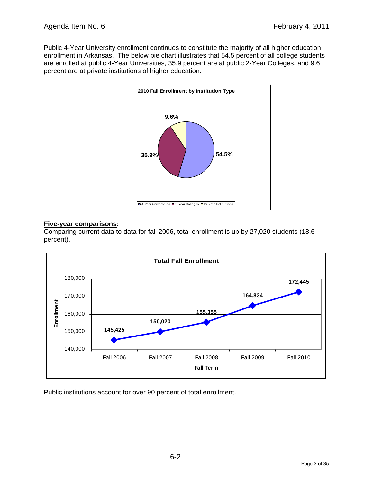Public 4-Year University enrollment continues to constitute the majority of all higher education enrollment in Arkansas. The below pie chart illustrates that 54.5 percent of all college students are enrolled at public 4-Year Universities, 35.9 percent are at public 2-Year Colleges, and 9.6 percent are at private institutions of higher education.



### **Five-year comparisons:**

Comparing current data to data for fall 2006, total enrollment is up by 27,020 students (18.6 percent).



Public institutions account for over 90 percent of total enrollment.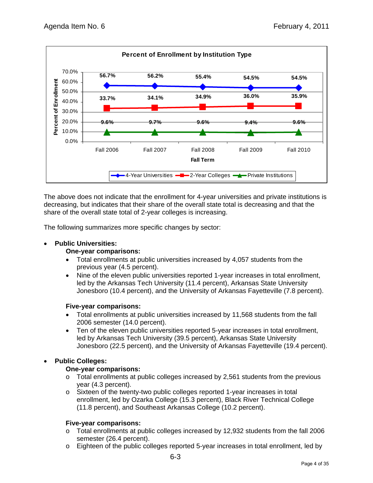

The above does not indicate that the enrollment for 4-year universities and private institutions is decreasing, but indicates that their share of the overall state total is decreasing and that the share of the overall state total of 2-year colleges is increasing.

The following summarizes more specific changes by sector:

### **Public Universities:**

### **One-year comparisons:**

- Total enrollments at public universities increased by 4,057 students from the previous year (4.5 percent).
- Nine of the eleven public universities reported 1-year increases in total enrollment, led by the Arkansas Tech University (11.4 percent), Arkansas State University Jonesboro (10.4 percent), and the University of Arkansas Fayetteville (7.8 percent).

### **Five-year comparisons:**

- Total enrollments at public universities increased by 11,568 students from the fall 2006 semester (14.0 percent).
- Ten of the eleven public universities reported 5-year increases in total enrollment, led by Arkansas Tech University (39.5 percent), Arkansas State University Jonesboro (22.5 percent), and the University of Arkansas Fayetteville (19.4 percent).

### **Public Colleges:**

### **One-year comparisons:**

- $\circ$  Total enrollments at public colleges increased by 2,561 students from the previous year (4.3 percent).
- o Sixteen of the twenty-two public colleges reported 1-year increases in total enrollment, led by Ozarka College (15.3 percent), Black River Technical College (11.8 percent), and Southeast Arkansas College (10.2 percent).

### **Five-year comparisons:**

- o Total enrollments at public colleges increased by 12,932 students from the fall 2006 semester (26.4 percent).
- o Eighteen of the public colleges reported 5-year increases in total enrollment, led by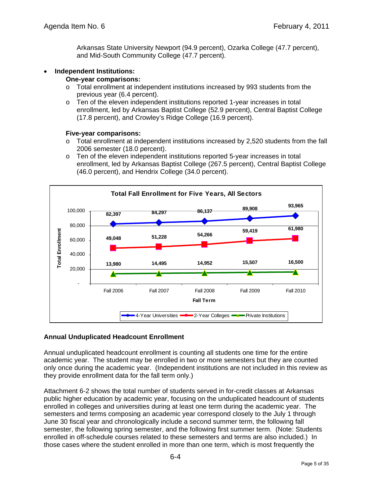Arkansas State University Newport (94.9 percent), Ozarka College (47.7 percent), and Mid-South Community College (47.7 percent).

### **Independent Institutions:**

### **One-year comparisons:**

- o Total enrollment at independent institutions increased by 993 students from the previous year (6.4 percent).
- o Ten of the eleven independent institutions reported 1-year increases in total enrollment, led by Arkansas Baptist College (52.9 percent), Central Baptist College (17.8 percent), and Crowley's Ridge College (16.9 percent).

### **Five-year comparisons:**

- o Total enrollment at independent institutions increased by 2,520 students from the fall 2006 semester (18.0 percent).
- o Ten of the eleven independent institutions reported 5-year increases in total enrollment, led by Arkansas Baptist College (267.5 percent), Central Baptist College (46.0 percent), and Hendrix College (34.0 percent).



### **Annual Unduplicated Headcount Enrollment**

Annual unduplicated headcount enrollment is counting all students one time for the entire academic year. The student may be enrolled in two or more semesters but they are counted only once during the academic year. (Independent institutions are not included in this review as they provide enrollment data for the fall term only.)

Attachment 6-2 shows the total number of students served in for-credit classes at Arkansas public higher education by academic year, focusing on the unduplicated headcount of students enrolled in colleges and universities during at least one term during the academic year. The semesters and terms composing an academic year correspond closely to the July 1 through June 30 fiscal year and chronologically include a second summer term, the following fall semester, the following spring semester, and the following first summer term. (Note: Students enrolled in off-schedule courses related to these semesters and terms are also included.) In those cases where the student enrolled in more than one term, which is most frequently the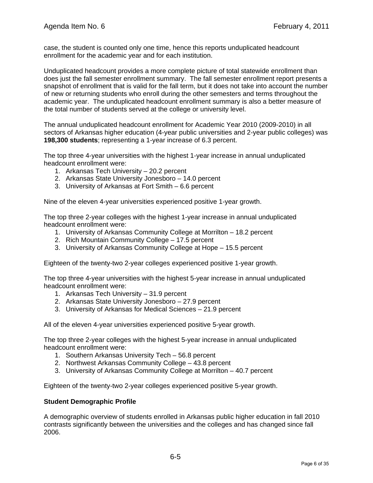case, the student is counted only one time, hence this reports unduplicated headcount enrollment for the academic year and for each institution.

Unduplicated headcount provides a more complete picture of total statewide enrollment than does just the fall semester enrollment summary. The fall semester enrollment report presents a snapshot of enrollment that is valid for the fall term, but it does not take into account the number of new or returning students who enroll during the other semesters and terms throughout the academic year. The unduplicated headcount enrollment summary is also a better measure of the total number of students served at the college or university level.

The annual unduplicated headcount enrollment for Academic Year 2010 (2009-2010) in all sectors of Arkansas higher education (4-year public universities and 2-year public colleges) was **198,300 students**; representing a 1-year increase of 6.3 percent.

The top three 4-year universities with the highest 1-year increase in annual unduplicated headcount enrollment were:

- 1. Arkansas Tech University 20.2 percent
- 2. Arkansas State University Jonesboro 14.0 percent
- 3. University of Arkansas at Fort Smith 6.6 percent

Nine of the eleven 4-year universities experienced positive 1-year growth.

The top three 2-year colleges with the highest 1-year increase in annual unduplicated headcount enrollment were:

- 1. University of Arkansas Community College at Morrilton 18.2 percent
- 2. Rich Mountain Community College 17.5 percent
- 3. University of Arkansas Community College at Hope 15.5 percent

Eighteen of the twenty-two 2-year colleges experienced positive 1-year growth.

The top three 4-year universities with the highest 5-year increase in annual unduplicated headcount enrollment were:

- 1. Arkansas Tech University 31.9 percent
- 2. Arkansas State University Jonesboro 27.9 percent
- 3. University of Arkansas for Medical Sciences 21.9 percent

All of the eleven 4-year universities experienced positive 5-year growth.

The top three 2-year colleges with the highest 5-year increase in annual unduplicated headcount enrollment were:

- 1. Southern Arkansas University Tech 56.8 percent
- 2. Northwest Arkansas Community College 43.8 percent
- 3. University of Arkansas Community College at Morrilton 40.7 percent

Eighteen of the twenty-two 2-year colleges experienced positive 5-year growth.

### **Student Demographic Profile**

A demographic overview of students enrolled in Arkansas public higher education in fall 2010 contrasts significantly between the universities and the colleges and has changed since fall 2006.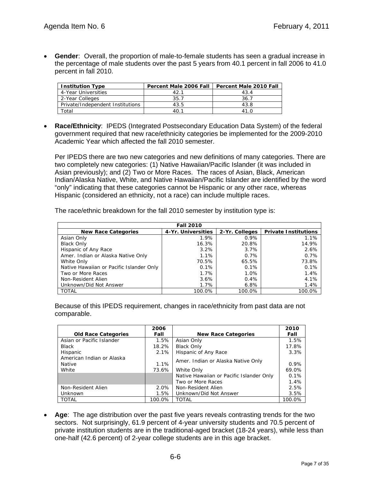**Gender**: Overall, the proportion of male-to-female students has seen a gradual increase in the percentage of male students over the past 5 years from 40.1 percent in fall 2006 to 41.0 percent in fall 2010.

| <b>Institution Type</b>          | Percent Male 2006 Fall | <b>Percent Male 2010 Fall</b> |  |  |  |
|----------------------------------|------------------------|-------------------------------|--|--|--|
| 4-Year Universities              | 42.1                   | 43.4                          |  |  |  |
| 2-Year Colleges                  | 35.7                   | 36.7                          |  |  |  |
| Private/Independent Institutions | 43.5                   | 43.8                          |  |  |  |
| Total                            | 40.1                   | 41.0                          |  |  |  |

 **Race/Ethnicity**: IPEDS (Integrated Postsecondary Education Data System) of the federal government required that new race/ethnicity categories be implemented for the 2009-2010 Academic Year which affected the fall 2010 semester.

Per IPEDS there are two new categories and new definitions of many categories. There are two completely new categories: (1) Native Hawaiian/Pacific Islander (it was included in Asian previously); and (2) Two or More Races. The races of Asian, Black, American Indian/Alaska Native, White, and Native Hawaiian/Pacific Islander are identified by the word "only" indicating that these categories cannot be Hispanic or any other race, whereas Hispanic (considered an ethnicity, not a race) can include multiple races.

| The race/ethnic breakdown for the fall 2010 semester by institution type is: |  |  |
|------------------------------------------------------------------------------|--|--|
|------------------------------------------------------------------------------|--|--|

| <b>Fall 2010</b>                         |                    |                |                             |  |  |  |  |  |  |  |
|------------------------------------------|--------------------|----------------|-----------------------------|--|--|--|--|--|--|--|
| <b>New Race Categories</b>               | 4-Yr. Universities | 2-Yr. Colleges | <b>Private Institutions</b> |  |  |  |  |  |  |  |
| Asian Only                               | 1.9%               | $0.9\%$        | 1.1%                        |  |  |  |  |  |  |  |
| <b>Black Only</b>                        | 16.3%              | 20.8%          | 14.9%                       |  |  |  |  |  |  |  |
| Hispanic of Any Race                     | 3.2%               | 3.7%           | 2.6%                        |  |  |  |  |  |  |  |
| Amer. Indian or Alaska Native Only       | 1.1%               | 0.7%           | 0.7%                        |  |  |  |  |  |  |  |
| White Only                               | 70.5%              | 65.5%          | 73.8%                       |  |  |  |  |  |  |  |
| Native Hawaiian or Pacific Islander Only | 0.1%               | 0.1%           | 0.1%                        |  |  |  |  |  |  |  |
| Two or More Races                        | 1.7%               | 1.0%           | 1.4%                        |  |  |  |  |  |  |  |
| Non-Resident Alien                       | 3.6%               | 0.4%           | 4.1%                        |  |  |  |  |  |  |  |
| Unknown/Did Not Answer                   | 1.7%               | 6.8%           | 1.4%                        |  |  |  |  |  |  |  |
| <b>TOTAL</b>                             | 100.0%             | 100.0%         | 100.0%                      |  |  |  |  |  |  |  |

Because of this IPEDS requirement, changes in race/ethnicity from past data are not comparable.

|                                            | 2006    |                                          | 2010   |
|--------------------------------------------|---------|------------------------------------------|--------|
| <b>Old Race Categories</b>                 | Fall    | <b>New Race Categories</b>               | Fall   |
| Asian or Pacific Islander                  | 1.5%    | Asian Only                               | 1.5%   |
| <b>Black</b>                               | 18.2%   | <b>Black Only</b>                        | 17.8%  |
| Hispanic                                   | $2.1\%$ | Hispanic of Any Race                     | 3.3%   |
| American Indian or Alaska<br><b>Native</b> | 1.1%    | Amer. Indian or Alaska Native Only       | 0.9%   |
| White                                      | 73.6%   | White Only                               | 69.0%  |
|                                            |         | Native Hawaiian or Pacific Islander Only | 0.1%   |
|                                            |         | Two or More Races                        | 1.4%   |
| Non-Resident Alien                         | 2.0%    | Non-Resident Alien                       | 2.5%   |
| Unknown                                    | 1.5%    | Unknown/Did Not Answer                   | 3.5%   |
| <b>TOTAL</b>                               | 100.0%  | <b>TOTAL</b>                             | 100.0% |

 **Age**: The age distribution over the past five years reveals contrasting trends for the two sectors. Not surprisingly, 61.9 percent of 4-year university students and 70.5 percent of private institution students are in the traditional-aged bracket (18-24 years), while less than one-half (42.6 percent) of 2-year college students are in this age bracket.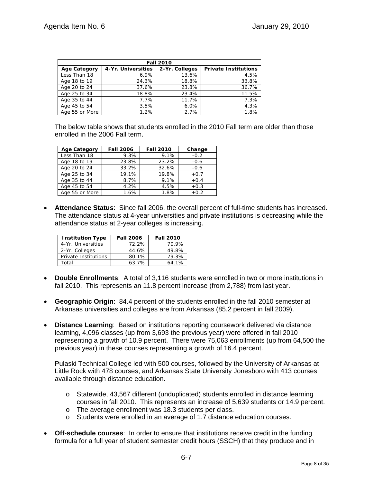|                     | <b>Fall 2010</b>   |                |                             |  |  |  |  |  |  |  |  |  |
|---------------------|--------------------|----------------|-----------------------------|--|--|--|--|--|--|--|--|--|
| <b>Age Category</b> | 4-Yr. Universities | 2-Yr. Colleges | <b>Private Institutions</b> |  |  |  |  |  |  |  |  |  |
| Less Than 18        | 6.9%               | 13.6%          | 4.5%                        |  |  |  |  |  |  |  |  |  |
| Age 18 to 19        | 24.3%              | 18.8%          | 33.8%                       |  |  |  |  |  |  |  |  |  |
| Age 20 to 24        | 37.6%              | 23.8%          | 36.7%                       |  |  |  |  |  |  |  |  |  |
| Age 25 to 34        | 18.8%              | 23.4%          | 11.5%                       |  |  |  |  |  |  |  |  |  |
| Age 35 to 44        | 7.7%               | 11.7%          | 7.3%                        |  |  |  |  |  |  |  |  |  |
| Age 45 to 54        | 3.5%               | 6.0%           | 4.3%                        |  |  |  |  |  |  |  |  |  |
| Age 55 or More      | 1.2%               | 2.7%           | 1.8%                        |  |  |  |  |  |  |  |  |  |

The below table shows that students enrolled in the 2010 Fall term are older than those enrolled in the 2006 Fall term.

| <b>Age Category</b> | <b>Fall 2006</b> | <b>Fall 2010</b> | Change |
|---------------------|------------------|------------------|--------|
| Less Than 18        | 9.3%             | 9.1%             | $-0.2$ |
| Age 18 to 19        | 23.8%            | 23.2%            | $-0.6$ |
| Age 20 to 24        | 33.2%            | 32.6%            | $-0.6$ |
| Age 25 to 34        | 19.1%            | 19.8%            | $+0.7$ |
| Age 35 to 44        | 8.7%             | 9.1%             | $+0.4$ |
| Age 45 to 54        | 4.2%             | 4.5%             | $+0.3$ |
| Age 55 or More      | 1.6%             | 1.8%             | $+0.2$ |

 **Attendance Status**: Since fall 2006, the overall percent of full-time students has increased. The attendance status at 4-year universities and private institutions is decreasing while the attendance status at 2-year colleges is increasing.

| <b>Institution Type</b> | <b>Fall 2006</b> | <b>Fall 2010</b> |
|-------------------------|------------------|------------------|
| 4-Yr. Universities      | 72.2%            | 70.9%            |
| 2-Yr. Colleges          | 44.6%            | 49.8%            |
| Private Institutions    | 80.1%            | 79.3%            |
| Total                   | 63.7%            | 64.1%            |

- **Double Enrollments**: A total of 3,116 students were enrolled in two or more institutions in fall 2010. This represents an 11.8 percent increase (from 2,788) from last year.
- **Geographic Origin**: 84.4 percent of the students enrolled in the fall 2010 semester at Arkansas universities and colleges are from Arkansas (85.2 percent in fall 2009).
- **Distance Learning**: Based on institutions reporting coursework delivered via distance learning, 4,096 classes (up from 3,693 the previous year) were offered in fall 2010 representing a growth of 10.9 percent. There were 75,063 enrollments (up from 64,500 the previous year) in these courses representing a growth of 16.4 percent.

Pulaski Technical College led with 500 courses, followed by the University of Arkansas at Little Rock with 478 courses, and Arkansas State University Jonesboro with 413 courses available through distance education.

- o Statewide, 43,567 different (unduplicated) students enrolled in distance learning courses in fall 2010. This represents an increase of 5,639 students or 14.9 percent.
- o The average enrollment was 18.3 students per class.
- o Students were enrolled in an average of 1.7 distance education courses.
- **Off-schedule courses**: In order to ensure that institutions receive credit in the funding formula for a full year of student semester credit hours (SSCH) that they produce and in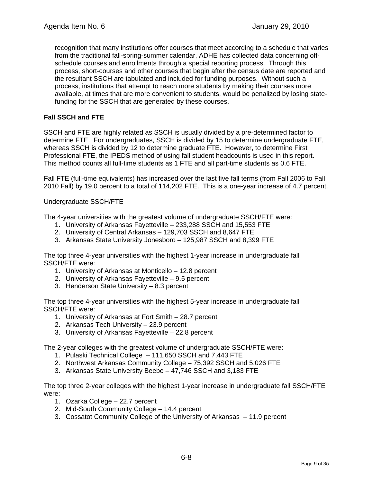recognition that many institutions offer courses that meet according to a schedule that varies from the traditional fall-spring-summer calendar, ADHE has collected data concerning offschedule courses and enrollments through a special reporting process. Through this process, short-courses and other courses that begin after the census date are reported and the resultant SSCH are tabulated and included for funding purposes. Without such a process, institutions that attempt to reach more students by making their courses more available, at times that are more convenient to students, would be penalized by losing statefunding for the SSCH that are generated by these courses.

### **Fall SSCH and FTE**

SSCH and FTE are highly related as SSCH is usually divided by a pre-determined factor to determine FTE. For undergraduates, SSCH is divided by 15 to determine undergraduate FTE, whereas SSCH is divided by 12 to determine graduate FTE. However, to determine First Professional FTE, the IPEDS method of using fall student headcounts is used in this report. This method counts all full-time students as 1 FTE and all part-time students as 0.6 FTE.

Fall FTE (full-time equivalents) has increased over the last five fall terms (from Fall 2006 to Fall 2010 Fall) by 19.0 percent to a total of 114,202 FTE. This is a one-year increase of 4.7 percent.

### Undergraduate SSCH/FTE

The 4-year universities with the greatest volume of undergraduate SSCH/FTE were:

- 1. University of Arkansas Fayetteville 233,288 SSCH and 15,553 FTE
- 2. University of Central Arkansas 129,703 SSCH and 8,647 FTE
- 3. Arkansas State University Jonesboro 125,987 SSCH and 8,399 FTE

The top three 4-year universities with the highest 1-year increase in undergraduate fall SSCH/FTE were:

- 1. University of Arkansas at Monticello 12.8 percent
- 2. University of Arkansas Fayetteville 9.5 percent
- 3. Henderson State University 8.3 percent

The top three 4-year universities with the highest 5-year increase in undergraduate fall SSCH/FTE were:

- 1. University of Arkansas at Fort Smith 28.7 percent
- 2. Arkansas Tech University 23.9 percent
- 3. University of Arkansas Fayetteville 22.8 percent

The 2-year colleges with the greatest volume of undergraduate SSCH/FTE were:

- 1. Pulaski Technical College 111,650 SSCH and 7,443 FTE
- 2. Northwest Arkansas Community College 75,392 SSCH and 5,026 FTE
- 3. Arkansas State University Beebe 47,746 SSCH and 3,183 FTE

The top three 2-year colleges with the highest 1-year increase in undergraduate fall SSCH/FTE were:

- 1. Ozarka College 22.7 percent
- 2. Mid-South Community College 14.4 percent
- 3. Cossatot Community College of the University of Arkansas 11.9 percent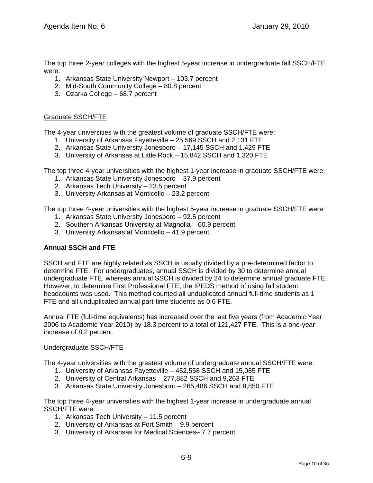The top three 2-year colleges with the highest 5-year increase in undergraduate fall SSCH/FTE were:

- 1. Arkansas State University Newport 103.7 percent
- 2. Mid-South Community College 80.8 percent
- 3. Ozarka College 68.7 percent

### Graduate SSCH/FTE

The 4-year universities with the greatest volume of graduate SSCH/FTE were:

- 1. University of Arkansas Fayetteville 25,569 SSCH and 2,131 FTE
- 2. Arkansas State University Jonesboro 17,145 SSCH and 1.429 FTE
- 3. University of Arkansas at Little Rock 15,842 SSCH and 1,320 FTE

The top three 4-year universities with the highest 1-year increase in graduate SSCH/FTE were:

- 1. Arkansas State University Jonesboro 37.9 percent
- 2. Arkansas Tech University 23.5 percent
- 3. University Arkansas at Monticello 23.2 percent

The top three 4-year universities with the highest 5-year increase in graduate SSCH/FTE were:

- 1. Arkansas State University Jonesboro 92.5 percent
- 2. Southern Arkansas University at Magnolia 60.9 percent
- 3. University Arkansas at Monticello 41.9 percent

### **Annual SSCH and FTE**

SSCH and FTE are highly related as SSCH is usually divided by a pre-determined factor to determine FTE. For undergraduates, annual SSCH is divided by 30 to determine annual undergraduate FTE, whereas annual SSCH is divided by 24 to determine annual graduate FTE. However, to determine First Professional FTE, the IPEDS method of using fall student headcounts was used. This method counted all unduplicated annual full-time students as 1 FTE and all unduplicated annual part-time students as 0.6 FTE.

Annual FTE (full-time equivalents) has increased over the last five years (from Academic Year 2006 to Academic Year 2010) by 18.3 percent to a total of 121,427 FTE. This is a one-year increase of 8.2 percent.

### Undergraduate SSCH/FTE

The 4-year universities with the greatest volume of undergraduate annual SSCH/FTE were:

- 1. University of Arkansas Fayetteville 452,558 SSCH and 15,085 FTE
- 2. University of Central Arkansas 277,882 SSCH and 9,263 FTE
- 3. Arkansas State University Jonesboro 265,486 SSCH and 8,850 FTE

The top three 4-year universities with the highest 1-year increase in undergraduate annual SSCH/FTE were:

- 1. Arkansas Tech University 11.5 percent
- 2. University of Arkansas at Fort Smith 9.9 percent
- 3. University of Arkansas for Medical Sciences– 7.7 percent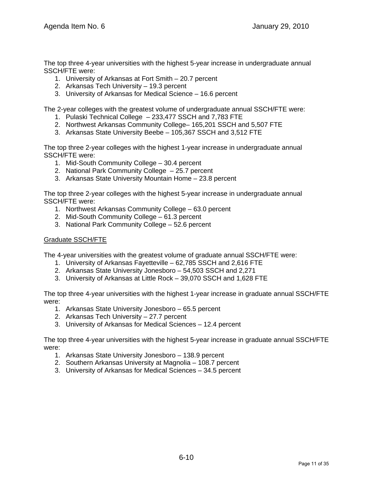The top three 4-year universities with the highest 5-year increase in undergraduate annual SSCH/FTE were:

- 1. University of Arkansas at Fort Smith 20.7 percent
- 2. Arkansas Tech University 19.3 percent
- 3. University of Arkansas for Medical Science 16.6 percent

The 2-year colleges with the greatest volume of undergraduate annual SSCH/FTE were:

- 1. Pulaski Technical College 233,477 SSCH and 7,783 FTE
- 2. Northwest Arkansas Community College– 165,201 SSCH and 5,507 FTE
- 3. Arkansas State University Beebe 105,367 SSCH and 3,512 FTE

The top three 2-year colleges with the highest 1-year increase in undergraduate annual SSCH/FTE were:

- 1. Mid-South Community College 30.4 percent
- 2. National Park Community College 25.7 percent
- 3. Arkansas State University Mountain Home 23.8 percent

The top three 2-year colleges with the highest 5-year increase in undergraduate annual SSCH/FTE were:

- 1. Northwest Arkansas Community College 63.0 percent
- 2. Mid-South Community College 61.3 percent
- 3. National Park Community College 52.6 percent

### Graduate SSCH/FTE

The 4-year universities with the greatest volume of graduate annual SSCH/FTE were:

- 1. University of Arkansas Fayetteville 62,785 SSCH and 2,616 FTE
- 2. Arkansas State University Jonesboro 54,503 SSCH and 2,271
- 3. University of Arkansas at Little Rock 39,070 SSCH and 1,628 FTE

The top three 4-year universities with the highest 1-year increase in graduate annual SSCH/FTE were:

- 1. Arkansas State University Jonesboro 65.5 percent
- 2. Arkansas Tech University 27.7 percent
- 3. University of Arkansas for Medical Sciences 12.4 percent

The top three 4-year universities with the highest 5-year increase in graduate annual SSCH/FTE were:

- 1. Arkansas State University Jonesboro 138.9 percent
- 2. Southern Arkansas University at Magnolia 108.7 percent
- 3. University of Arkansas for Medical Sciences 34.5 percent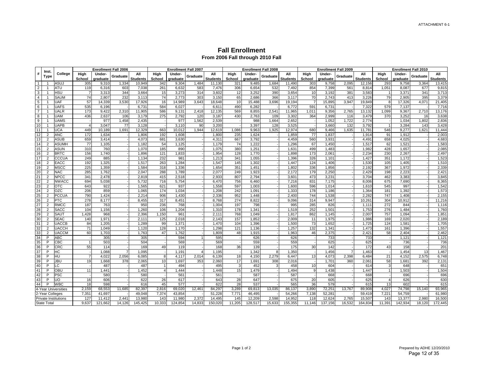#### **Fall Enrollment From 2006 Fall through 2010 Fall**

|                | Inst.                            |                      |                | <b>Enrollment Fall 2006</b> |                |                 |                | <b>Enrollment Fall 2007</b> |          |                        |                 | <b>Enrollment Fall 2008</b> |              |                        |                | <b>Enrollment Fall 2009</b> |                |                        |                | <b>Enrollment Fall 2010</b> |          |                        |
|----------------|----------------------------------|----------------------|----------------|-----------------------------|----------------|-----------------|----------------|-----------------------------|----------|------------------------|-----------------|-----------------------------|--------------|------------------------|----------------|-----------------------------|----------------|------------------------|----------------|-----------------------------|----------|------------------------|
| #              | Type                             | College              | High<br>School | <b>Under-</b><br>graduate   | Graduate       | All<br>Students | High<br>School | Under-<br>graduate          | Graduate | All<br><b>Students</b> | High<br>School  | Under-<br>graduate          | Graduate     | All<br><b>Students</b> | High<br>School | Under-<br>graduate          | Graduate       | All<br><b>Students</b> | High<br>School | Under-<br>graduate          | Graduate | All<br><b>Students</b> |
| 1              |                                  | ASUJ                 | 305            | 9,310                       | 1,334          | 10,949          | 342            | 9,304                       | 1,484    | 11,130                 | 321             | 9,485                       | 1,684        | 11,490                 | 303            | 9,758                       | 2,095          | 12,156                 | 293            | 9,758                       | 3,364    | 13,415                 |
| $\overline{2}$ |                                  | <b>ATU</b>           | 119            | 6,316                       | 603            | 7,038           | 261            | 6.632                       | 583      | 7,476                  | 306             | 6,654                       | 532          | 7,492                  | 854            | 7,399                       | 561            | 8,814                  | 1,051          | 8.087                       | 677      | 9,815                  |
| 3              |                                  | <b>HSU</b>           | $\overline{7}$ | 3,313                       | 344            | 3,664           | 15             | 3,273                       | 314      | 3,602                  | 12              | 3,252                       | 390          | 3,654                  | 10             | 3,192                       | 381            | 3,583                  | -1             | 3,371                       | 341      | 3,713                  |
| $\overline{4}$ |                                  | <b>SAUM</b>          | 74             | 2,807                       | 232            | 3,113           | 74             | 2,773                       | 303      | 3,150                  | 65              | 2,686                       | 366          | 3,117                  | 70             | 2,743                       | 413            | 3.226                  | 79             | 2,905                       | 395      | 3,379                  |
| 5              |                                  | <b>UAF</b>           | 57             | 14,339                      | 3,530          | 17,926          | 16             | 14,989                      | 3,643    | 18,648                 | 10 <sup>1</sup> | 15,488                      | 3,696        | 19,194                 | $\overline{7}$ | 15,895                      | 3,947          | 19,849                 | 8              | 17,326                      | 4,071    | 21,405                 |
| 6              |                                  | UAFS                 | 535            | 6,196                       |                | 6,731           | 584            | 6,027                       |          | 6,611                  | 490             | 6,282                       |              | 6,772                  | 591            | 6,731                       |                | 7,322                  | 579            | 7,137                       |          | 7,716                  |
| $\overline{7}$ |                                  | UALR                 | 173            | 9,422                       | 2,310          | 11,905          | 586            | 9,131                       | 2,418    | 12,135                 | 569             | 8,855                       | 2,541        | 11,965                 | 1,011          | 9,356                       | 2,765          | 13,132                 | 1,099          | 9,367                       | 2,710    | 13,176                 |
| 8              |                                  | UAM                  | 436            | 2,637                       | 106            | 3,179           | 275            | 2,792                       | 120      | 3,187                  | 430             | 2,763                       | 109          | 3,302                  | 364            | 2,999                       | 116            | 3,479                  | 370            | 3,252                       | 16       | 3,638                  |
| 9              |                                  | UAMS                 |                | 977                         | 1,458          | 2,435           |                | 977                         | 1,562    | 2,539                  |                 | 988                         | 1,664        | 2,652                  |                | 1,052                       | 1,722          | 2,774                  |                | 1,034                       | 1,802    | 2,836                  |
| 10             |                                  | UAPB                 |                | 3,047                       | 77             | 3,128           |                | 3,110                       | 90       | 3,200                  |                 | 3,397                       | 128          | 3,525                  |                | 3,660                       | 132            | 3,792                  |                | 3,284                       | 143      | 3,428                  |
| 11             |                                  | <b>JCA</b>           | 449            | 10,189                      | 1,691          | 12,329          | 663            | 10,012                      | 1,944    | 12,619                 | 1,086           | 9,963                       | 1,925        | 12,974                 | 680            | 9,466                       | 1,635          | 11,781                 | 546            | 9,277                       | 1,621    | 11,444                 |
| 12             | $\overline{2}$                   | <b>ANC</b>           | 172            | 1,634                       |                | 1,806           | 192            | 1,608                       |          | 1,800                  | 235             | 1,624                       |              | 1,859                  | 77             | 1,837                       |                | 1,914                  | 91             | 1,912                       |          | 2,003                  |
| 13             | $\overline{2}$                   | <b>ASUB</b>          | 659            | 3,414                       |                | 4,073           | 681            | 3,630                       |          | 4,311                  | 667             | 3,792                       |              | 4,459                  | 560            | 3,931                       |                | 4,491                  | 658            | 4,025                       |          | 4,683                  |
| 14             | $\overline{2}$                   | <b>ASUMH</b>         | 77             | 1,105                       |                | 1,182           | 54             | 1,125                       |          | 1,179                  | 74              | 1,222                       |              | 1,296                  | 67             | 1,450                       |                | 1,517                  | 62             | 1,521                       |          | 1,583                  |
| 15             | $\overline{2}$                   | <b>ASUN</b>          | 310            | 760                         |                | 1,070           | 185            | 890                         |          | 1,075                  | 380             | 1,251                       |              | 1,631                  | 499            | 1,483                       |                | 1,982                  | 428            | 1,657                       |          | 2,085                  |
| 16             | $\overline{2}$                   | <b>BRTC</b>          | 156            | 1,740                       |                | 1,896           | 121            | 1,833                       |          | 1,954                  | 128             | 1,770                       |              | 1,898                  | 173            | 2,061                       |                | 2,234                  | 230            | 2,267                       |          | 2,497                  |
| 17             | $\overline{2}$                   | CCCUA                | 249            | 885                         |                | 1.134           | 232            | 981                         |          | 1.213                  | 341             | 1,055                       |              | 1,396                  | 326            | 1,101                       |                | 1.427                  | 351            | 1.172                       |          | 1,523                  |
| 18             | $\overline{2}$                   | <b>EACC</b>          | 192            | 1,325                       |                | 1,517           | 263            | 1,284                       |          | 1,547                  | 145             | 1,302                       |              | 1,447                  | 124            | 1,406                       |                | 1,530                  | 105            | 1,405                       |          | 1,510                  |
| 19             | $\overline{2}$                   | <b>MSCC</b>          | 225            | 1,359                       |                | 1,584           | 318            | 1,336                       |          | 1,654                  | 351             | 1,451                       |              | 1,802                  | 336            | 1,856                       |                | 2.192                  | 367            | 1,972                       |          | 2,339                  |
| 20             | $\overline{2}$                   | NAC                  | 285            | 1,762                       |                | 2,047           | 288            | 1,789                       |          | 2,077                  | 249             | 1,923                       |              | 2,172                  | 179            | 2,250                       |                | 2,429                  | 198            | 2,223                       |          | 2,421                  |
| 21             | $\overline{2}$                   | NPCC                 | 341            | 2,478                       |                | 2,819           | 415            | 2,518                       |          | 2,933                  | 807             | 2,794                       |              | 3,601                  | 473            | 3,231                       |                | 3,704                  | 462            | 3,383                       |          | 3,845                  |
| 22             | $\overline{2}$                   | <b>NWACC</b>         | 694            | 5,038                       |                | 5,732           | 716<br>621     | 5,754                       |          | 6,470                  | 756<br>597      | 6,460                       |              | 7,216                  | 831            | 7,175                       |                | 8,006                  | 675            | 7,690                       |          | 8,365<br>1,542         |
| 23<br>24       | $\overline{2}$<br>$\overline{2}$ | <b>OTC</b><br>OZC    | 643            | 922<br>859                  |                | 1,565           | 174            | 937                         |          | 1,558                  |                 | 1,003                       |              | 1,600                  | 596            | 1,014                       |                | 1,610                  | 545            | 997<br>1,392                |          | 1,573                  |
| 25             | $\overline{2}$                   | PCCUA                | 206<br>790     | 1,424                       |                | 1,065<br>2,214  | 906            | 1,034<br>1,430              |          | 1,208<br>2,336         | 242<br>952      | 1,091<br>1,448              |              | 1,333<br>2,400         | 178<br>744     | 1,186<br>1,538              |                | 1,364<br>2,282         | 181<br>747     | 1,408                       |          | 2,155                  |
| 26             | $\overline{2}$                   | PTC                  | 278            | 8,177                       |                | 8,455           | 317            | 8,451                       |          | 8,768                  | 274             | 8,822                       |              | 9,096                  | 314            | 9,947                       |                | 10,261                 | 304            | 10,912                      |          |                        |
| 27             | $\overline{2}$                   | RMCC                 | 187            | 763                         |                | 950             | 236            | 768                         |          | 1,004                  | 197             | 798                         |              | 995                    | 285            | 826                         |                | 1,111                  | 272            | 844                         |          | 11,216<br>1,116        |
| 28             | $\overline{2}$                   | <b>SACC</b>          | 104            | 1,156                       |                | 1,260           | 106            | 1,204                       |          | 1,310                  | 178             | 1,341                       |              | 1,519                  | 252            | 1,501                       |                | 1,753                  | 276            | 1,484                       |          | 1,760                  |
| 29             | $\overline{2}$                   | SAUT                 | 1,428          | 968                         |                | 2,396           | 1,150          | 961                         |          | 2,111                  | 768             | 1,049                       |              | 1,817                  | 862            | 1,145                       |                | 2,007                  | 757            | 1,094                       |          | 1,851                  |
| 30             | $\overline{2}$                   | <b>SEAC</b>          | 140            | 1,971                       |                | 2,111           | 125            | 2,018                       |          | 2,143                  | 157             | 1,852                       |              | 2,009                  | 11             | 1,975                       |                | 1.986                  | 169            | 2,020                       |          | 2,189                  |
| 31             | $\overline{2}$                   | <b>UACCB</b>         | 84             | 1,205                       |                | 1,289           | 99             | 1,371                       |          | 1.470                  | 104             | 1,396                       |              | 1,500                  | 73             | 1,652                       |                | 1.725                  | 124            | 1.581                       |          | 1,705                  |
| 32             | $\overline{2}$                   | UACCH                | 71             | 1,049                       |                | 1,120           | 128            | 1,170                       |          | 1,298                  | 121             | 1,136                       |              | 1,257                  | 132            | 1,341                       |                | 1,473                  | 161            | 1,396                       |          | 1,557                  |
| 33             | $\overline{2}$                   | <b>JACCM</b>         | 60             | 1,703                       |                | 1,763           | 47             | 1,762                       |          | 1,809                  | 48              | 1,915                       |              | 1,963                  | 46             | 2,375                       |                | 2,421                  | 58             | 2,404                       |          | 2,462                  |
| 34             | P                                | ABC                  |                | 305                         |                | 305             |                | 594                         |          | 595                    |                 | 626                         |              | 626                    |                | 733                         |                | 733                    |                | 1,121                       |          | 1,121                  |
| 35             | P                                | СВС                  |                | 503                         |                | 504             |                | 569                         |          | 569                    |                 | 559                         |              | 559                    |                | 625                         |                | 625                    |                | 736                         |          | 736                    |
| 36             | P                                | CRC                  | 55             | 114                         |                | 169             | 49             | 119                         |          | 168                    | 36              | 139                         |              | 175                    | 30             | 142                         |                | 172                    | 43             | 158                         |          | 201                    |
| 37             | P                                | HС                   |                | 1,088                       | $\overline{7}$ | 1,095           |                | 1,191                       |          | 1,195                  |                 | 1,342                       | <sub>8</sub> | 1,350                  |                | 1,456                       | $\overline{7}$ | 1,463                  |                | 1,454                       | 13       | 1,467                  |
| 38             | P                                | HU                   |                | 4,022                       | 2,056          | 6,085           | 8              | 4.117                       | 2,014    | 6,139                  | 18              | 4,150                       | 2,279        | 6,447                  | 13             | 4,073                       | 2,398          | 6,484                  | 21             | 4,152                       | 2,575    | 6,748                  |
| 39             | P                                | JBU                  | 19             | 1,668                       | 378            | 2,065           | 10             | 1,697                       | 353      | 2,060                  | 17              | 1,691                       | 308          | 2,016                  |                | 1,701                       | 360            | 2,061                  | 58             | 1,681                       | 392      | 2,131                  |
| 40             | P                                | -C                   |                | 487                         |                | 487             | 1              | 494                         |          | 495                    | $\mathbf{3}$    | 452                         |              | 458                    | 10             | 604                         |                | 614                    | 3              | 648                         |          | 651                    |
| 41             | P                                | OBU                  | 11             | 1,441                       |                | 1,452           | $\overline{4}$ | 1.444                       |          | 1,448                  | 15              | 1,479                       |              | 1,494                  | 9              | 1,438                       |                | 1,447                  |                | 1,503                       |          | 1,504                  |
| 42             | P                                | <b>PSC</b>           |                | 580                         |                | 580             |                | 561                         |          | 561                    |                 | 587                         |              | 587                    |                | 668                         |                | 668                    |                | 696                         |          | 696                    |
| 43             | P                                | UO                   | 16             | 606                         |                | 622             | 26             | 617                         |          | 643                    | 28              | 647                         |              | 675                    | 20             | 605                         |                | 625                    |                | 626                         |          | 630                    |
| 44             | P                                | <b>WBC</b>           | 18             | 598                         |                | 616             | 45             | 577                         |          | 622                    | 28              | 537                         |              | 565                    | 36             | 579                         |                | 615                    | 13             | 602                         |          | 615                    |
|                |                                  | 4-Year Universities  | 2,159          | 68,553                      | 11,685         | 82,397          | 2,816          | 69,020                      | 12,461   | 84,297                 | 3,289           | 69,813                      | 13,035       | 86,137                 | 3,890          | 72,251                      | 13,767         | 89,908                 | 4,027          | 74,798                      | 15,140   | 93,965                 |
|                | 2-Year Colleges                  |                      | 7,351          | 41,697                      |                | 49,048          | 7,374          | 43,854                      |          | 51,228                 | 7,771           | 46,495                      |              | 54,266                 | 7,138          | 52,281                      |                | 59,419                 | 7,221          | 54,759                      |          | 61,980                 |
|                |                                  | Private Institutions | 127            | 11,412                      | 2,441          | 13,980          | 143            | 11,980                      | 2,372    | 14,495                 | 145             | 12,209                      | 2,598        | 14,952                 | 118            | 12,624                      | 2,765          | 15,507                 | 143            | 13,377                      | 2,980    | 16,500                 |
|                | <b>State Total</b>               |                      | 9,637          | 121,662                     | 14,126         | 145,425         | 10,333         | 124,854                     | 14,833   | 150,020                | 11,205          | 128,517                     | 15,633       | 155,355                | 11,146         | 137,156                     | 16,532         | 164,834                | 11,391         | 142,934                     | 18,120   | 172,445                |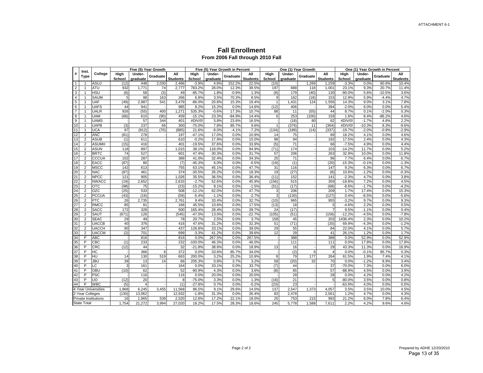#### **Fall Enrollment From 2006 Fall through 2010 Fall**

|                | Inst.                       |                     |                |                    | Five (5) Year Growth |                        |                |                    | Five (5) Year Growth in Percent |                        |                |                    | One (1) Year Growth |                        | One (1) Year Growth in Percent |                    |          |                        |
|----------------|-----------------------------|---------------------|----------------|--------------------|----------------------|------------------------|----------------|--------------------|---------------------------------|------------------------|----------------|--------------------|---------------------|------------------------|--------------------------------|--------------------|----------|------------------------|
| #              | Type                        | College             | High<br>School | Under-<br>graduate | Graduate             | All<br><b>Students</b> | High<br>School | Under-<br>graduate | Graduate                        | All<br><b>Students</b> | High<br>School | Under-<br>graduate | Graduate            | AII<br><b>Students</b> | High<br>School                 | Under-<br>graduate | Graduate | All<br><b>Students</b> |
| $\mathbf{1}$   | -1                          | ASUJ                | (12)           | 448                | 2,030                | 2,466                  | $-3.9%$        | 4.8%               | 152.2%                          | 22.5%                  | (10)           |                    | 1,269               | 1,259                  | $-3.3%$                        | 0.0%               | 60.6%    | 10.4%                  |
| $\overline{2}$ | -1                          | ATU                 | 932            | 1,771              | 74                   | 2,777                  | 783.2%         | 28.0%              | 12.3%                           | 39.5%                  | 197            | 688                | 116                 | 1,001                  | 23.1%                          | 9.3%               | 20.7%    | 11.4%                  |
| 3              | $\overline{1}$              | <b>HSU</b>          | (6)            | 58                 | (3)                  | 49                     | $-85.7%$       | 1.8%               | $-0.9%$                         | 1.3%                   | (9)            | 179                | (40)                | 130                    | $-90.0%$                       | 5.6%               | $-10.5%$ | 3.6%                   |
| 4              |                             | <b>SAUM</b>         | 5              | 98                 | 163                  | 266                    | 6.8%           | 3.5%               | 70.3%                           | 8.5%                   | 9              | 162                | (18)                | 153                    | 12.9%                          | 5.9%               | $-4.4%$  | 4.7%                   |
| 5              |                             | UAF                 | (49)           | 2,987              | 541                  | 3,479                  | $-86.0%$       | 20.8%              | 15.3%                           | 19.4%                  |                | 1,431              | 124                 | 1,556                  | 14.3%                          | 9.0%               | 3.1%     | 7.8%                   |
| 6              |                             | <b>UAFS</b>         | 44             | 941                |                      | 985                    | 8.2%           | 15.2%              | 0.0%                            | 14.6%                  | (12)           | 406                |                     | 394                    | $-2.0%$                        | 6.0%               | 0.0%     | 5.4%                   |
| $\overline{7}$ |                             | <b>UALR</b>         | 926            | (55)               | 400                  | 1,271                  | 535.3%         | $-0.6%$            | 17.3%                           | 10.7%                  | 88             | 11                 | (55)                | 44                     | 8.7%                           | 0.1%               | $-2.0%$  | 0.3%                   |
| 8              | $\overline{1}$              | <b>UAM</b>          | (66)           | 615                | (90)                 | 459                    | $-15.1%$       | 23.3%              | $-84.9%$                        | 14.4%                  | 6              | 253                | (100)               | 159                    | 1.6%                           | 8.4%               | $-86.2%$ | 4.6%                   |
| 9              | $\overline{1}$              | <b>UAMS</b>         |                | 57                 | 344                  | 401                    | #DIV/0!        | 5.8%               | 23.6%                           | 16.5%                  |                | (18)               | 80                  | 62                     | #DIV/0!                        | $-1.7%$            | 4.6%     | 2.2%                   |
| 10             | $\overline{1}$              | <b>UAPB</b>         | (3)            | 237                | 66                   | <b>300</b>             | $-75.0%$       | 7.8%               | 85.7%                           | 9.6%                   | $\mathbf{1}$   | (376)              | 11                  | (364)                  | #DIV/0!                        | $-10.3%$           | 8.3%     | $-9.6%$                |
| 11             | $\overline{1}$              | <b>UCA</b>          | 97             | (912)              | (70)                 | (885)                  | 21.6%          | $-9.0%$            | $-4.1%$                         | $-7.2%$                | (134)          | (189)              | (14)                | (337)                  | $-19.7%$                       | $-2.0%$            | $-0.9%$  | $-2.9%$                |
| 12             | $\overline{2}$              | <b>ANC</b>          | (81)           | 278                |                      | 197                    | $-47.1%$       | 17.0%              | 0.0%                            | 10.9%                  | 14             | 75                 |                     | 89                     | 18.2%                          | 4.1%               | 0.0%     | 4.6%                   |
| 13             | $\overline{2}$              | <b>ASUB</b>         | (1)            | 611                |                      | 61 <sub>C</sub>        | $-0.2%$        | 17.9%              | 0.0%                            | 15.0%                  | 98             | 94                 |                     | 192                    | 17.5%                          | 2.4%               | 0.0%     | 4.3%                   |
| 14             | $\overline{2}$              | <b>ASUMH</b>        | (15)           | 416                |                      | 401                    | $-19.5%$       | 37.6%              | 0.0%                            | 33.9%                  | (5)            | 71                 |                     | 66                     | $-7.5%$                        | 4.9%               | 0.0%     | 4.4%                   |
| 15             | $\overline{2}$              | <b>ASUN</b>         | 118            | 897                |                      | 1,015                  | 38.1%          | 118.0%             | 0.0%                            | 94.9%                  | (71)           | 174                |                     | 103                    | $-14.2%$                       | 11.7%              | 0.0%     | 5.2%                   |
| 16             | $\overline{2}$              | <b>BRTC</b>         | 74             | 527                |                      | 601                    | 47.4%          | 30.3%              | 0.0%                            | 31.7%                  | 57             | 206                |                     | 263                    | 32.9%                          | 10.0%              | 0.0%     | 11.8%                  |
| 17             | $\mathcal{P}$               | CCCUA               | 102            | 287                |                      | 389                    | 41.0%          | 32.4%              | 0.0%                            | 34.3%                  | 25             | 71                 |                     | 96                     | 7.7%                           | 6.4%               | 0.0%     | 6.7%                   |
| 18             | $\overline{2}$              | EACC                | (87)           | 80                 |                      | (7)                    | $-45.3%$       | 6.0%               | 0.0%                            | $-0.5%$                | (19)           | (1)                |                     | (20)                   | $-15.3%$                       | $-0.1%$            | 0.0%     | $-1.3%$                |
| 19             | 2                           | <b>MSCC</b>         | 142            | 613                |                      | 755                    | 63.1%          | 45.1%              | 0.0%                            | 47.7%                  | 31             | 116                |                     | 147                    | 9.2%                           | 6.3%               | 0.0%     | 6.7%                   |
| 20             | $\overline{2}$              | <b>NAC</b>          | (87)           | 461                |                      | 374                    | $-30.5%$       | 26.2%              | 0.0%                            | 18.3%                  | 19             | (27)               |                     | (8)                    | 10.6%                          | $-1.2%$            | 0.0%     | $-0.3%$                |
| 21             | $\overline{c}$              | <b>NPCC</b>         | 121            | 905                |                      | 1,026                  | 35.5%          | 36.5%              | 0.0%                            | 36.4%                  | (11)           | 152                |                     | 141                    | $-2.3%$                        | 4.7%               | 0.0%     | 3.8%                   |
| 22             | $\overline{c}$              | <b>NWACC</b>        | (19)           | 2,652              |                      | 2,633                  | $-2.7%$        | 52.6%              | 0.0%                            | 45.9%                  | (156)          | 515                |                     | 359                    | $-18.8%$                       | 7.2%               | 0.0%     | 4.5%                   |
| 23             | $\overline{2}$              | <b>OTC</b>          | (98)           | 75                 |                      | (23)                   | $-15.2%$       | 8.1%               | 0.0%                            | $-1.5%$                | (51)           | (17)               |                     | (68)                   | $-8.6%$                        | $-1.7%$            | 0.0%     | $-4.2%$                |
| 24             | $\mathcal{P}$               | OZC                 | (25)           | 533                |                      | 508                    | $-12.1%$       | 62.0%              | 0.0%                            | 47.7%                  | 3              | 206                |                     | 209                    | 1.7%                           | 17.4%              | 0.0%     | 15.3%                  |
| 25             | $\overline{2}$              | <b>PCCUA</b>        | (43)           | (16)               |                      | (59)                   | $-5.4%$        | $-1.1%$            | 0.0%                            | $-2.7%$                | 3              | (130)              |                     | (127)                  | 0.4%                           | $-8.5%$            | 0.0%     | $-5.6%$                |
| 26             | $\overline{2}$              | PTC                 | 26             | 2,735              |                      | 2,761                  | 9.4%           | 33.4%              | 0.0%                            | 32.7%                  | (10)           | 965                |                     | 955                    | $-3.2%$                        | 9.7%               | 0.0%     | 9.3%                   |
| 27             | $\overline{2}$              | <b>RMCC</b>         | 85             | 81                 |                      | 166                    | 45.5%          | 10.6%              | 0.0%                            | 17.5%                  | (13)           | 18                 |                     | 5                      | $-4.6%$                        | 2.2%               | 0.0%     | 0.5%                   |
| 28             | $\overline{2}$              | <b>SACC</b>         | 172            | 328                |                      | 500                    | 165.4%         | 28.4%              | 0.0%                            | 39.7%                  | 24             | (17)               |                     | 7                      | 9.5%                           | $-1.1%$            | 0.0%     | 0.4%                   |
| 29             | $\overline{2}$              | SAUT                | (671)          | 126                |                      | (545)                  | $-47.0%$       | 13.0%              | 0.0%                            | $-22.7%$               | (105)          | (51)               |                     | (156)                  | $-12.2%$                       | $-4.5%$            | 0.0%     | $-7.8%$                |
| 30             | $\overline{2}$              | <b>SEAC</b>         | 29             | 49                 |                      | 78                     | 20.7%          | 2.5%               | 0.0%                            | 3.7%                   | 158            | 45                 |                     | 203                    | 1436.4%                        | 2.3%               | 0.0%     | 10.2%                  |
| 31             | $\overline{2}$              | <b>UACCB</b>        | 40             | 376                |                      | 416                    | 47.6%          | 31.2%              | 0.0%                            | 32.3%                  | 51             | (71)               |                     | (20)                   | 69.9%                          | $-4.3%$            | 0.0%     | $-1.2%$                |
| 32             | $\overline{2}$              | <b>UACCH</b>        | 90             | 347                |                      | 437                    | 126.8%         | 33.1%              | 0.0%                            | 39.0%                  | 29             | 55                 |                     | 84                     | 22.0%                          | 4.1%               | 0.0%     | 5.7%                   |
| 33             | $\overline{2}$              | <b>UACCM</b>        | (2)            | 701                |                      | 699                    | $-3.3%$        | 41.2%              | 0.0%                            | 39.6%                  | 12             | 29                 |                     | 41                     | 26.1%                          | 1.2%               | 0.0%     | 1.7%                   |
| 34             | P                           | <b>ABC</b>          |                | 816                |                      | 816                    | 0.0%           | 267.5%             | 0.0%                            | 267.5%                 |                | 388                |                     | 388                    | 0.0%                           | 52.9%              | 0.0%     | 52.9%                  |
| 35             | P                           | CBC                 | (1)            | 233                |                      | 232                    | $-100.0%$      | 46.3%              | 0.0%                            | 46.0%                  |                | 111                |                     | 111                    | 0.0%                           | 17.8%              | 0.0%     | 17.8%                  |
| 36             | P                           | CRC                 | (12)           | 44                 |                      | 32                     | $-21.8%$       | 38.6%              | 0.0%                            | 18.9%                  | 13             | 16                 |                     | 29                     | 43.3%                          | 11.3%              | 0.0%     | 16.9%                  |
| 37             | P                           | НC                  |                | 366                | 6                    | 372                    | 0.0%           | 33.6%              | 85.7%                           | 34.0%                  |                | (2)                | 6                   | 4                      | 0.0%                           | $-0.1%$            | 85.7%    | 0.3%                   |
| 38             | P                           | HU                  | 14             | 130                | 519                  | 663                    | 200.0%         | 3.2%               | 25.2%                           | 10.9%                  | 8              | 79                 | 177                 | 264                    | 61.5%                          | 1.9%               | 7.4%     | 4.1%                   |
| 39             | P                           | <b>JBU</b>          | 39             | 13                 | 14                   | 66                     | 205.3%         | 0.8%               | 3.7%                            | 3.2%                   | 58             | (20)               | 32                  | 70                     | 0.0%                           | $-1.2%$            | 8.9%     | 3.4%                   |
| 40             | P                           | -C                  | 3              | 161                |                      | 164                    | 0.0%           | 33.1%              | 0.0%                            | 33.7%                  | (7)            | 44                 |                     | 37                     | $-70.0%$                       | 7.3%               | 0.0%     | 6.0%                   |
| 41             | P                           | OBU                 | (10)           | 62                 |                      | 52                     | $-90.9%$       | 4.3%               | 0.0%                            | 3.6%                   | (8)            | 65                 |                     | 57                     | $-88.9%$                       | 4.5%               | 0.0%     | 3.9%                   |
| 42             | P                           | PSC                 |                | 116                |                      | 116                    | 0.0%           | 20.0%              | 0.0%                            | 20.0%                  |                | 28                 |                     | 28                     | 0.0%                           | 4.2%               | 0.0%     | 4.2%                   |
| 43             | P                           | UO                  | (12)           | 20                 |                      | 8                      | $-75.0%$       | 3.3%               | 0.0%                            | 1.3%                   | (16)           | 21                 |                     | 5                      | $-80.0%$                       | 3.5%               | 0.0%     | 0.8%                   |
| 44             | P                           | <b>WBC</b>          | (5)            | $\overline{4}$     |                      | (1)                    | $-27.8%$       | 0.7%               | 0.0%                            | $-0.2%$                | (23)           | 23                 |                     |                        | $-63.9%$                       | 4.0%               | 0.0%     | 0.0%                   |
|                |                             | 4-Year Universities | 1,868          | 6.245              | 3,455                | 11,568                 | 86.5%          | 9.1%               | 29.6%                           | 14.0%                  | 137            | 2.547              | 1,373               | 4.057                  | 3.5%                           | 3.5%               | 10.0%    | 4.5%                   |
|                | 2-Year Colleges             |                     | (130)          | 13,062             |                      | 12,932                 | $-1.8%$        | 31.3%              | 0.0%                            | 26.4%                  | 83             | 2.478              |                     | 2.561                  | 1.2%                           | 4.7%               | 0.0%     | 4.3%                   |
|                | <b>Private Institutions</b> |                     | 16             | 1,965              | 539                  | 2,520                  | 12.6%          | 17.2%              | 22.1%                           | 18.0%                  | 25             | 753                | 215                 | 993                    | 21.2%                          | 6.0%               | 7.8%     | 6.4%                   |
|                | <b>State Total</b>          |                     | 1,754          | 21,272             | 3.994                | 27,020                 | 18.2%          | 17.5%              | 28.3%                           | 18.6%                  | 245            | 5,778              | 1.588               | 7,611                  | 2.2%                           | 4.2%               | 9.6%     | 4.6%                   |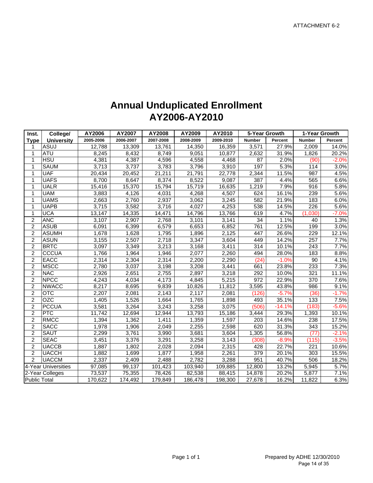## **Annual Unduplicated Enrollment AY2006-AY2010**

| Inst.               | College/            | AY2006    | AY2007    | AY2008    | AY2009    | AY2010    | 5-Year Growth |          | 1-Year Growth      |         |
|---------------------|---------------------|-----------|-----------|-----------|-----------|-----------|---------------|----------|--------------------|---------|
| Type                | <b>University</b>   | 2005-2006 | 2006-2007 | 2007-2008 | 2008-2009 | 2009-2010 | <b>Number</b> | Percent  | <b>Number</b>      | Percent |
| 1                   | <b>ASUJ</b>         | 12,788    | 13,309    | 13,761    | 14,350    | 16,359    | 3,571         | 27.9%    | 2,009              | 14.0%   |
| 1                   | ATU                 | 8,245     | 8,432     | 8,749     | 9,051     | 10,877    | 2,632         | 31.9%    | 1,826              | 20.2%   |
| 1                   | H SU                | 4,381     | 4,387     | 4,596     | 4,558     | 4,468     | 87            | 2.0%     | (90)               | $-2.0%$ |
| 1                   | <b>SAUM</b>         | 3,713     | 3,737     | 3,783     | 3,796     | 3,910     | 197           | 5.3%     | 114                | 3.0%    |
| 1                   | <b>UAF</b>          | 20,434    | 20,452    | 21,211    | 21,791    | 22,778    | 2,344         | 11.5%    | 987                | 4.5%    |
| 1                   | <b>UAFS</b>         | 8,700     | 8,647     | 8,374     | 8,522     | 9,087     | 387           | 4.4%     | 565                | 6.6%    |
| 1                   | <b>UALR</b>         | 15,416    | 15,370    | 15,794    | 15,719    | 16,635    | 1,219         | 7.9%     | 916                | 5.8%    |
| 1                   | <b>UAM</b>          | 3,883     | 4,126     | 4,031     | 4,268     | 4,507     | 624           | 16.1%    | 239                | 5.6%    |
| 1                   | <b>UAMS</b>         | 2,663     | 2,760     | 2,937     | 3,062     | 3,245     | 582           | 21.9%    | 183                | 6.0%    |
| 1                   | <b>UAPB</b>         | 3,715     | 3,582     | 3,716     | 4,027     | 4,253     | 538           | 14.5%    | 226                | 5.6%    |
| 1                   | <b>UCA</b>          | 13,147    | 14,335    | 14,471    | 14,796    | 13,766    | 619           | 4.7%     | (1,030)            | $-7.0%$ |
| 2                   | <b>ANC</b>          | 3,107     | 2,907     | 2,768     | 3,101     | 3,141     | 34            | 1.1%     | 40                 | 1.3%    |
| 2                   | <b>ASUB</b>         | 6,091     | 6,399     | 6,579     | 6,653     | 6,852     | 761           | 12.5%    | 199                | 3.0%    |
| $\overline{c}$      | <b>ASUMH</b>        | 1,678     | 1,628     | 1,795     | 1,896     | 2,125     | 447           | 26.6%    | 229                | 12.1%   |
| $\overline{c}$      | <b>ASUN</b>         | 3,155     | 2,507     | 2,718     | 3,347     | 3,604     | 449           | 14.2%    | 257                | 7.7%    |
| 2                   | <b>BRTC</b>         | 3,097     | 3,349     | 3,213     | 3,168     | 3,411     | 314           | 10.1%    | 243                | 7.7%    |
| 2                   | <b>CCCUA</b>        | 1,766     | 1,964     | 1,946     | 2,077     | 2,260     | 494           | 28.0%    | 183                | 8.8%    |
| $\overline{c}$      | <b>EACC</b>         | 2,314     | 2,304     | 2,314     | 2,200     | 2,290     | (24)          | $-1.0%$  | 90                 | 4.1%    |
| $\boldsymbol{2}$    | <b>MSCC</b>         | 2,780     | 3,037     | 3,198     | 3,208     | 3,441     | 661           | 23.8%    | 233                | 7.3%    |
| $\overline{2}$      | <b>NAC</b>          | 2,926     | 2,651     | 2,755     | 2,897     | 3,218     | 292           | 10.0%    | 321                | 11.1%   |
| $\overline{2}$      | <b>NPCC</b>         | 4,243     | 4,034     | 4,173     | 4,845     | 5,215     | 972           | 22.9%    | 370                | 7.6%    |
| $\overline{c}$      | <b>NWACC</b>        | 8,217     | 8,695     | 9,839     | 10,826    | 11,812    | 3,595         | 43.8%    | 986                | 9.1%    |
| $\overline{c}$      | <b>OTC</b>          | 2,207     | 2,081     | 2,143     | 2,117     | 2,081     | (126)         | $-5.7%$  | (36)               | $-1.7%$ |
| $\overline{2}$      | OZC                 | 1,405     | 1,526     | 1,664     | 1,765     | 1,898     | 493           | 35.1%    | 133                | 7.5%    |
| $\overline{2}$      | <b>PCCUA</b>        | 3,581     | 3,264     | 3,243     | 3,258     | 3,075     | (506)         | $-14.1%$ | (183)              | $-5.6%$ |
| $\overline{2}$      | PTC                 | 11,742    | 12,694    | 12,944    | 13,793    | 15,186    | 3,444         | 29.3%    | 1,393              | 10.1%   |
| $\overline{2}$      | <b>RMCC</b>         | 1,394     | 1,362     | 1,411     | 1,359     | 1,597     | 203           | 14.6%    | 238                | 17.5%   |
| $\overline{c}$      | <b>SACC</b>         | 1,978     | 1,906     | 2,049     | 2,255     | 2,598     | 620           | 31.3%    | 343                | 15.2%   |
| $\overline{c}$      | SAUT                | 2,299     | 3,761     | 3,990     | 3,681     | 3,604     | 1,305         | 56.8%    | (77)               | $-2.1%$ |
| $\overline{2}$      | <b>SEAC</b>         | 3,451     | 3,376     | 3,291     | 3,258     | 3,143     | (308)         | $-8.9%$  | (115)              | $-3.5%$ |
| $\overline{c}$      | <b>UACCB</b>        | 1,887     | 1,802     | 2,028     | 2,094     | 2,315     | 428           | 22.7%    | 221                | 10.6%   |
| $\overline{c}$      | <b>UACCH</b>        | 1,882     | 1,699     | 1,877     | 1,958     | 2,261     | 379           | 20.1%    | 303                | 15.5%   |
| $\overline{2}$      | <b>UACCM</b>        | 2,337     | 2,409     | 2,488     | 2,782     | 3,288     | 951           | 40.7%    | 506                | 18.2%   |
|                     | 4-Year Universities | 97,085    | 99,137    | 101,423   | 103,940   | 109,885   | 12,800        | 13.2%    | $\overline{5,945}$ | 5.7%    |
|                     | 2-Year Colleges     | 73,537    | 75,355    | 78,426    | 82,538    | 88,415    | 14,878        | 20.2%    | 5,877              | 7.1%    |
| <b>Public Total</b> |                     | 170,622   | 174,492   | 179,849   | 186,478   | 198,300   | 27,678        | 16.2%    | 11,822             | 6.3%    |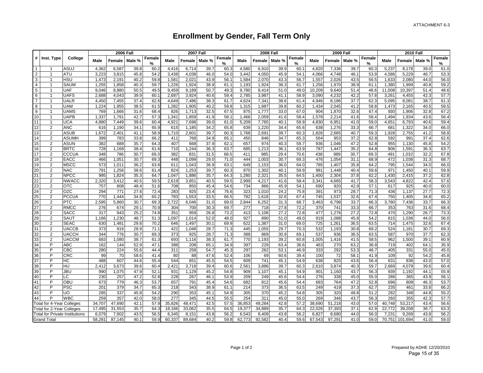## **Enrollment by Gender, Fall Term Only**

|                |                                       |              |        | <b>2006 Fall</b> |        |             |        | <b>2007 Fall</b> |        |             |        |        | <b>2008 Fall</b> |                    |        |        | <b>2009 Fall</b> |             |             | <b>2010 Fall</b> |        |             |
|----------------|---------------------------------------|--------------|--------|------------------|--------|-------------|--------|------------------|--------|-------------|--------|--------|------------------|--------------------|--------|--------|------------------|-------------|-------------|------------------|--------|-------------|
|                | # Inst. Type                          | College      | Male   | Female           | Male % | Female<br>℅ | Male   | Female           | Male % | Female<br>% | Male   | Female | Male %           | <b>Female</b><br>% | Male   | Female | Male %           | Female<br>% | <b>Male</b> | Female           | Male % | Female<br>℅ |
| $\mathbf{1}$   |                                       | ASUJ         | 4,362  | 6,587            | 39.8   | 60.2        | 4,416  | 6,714            | 39.7   | 60.3        | 4,580  | 6,910  | 39.9             | 60.                | 4,820  | 7,336  | 39.7             | 60.3        | 5,237       | 8,178            | 39.0   | 61.0        |
| $\overline{2}$ | $\mathbf{1}$                          | <b>ATU</b>   | 3,223  | 3,815            | 45.8   | 54.2        | 3,438  | 4,038            | 46.0   | 54.0        | 3,442  | 4,050  | 45.9             | 54.7               | 4,066  | 4,748  | 46.1             | 53.9        | 4,586       | 5,229            | 46.7   | 53.3        |
| 3              | $\mathbf{1}$                          | <b>HSU</b>   | 1,473  | 2,191            | 40.2   | 59.8        | 1,581  | 2,021            | 43.9   | 56.1        | 1,584  | 2,070  | 43.3             | 56.7               | 1,557  | 2,026  | 43.5             | 56.5        | 1,633       | 2,080            | 44.0   | 56.0        |
| $\overline{4}$ | $\mathbf{1}$                          | <b>SAUM</b>  | 1,255  | 1,858            | 40.3   | 59.7        | 1,226  | 1,924            | 38.9   | 61.1        | 1,193  | 1,924  | 38.3             | 61.7               | 1,256  | 1,970  | 38.9             | 61.1        | 1,380       | 1,999            | 40.8   | 59.2        |
| 5              | $\mathbf{1}$                          | <b>UAF</b>   | 9,046  | 8,880            | 50.5   | 49.5        | 9,459  | 9,189            | 50.7   | 49.3        | 9,780  | 9,414  | 51.0             | 49.0               | 10,209 | 9,640  | 51.4             | 48.6        | 11,008      | 10,397           | 51.4   | 48.6        |
| 6              | $\mathbf{1}$                          | <b>UAFS</b>  | 2,688  | 4,043            | 39.9   | 60.1        | 2,687  | 3,924            | 40.6   | 59.4        | 2,785  | 3,987  | 41.1             | 58.9               | 3,090  | 4,232  | 42.2             | 57.8        | 3,261       | 4,455            | 42.3   | 57.7        |
| $\overline{7}$ | 1                                     | <b>UALR</b>  | 4,450  | 7,455            | 37.4   | 62.6        | 4,649  | 7,486            | 38.3   | 61.7        | 4,624  | 7,341  | 38.6             | 61.4               | 4,946  | 8,186  | 37.7             | 62.3        | 5,095       | 8,081            | 38.7   | 61.3        |
| 8              | $\mathbf{1}$                          | <b>UAM</b>   | 1,224  | 1,955            | 38.5   | 61.5        | 1,282  | 1,905            | 40.2   | 59.8        | 1,315  | 1,987  | 39.8             | 60.2               | 1,434  | 2,045  | 41.2             | 58.8        | 1,473       | 2,165            | 40.5   | 59.5        |
| 9              | $\mathbf{1}$                          | <b>UAMS</b>  | 769    | 1,666            | 31.6   | 68.4        | 826    | 1,713            | 32.5   | 67.5        | 875    | 1,777  | 33.0             | 67.C               | 904    | 1,870  | 32.6             | 67.4        | 930         | 1,906            | 32.8   | 67.2        |
| 10             | $\mathbf{1}$                          | <b>UAPB</b>  | 1,337  | 1,791            | 42.7   | 57.3        | 1,341  | 1,859            | 41.9   | 58.1        | 1,466  | 2,059  | 41.6             | 58.4               | 1,578  | 2,214  | 41.6             | 58.4        | 1,494       | 1,934            | 43.6   | 56.4        |
| 11             | $\mathbf{1}$                          | <b>UCA</b>   | 4,880  | 7,449            | 39.6   | 60.4        | 4.921  | 7,698            | 39.0   | 61.0        | 5,209  | 7,765  | 40.1             | 59.9               | 4.830  | 6,951  | 41.0             | 59.0        | 4,651       | 6,793            | 40.6   | 59.4        |
| 12             | $\overline{2}$                        | <b>ANC</b>   | 616    | 1,190            | 34.1   | 65.9        | 615    | 1,185            | 34.2   | 65.8        | 639    | 1,220  | 34.4             | 65.6               | 638    | 1,276  | 33.3             | 66.7        | 681         | 1,322            | 34.0   | 66.0        |
| 13             | $\overline{2}$                        | <b>ASUB</b>  | 1,672  | 2,401            | 41.1   | 58.9        | 1,710  | 2,601            | 39.7   | 60.3        | 1,768  | 2,691  | 39.7             | 60.3               | 1,826  | 2,665  | 40.7             | 59.3        | 1,928       | 2,755            | 41.2   | 58.8        |
| 14             | $\overline{2}$                        | <b>ASUMH</b> | 399    | 783              | 33.8   | 66.2        | 411    | 768              | 34.9   | 65.1        | 450    | 846    | 34.7             | 65.3               | 564    | 953    | 37.2             | 62.8        | 592         | 991              | 37.4   | 62.6        |
| 15             | $\overline{2}$                        | <b>ASUN</b>  | 382    | 688              | 35.7   | 64.3        | 407    | 668              | 37.9   | 62.1        | 657    | 974    | 40.3             | 59.7               | 936    | 1,046  | 47.2             | 52.8        | 955         | 1,130            | 45.8   | 54.2        |
| 16             | $\overline{2}$                        | <b>BRTC</b>  | 728    | 1,168            | 38.4   | 61.6        | 710    | 1,244            | 36.3   | 63.7        | 685    | 1,213  | 36.1             | 63.9               | 787    | 1,447  | 35.2             | 64.8        | 906         | 1,591            | 36.3   | 63.7        |
| 17             | $\overline{2}$                        | CCCUA        | 348    | 786              | 30.7   | 69.3        | 382    | 831              | 31.5   | 68.5        | 411    | 985    | 29.4             | 70.6               | 438    | 989    | 30.7             | 69.3        | 491         | 1,032            | 32.2   | 67.8        |
| 18             | $\overline{2}$                        | EACC         | 466    | 1,051            | 30.7   | 69.3        | 448    | 1,099            | 29.0   | 71.0        | 444    | 1,003  | 30.7             | 69.3               | 476    | 1,054  | 31.1             | 68.9        | 472         | 1,038            | 31.3   | 68.7        |
| 19             | $\overline{2}$                        | <b>MSCC</b>  | 573    | 1,011            | 36.2   | 63.8        | 611    | 1,043            | 36.9   | 63.1        | 649    | 1,153  | 36.0             | 64.0               | 785    | 1,407  | 35.8             | 64.2        | 795         | 1,544            | 34.0   | 66.0        |
| 20             | 2                                     | <b>NAC</b>   | 791    | 1,256            | 38.6   | 61.4        | 824    | 1,253            | 39.7   | 60.3        | 870    | 1,302  | 40.1             | 59.9               | 981    | 1,448  | 40.4             | 59.6        | 971         | 1,450            | 40.1   | 59.9        |
| 21             | $\overline{2}$                        | <b>NPCC</b>  | 995    | 1,824            | 35.3   | 64.7        | 1,047  | 1,886            | 35.7   | 64.3        | 1,280  | 2,321  | 35.5             | 64.5               | 1,400  | 2,304  | 37.8             | 62.2        | 1,430       | 2,415            | 37.2   | 62.8        |
| 22             | $\overline{2}$                        | <b>NWACC</b> | 2,320  | 3,412            | 40.5   | 59.5        | 2,619  | 3,851            | 40.5   | 59.5        | 2,999  | 4,217  | 41.6             | 58.4               | 3,341  | 4,665  | 41.7             | 58.3        | 3,543       | 4,822            | 42.4   | 57.6        |
| 23             | $\overline{2}$                        | <b>OTC</b>   | 757    | 808              | 48.4   | 51.6        | 708    | 850              | 45.4   | 54.6        | 734    | 866    | 45.9             | 54.7               | 690    | 920    | 42.9             | 57.1        | 617         | 925              | 40.0   | 60.0        |
| 24             | $\overline{2}$                        | OZC          | 294    | 771              | 27.6   | 72.4        | 283    | 925              | 23.4   | 76.6        | 323    | 1,010  | 24.2             | 75.8               | 391    | 973    | 28.7             | 71.3        | 436         | 1,137            | 27.7   | 72.3        |
| 25             | $\overline{2}$                        | <b>PCCUA</b> | 770    | 1.444            | 34.8   | 65.2        | 783    | 1,553            | 33.5   | 66.5        | 782    | 1,618  | 32.6             | 67.4               | 745    | 1,537  | 32.6             | 67.4        | 750         | 1,405            | 34.8   | 65.2        |
| 26             | $\overline{2}$                        | <b>PTC</b>   | 2,595  | 5,860            | 30.7   | 69.3        | 2,722  | 6,046            | 31.0   | 69.0        | 2,844  | 6,252  | 31.3             | 68.7               | 3,463  | 6,798  | 33.7             | 66.3        | 3,780       | 7,436            | 33.7   | 66.3        |
| 27             | $\overline{2}$                        | <b>RMCC</b>  | 276    | 674              | 29.1   | 70.9        | 304    | 700              | 30.3   | 69.7        | 277    | 718    | 27.8             | 72.2               | 370    | 741    | 33.3             | 66.7        | 353         | 763              | 31.6   | 68.4        |
| 28             | $\overline{2}$                        | <b>SACC</b>  | 317    | 943              | 25.2   | 74.8        | 351    | 959              | 26.8   | 73.2        | 413    | 1,106  | 27.2             | 72.8               | 477    | 1,276  | 27.2             | 72.8        | 470         | 1,290            | 26.7   | 73.3        |
| 29             | $\overline{2}$                        | SAUT         | 1,166  | 1,230            | 48.7   | 51.3        | ,097   | 1,014            | 52.0   | 48.0        | 927    | 890    | 51.0             | 49.0               | 919    | 1,088  | 45.8             | 54.2        | 815         | 1,036            | 44.0   | 56.0        |
| 30             | $\overline{2}$                        | <b>SEAC</b>  | 630    | 1,481            | 29.8   | 70.2        | 646    | 1,497            | 30.1   | 69.9        | 622    | 1,387  | 31.0             | 69.0               | 725    | 1,261  | 36.5             | 63.5        | 714         | 1,475            | 32.6   | 67.4        |
| 31             | $\overline{2}$                        | <b>UACCB</b> | 373    | 916              | 28.9   | 71.1        | 422    | 1,048            | 28.7   | 71.3        | 445    | 1,055  | 29.7             | 70.3               | 532    | 1,193  | 30.8             | 69.2        | 524         | 1,181            | 30.7   | 69.3        |
| 32             | 2                                     | <b>UACCH</b> | 344    | 776              | 30.7   | 69.3        | 373    | 925              | 28.7   | 71.3        | 388    | 869    | 30.9             | 69.1               | 537    | 936    | 36.5             | 63.5        | 587         | 970              | 37.7   | 62.3        |
| 33             | 2                                     | <b>UACCM</b> | 683    | 1,080            | 38.7   | 61.3        | 693    | 1,116            | 38.3   | 61.7        | 770    | 1,193  | 39.2             | 60.8               | 1,005  | 1,416  | 41.5             | 58.5        | 962         | 1,500            | 39.1   | 60.9        |
| 34             | P                                     | <b>ABC</b>   | 162    | 144              | 52.9   | 47.1        | 388    | 208              | 65.1   | 34.9        | 397    | 229    | 63.4             | 36.6               | 463    | 270    | 63.2             | 36.8        | 719         | 402              | 64.1   | 35.9        |
| 35             | P                                     | CBC          | 280    | 224              | 55.6   | 44.4        | 311    | 258              | 54.7   | 45.3        | 297    | 262    | 53.1             | 46.9               | 333    | 292    | 53.3             | 46.7        | 405         | 331              | 55.0   | 45.0        |
| 36             | P                                     | <b>CRC</b>   | 99     | 70               | 58.6   | 41.4        | 80     | 88               | 47.6   | 52.4        | 106    | 69     | 60.6             | 39.4               | 100    | 72     | 58.1             | 41.9        | 109         | 92               | 54.2   | 45.8        |
| 37             | P                                     | HC           | 488    | 607              | 44.6   | 55.4        | 544    | 651              | 45.5   | 54.5        | 609    | 741    | 45.1             | 54.9               | 638    | 825    | 43.6             | 56.4        | 631         | 836              | 43.0   | 57.0        |
| 38             | P                                     | HU           | 2,412  | 3,673            | 39.6   | 60.4        | 2,421  | 3,718            | 39.4   | 60.6        | 2,561  | 3,886  | 39.7             | 60.3               | 2,610  | 3,874  | 40.3             | 59.7        | 2,669       | 4,079            | 39.6   | 60.4        |
| 39             | P                                     | <b>JBU</b>   | 990    | 1,075            | 47.9   | 52.1        | 931    | 1,129            | 45.2   | 54.8        | 909    | 1,107  | 45.1             | 54.9               | 901    | 1,160  | 43.7             | 56.3        | 939         | 1,192            | 44.1   | 55.9        |
| 40             | P                                     | LC           | 230    | 257              | 47.2   | 52.8        | 228    | 267              | 46.1   | 53.9        | 209    | 249    | 45.6             | 54.4               | 276    | 338    | 45.0             | 55.0        | 286         | 365              | 43.9   | 56.1        |
| 41             | P                                     | OBU          | 673    | 779              | 46.3   | 53.7        | 657    | 791              | 45.4   | 54.6        | 682    | 812    | 45.6             | 54.4               | 683    | 764    | 47.2             | 52.8        | 696         | 808              | 46.3   | 53.7        |
| 42             | P                                     | <b>PSC</b>   | 201    | 379              | 34.7   | 65.3        | 218    | 343              | 38.9   | 61.1        | 214    | 373    | 36.5             | 63.5               | 249    | 419    | 37.3             | 62.7        | 235         | 461              | 33.8   | 66.2        |
| 43             | Þ                                     | <b>UO</b>    | 285    | 337              | 45.8   | 54.2        | 290    | 353              | 45.1   | 54.9        | 305    | 370    | 45.2             | 54.8               | 305    | 320    | 48.8             | 51.2        | 282         | 348              | 44.8   | 55.2        |
| 44             | P                                     | <b>WBC</b>   | 259    | 357              | 42.0   | 58.0        | 277    | 345              | 44.5   | 55.5        | 254    | 311    | 45.0             | 55.0               | 269    | 346    | 43.7             | 56.3        | 260         | 355              | 42.3   | 57.7        |
|                | <b>Total for 4-Year Colleges</b>      |              | 34,707 | 47,690           | 42.1   | 57.9        | 35,826 | 48,471           | 42.5   | 57.5        | 36,853 | 49,284 | 42.8             | 57.2               | 38,690 | 51,218 | 43.0             | 57.0        | 40,748      | 53,217           | 43.4   | 56.6        |
|                | <b>Total for 2-Year Colleges</b>      |              | 17,495 | 31,553           | 35.7   | 64.3        | 18,166 | 33,062           | 35.5   | 64.5        | 19,377 | 34,889 | 35.7             | 64.3               | 22,026 | 37,393 | 37.1             | 62.9        | 22,772      | 39,208           | 36.7   | 63.3        |
|                | <b>Total for Private Institutions</b> |              | 6,079  | 7,902            | 43.5   | 56.5        | 6,345  | 8,151            | 43.8   | 56.2        | 6,543  | 8,409  | 43.8             | 56.                | 6,827  | 8,680  | 44.0             | 56.0        | 7,231       | 9,269            | 43.8   | 56.2        |
|                | <b>Grand Total</b>                    |              | 58,281 | 87,145           | 40.1   | 59.9        | 60,337 | 89,684           | 40.2   | 59.8        | 62,773 | 92,582 | 40.4             | 59.6               | 67,543 | 97,291 | 41.0             | 59.0        | 70,751      | 101,694          | 41.0   | 59.0        |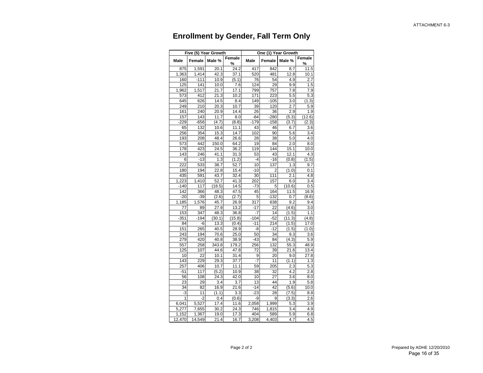## **Enrollment by Gender, Fall Term Only**

|                  |        | Five (5) Year Growth |             |        |                | One (1) Year Growth |             |
|------------------|--------|----------------------|-------------|--------|----------------|---------------------|-------------|
| Male             | Female | Male %               | Female<br>% | Male   | Female         | Male %              | Female<br>% |
| 875              | 1,591  | 20.1                 | 24.2        | 417    | 842            | 8.7                 | 11.5        |
| 1,363            | 1,414  | 42.3                 | 37.1        | 520    | 481            | 12.8                | 10.1        |
| 160              | $-111$ | 10.9                 | (5.1)       | 76     | 54             | 4.9                 | 2.7         |
| 125              | 141    | 10.0                 | 7.6         | 124    | 29             | 9.9                 | 1.5         |
| 1,962            | 1,517  | 21.7                 | 17.1        | 799    | 757            | 7.8                 | 7.9         |
| 573              | 412    | 21.3                 | 10.2        | 171    | 223            | 5.5                 | 5.3         |
| 645              | 626    | 14.5                 | 8.4         | 149    | $-105$         | 3.0                 | (1.3)       |
| 249              | 210    | 20.3                 | 10.7        | 39     | 120            | 2.7                 | 5.9         |
| 161              | 240    | 20.9                 | 14.4        | 26     | 36             | 2.9                 | 1.9         |
| 157              | 143    | 11.7                 | 8.0         | -84    | $-280$         | (5.3)               | (12.6)      |
| $-229$           | $-656$ | (4.7)                | (8.8)       | $-179$ | $-158$         | (3.7)               | (2.3)       |
| 65               | 132    | 10.6                 | 11.1        | 43     | 46             | 6.7                 | 3.6         |
| 256              | 354    | 15.3                 | 14.7        | 102    | 90             | 5.6                 | 3.4         |
| 193              | 208    | 48.4                 | 26.6        | 28     | 38             | 5.0                 | 4.0         |
| 573              | 442    | 150.0                | 64.2        | 19     | 84             | 2.0                 | 8.0         |
| 178              | 423    | 24.5                 | 36.2        | 119    | 144            | 15.1                | 10.0        |
| $\frac{1}{1}$ 43 | 246    | 41.1                 | 31.3        | 53     | 43             | 12.1                | 4.3         |
| 6                | $-13$  | 1.3                  | (1.2)       | $-4$   | -16            | (0.8)               | (1.5)       |
| 222              | 533    | 38.7                 | 52.7        | 10     | 137            | 1.3                 | 9.7         |
| 180              | 194    | 22.8                 | 15.4        | $-10$  | $\overline{2}$ | (1.0)               | 0.1         |
| 435              | 591    | 43.7                 | 32.4        | 30     | 111            | 2.1                 | 4.8         |
| 1,223            | 1,410  | 52.7                 | 41.3        | 202    | 157            | 6.0                 | 3.4         |
| $-140$           | 117    | (18.5)               | 14.5        | -73    | 5              | (10.6)              | 0.5         |
| 142              | 366    | 48.3                 | 47.5        | 45     | 164            | 11.5                | 16.9        |
| $-20$            | $-39$  | (2.6)                | (2.7)       | 5      | $-132$         | 0.7                 | (8.6)       |
| 1,185            | 1,576  | 45.7                 | 26.9        | 317    | 638            | 9.2                 | 9.4         |
| 77               | 89     | 27.9                 | 13.2        | $-17$  | 22             | (4.6)               | 3.0         |
| 153              | 347    | 48.3                 | 36.8        | $-7$   | 14             | (1.5)               | 1.1         |
| $-351$           | $-194$ | (30.1)               | (15.8)      | $-104$ | $-52$          | (11.3)              | (4.8)       |
| 84               | -6     | 13.3                 | (0.4)       | $-11$  | 214            | (1.5)               | 17.0        |
| 151              | 265    | 40.5                 | 28.9        | -8     | $-12$          | (1.5)               | (1.0)       |
| 243              | 194    | 70.6                 | 25.0        | 50     | 34             | 9.3                 | 3.6         |
| 279              | 420    | 40.8                 | 38.9        | $-43$  | 84             | (4.3)               | 5.9         |
| 557              | 258    | 343.8                | 179.2       | 256    | 132            | 55.3                | 48.9        |
| 125              | 107    | 44.6                 | 47.8        | 72     | 39             | 21.6                | 13.4        |
| 10               | 22     | 10.1                 | 31.4        | 9      | 20             | 9.0                 | 27.8        |
| 143              | 229    | 29.3                 | 37.7        | -7     | 11             | (1.1)               | 1.3         |
| 257              | 406    | 10.7                 | 11.1        | 59     | 205            | 2.3                 | 5.3         |
| $-51$            | 117    | (5.2)                | 10.9        | 38     | 32             | 4.2                 | 2.8         |
| 56               | 108    | 24.3                 | 42.0        | 10     | 27             | 3.6                 | 8.0         |
| 23               | 29     | 3.4                  | 3.7         | 13     | 44             | 1.9                 | 5.8         |
| 34               | 82     | 16.9                 | 21.6        | $-14$  | 42             | (5.6)               | 10.0        |
| -3               | 11     | (1.1)                | 3.3         | $-23$  | 28             | (7.5)               | 8.8         |
| 1                | $-2$   | 0.4                  | (0.6)       | -9     | 9              | (3.3)               | 2.6         |
| 6,041            | 5,527  | 17.4                 | 11.6        | 2,058  | 1,999          | 5.3                 | 3.9         |
| 5,277            | 7,655  | 30.2                 | 24.3        | 746    | 1,815          | 3.4                 | 4.9         |
| 1,152            | 1,367  | 19.0                 | 17.3        | 404    | 589            | 5.9                 | 6.8         |
| 12,470           | 14,549 | 21.4                 | 16.7        | 3,208  | 4,403          | 4.7                 | 4.5         |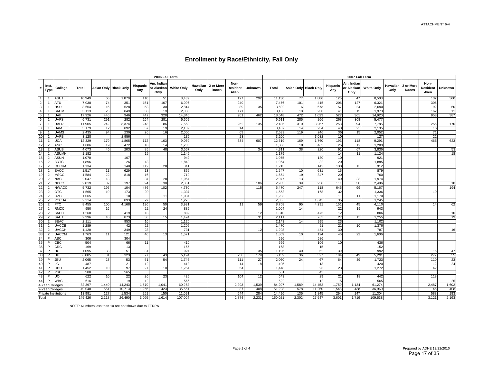|                 |                                  |                             |                |          |                       |                 | 2006 Fall Term                   |                   |                  |                    |                                  |           |                |          |                       |                 | 2007 Fall Term                   |                   |      |                             |                           |                 |
|-----------------|----------------------------------|-----------------------------|----------------|----------|-----------------------|-----------------|----------------------------------|-------------------|------------------|--------------------|----------------------------------|-----------|----------------|----------|-----------------------|-----------------|----------------------------------|-------------------|------|-----------------------------|---------------------------|-----------------|
|                 | Inst.<br>$* _{Type}$             | College                     | Total          |          | Asian Only Black Only | Hispanic<br>Any | Am. Indian<br>or Alaskan<br>Only | <b>White Only</b> | Hawaiian<br>Only | 2 or More<br>Races | Non-<br><b>Resident</b><br>Alien | Unknown   | Total          |          | Asian Only Black Only | Hispanic<br>Any | Am. Indian<br>or Alaskan<br>Only | <b>White Only</b> | Only | Hawaiian 2 or More<br>Races | Non-<br>Resident<br>Alien | Unknown         |
| 1               |                                  | ASUJ                        | 10,949         | 60       | 1,870                 | 110             | 51                               | 8,439             |                  |                    | 127                              | 292       | 11,130         | 77       | 1,886                 | 125             | 47                               | 8,503             |      |                             | 132                       | 360             |
| 2 <sup>1</sup>  | $\overline{1}$                   | ATU                         | 7,038          | 74       | 351                   | 161             | 107                              | 6,096             |                  |                    | 249                              |           | 7,476          | 101      | 415                   | 206             | 127                              | 6,321             |      |                             | 306                       |                 |
| 3 <sup>1</sup>  |                                  | HSU                         | 3,664          | 15       | 628                   | 53              | 30                               | 2,814             |                  |                    | 89                               | 35        | 3,602          | 16       | 673                   | 57              | 24                               | 2,690             |      |                             | 92                        | 50              |
| 4               | $\overline{1}$                   | <b>SAUM</b>                 | 3,113          | 23       | 849                   | 38              | 19                               | 2,008             |                  |                    | 171                              |           | 3,150          | 18       | 930                   | 41              | 15                               | 1,973             |      |                             | 162                       | 11              |
| 5 <sup>1</sup>  |                                  | UAF                         | 17,926         | 446      | 946                   | 447             | 328                              | 14,346            |                  |                    | 951                              | 462       | 18,648         | 472      | 1,023                 | 527             | 361                              | 14,920            |      |                             | 958                       | 387             |
| 6               | - 1                              | <b>UAFS</b>                 | 6,731          | 291      | 282                   | 264             | 281                              | 5,609             |                  |                    |                                  |           | 6,611          | 285      | 266                   | 268             | 308                              | 5,477             |      |                             |                           |                 |
| 7               |                                  | UALR                        | 11,905         | 242      | 3,374                 | 243             | 86                               | 7,563             |                  |                    | 262                              | 135       | 12,135         | 310      | 3,267                 | 253             | 94                               | 7,785             |      |                             | 256                       | 170             |
| 8 <sup>1</sup>  |                                  | <b>UAM</b>                  | 3,179          | 12       | 892                   | 57              | 19                               | 2,182             |                  |                    | 14                               |           | 3,187          | 14       | 954                   | 43              | 25                               | 2,135             |      |                             | 16                        |                 |
| 9               | - 1                              | <b>UAMS</b>                 | 2,435          | 94       | 230                   | 26              | 16                               | 2,000             |                  |                    | 69                               |           | 2,539          | 119      | 246                   | 36              | 15                               | 2,052             |      |                             | $\overline{71}$           |                 |
| 10 <sup>1</sup> | $\overline{1}$                   | <b>UAPB</b>                 | 3,128          |          | 2,956                 |                 |                                  | 136               |                  |                    | 23                               |           | 3,200          |          | 3,032                 | 10              |                                  | 127               |      |                             | 22                        |                 |
|                 | $11$ 1                           | UCA                         | 12,329         | 179      | 1,865                 | 172             | 103                              | 9,069             |                  |                    | 334                              | 607       | 12,619         | 169      | 1,760                 | 193             | 118                              | 9,291             |      |                             | 465                       | 623             |
| 12<br>13        | $\overline{2}$<br>$\overline{2}$ | <b>ANC</b><br><b>ASUB</b>   | 1,806<br>4,073 | 19<br>46 | 472<br>203            | 18<br>85        | 14<br>48                         | 1,283<br>3,657    |                  |                    |                                  | 34        | 1,800<br>4,311 | 18<br>38 | 465<br>220            | 25<br>91        | 12<br>67                         | 1,280<br>3,836    |      |                             |                           | 53              |
| 14              | 2                                | <b>ASUMH</b>                | 1,182          |          |                       | 15              |                                  | 1,146             |                  |                    |                                  |           | 1,179          |          |                       | 14              | 11                               | 1,124             |      |                             |                           | 18              |
| 15 <sup>1</sup> | $\overline{2}$                   | <b>ASUN</b>                 | 1,070          |          | 107                   |                 |                                  | 942               |                  |                    |                                  |           | 1,075          |          | 130                   | 10              |                                  | 921               |      |                             |                           |                 |
| 16              | $\overline{2}$                   | <b>BRTC</b>                 | 1,896          |          | 26                    | 13              |                                  | 1,840             |                  |                    |                                  |           | 1,954          |          | 32                    | 20              |                                  | 1,885             |      |                             |                           |                 |
| 17 <sup>1</sup> | $\overline{2}$                   | <b>CCCUA</b>                | 1,134          |          | 148                   | 112             | 20                               | 841               |                  |                    |                                  |           | 1,213          |          | 142                   | 138             | 13                               | 912               |      |                             |                           |                 |
| 18              | $\overline{2}$                   | EACC                        | 1,517          | 11       | 629                   | 13              |                                  | 856               |                  |                    |                                  |           | 1,547          | 10       | 631                   | 15              |                                  | 879               |      |                             |                           |                 |
| 19              | $\overline{2}$                   | <b>MSCC</b>                 | 1,584          | 22       | 818                   | 16              |                                  | 719               |                  |                    |                                  |           | 1,654          | 19       | 847                   | 20              |                                  | 760               |      |                             |                           |                 |
| 20              | $\overline{2}$                   | NAC                         | 2,047          | 13       |                       | 37              | 28                               | 1,964             |                  |                    |                                  |           | 2,077          | 13       |                       | 49              | 33                               | 1,974             |      |                             |                           |                 |
| 21              | $\overline{2}$                   | <b>NPCC</b>                 | 2,819          | 32       | 197                   | 94              | 38                               | 2,351             |                  |                    |                                  | 106       | 2,933          | 39       | 256                   | 111             | 30                               | 2,486             |      |                             |                           | 10 <sup>1</sup> |
| 22              | $\overline{2}$                   | <b>NWACC</b>                | 5,732          | 195      | 104                   | 486             | 102                              | 4,730             |                  |                    |                                  | 115       | 6,470          | 247      | 118                   | 645             | 99                               | 5,167             |      |                             |                           | 194             |
| 23              | 2                                | <b>OTC</b>                  | 1,565          | 19       | 173                   | 20              |                                  | 1,337             |                  |                    |                                  |           | 1,558          |          | 168                   | 32              |                                  | 1,336             |      |                             | 10                        |                 |
| 24              | $\overline{2}$                   | OZC                         | 1,065          |          | 10                    |                 | 11                               | 1,034             |                  |                    |                                  |           | 1,208          |          |                       | 11              | 11                               | 1,170             |      |                             |                           |                 |
| 25              | $\overline{2}$                   | <b>PCCUA</b>                | 2,214          |          | 893                   | 27              |                                  | 1,275             |                  |                    |                                  |           | 2,336          |          | 1,045                 | 35              |                                  | 1,245             |      |                             |                           |                 |
| 26              | $\overline{2}$                   | <b>PTC</b>                  | 8,455          | 100      | 4,168                 | 136             | 50                               | 3,931             |                  |                    | 11                               | 59        | 8,768          | 95       | 4,291                 | 151             | 45                               | 4,110             |      |                             | 14                        | 62              |
| 27              | 2                                | <b>RMCC</b>                 | 950            | 16       |                       | 22              | 24                               | 885               |                  |                    |                                  |           | 1,004          | 14       |                       | 22              | 19                               | 943               |      |                             |                           |                 |
| 28              | $\overline{2}$                   | <b>SACC</b>                 | 1,260          |          | 419                   | 13              |                                  | 809               |                  |                    |                                  | 12        | 1,310          |          | 475                   | 12              |                                  | 806               |      |                             |                           | 10              |
| 29              | $\overline{2}$                   | SAUT                        | 2,396          | 10       | 873                   | 36              | 15                               | 1,424             |                  |                    |                                  | 31        | 2,111          |          | 785                   | 27              | 15                               | 1,255             |      |                             |                           | 19              |
| 30 <sup>1</sup> | 2                                | <b>SEAC</b>                 | 2,111          |          | 953                   | 16              |                                  | 1,120             |                  |                    |                                  |           | 2,143          | 14       | 995                   | 23              |                                  | 1,102             |      |                             |                           |                 |
| 31              | $\overline{2}$                   | <b>UACCB</b>                | 1,289          |          | 42                    | 22              |                                  | 1,205             |                  |                    |                                  |           | 1,470          |          | 51                    | 21              | 10                               | 1,376             |      |                             |                           |                 |
| 32              | $\overline{2}$                   | <b>UACCH</b>                | 1,120          |          | 349                   | 23              |                                  | 731               |                  |                    |                                  | 12        | 1,298          |          | 454                   | 30              |                                  | 787               |      |                             |                           | 16              |
| 33 <sup>7</sup> | $\overline{2}$                   | <b>UACCM</b>                | 1,763          | 11       | 121                   | 46              | 13                               | 1,571             |                  |                    |                                  |           | 1,809          | 10       | 124                   | 46              | 22                               | 1,606             |      |                             |                           |                 |
| 34              |                                  | ABC                         | 306            |          | 304                   |                 |                                  |                   |                  |                    |                                  |           | 596            |          | 586                   |                 |                                  |                   |      |                             |                           |                 |
| 35              | P                                | CBC                         | 504            |          | 66                    | 11              |                                  | 410               |                  |                    |                                  |           | 569            |          | 106                   | 10              |                                  | 436               |      |                             |                           |                 |
| 36<br>37        | P<br>$\mathsf{P}$                | <b>CRC</b>                  | 169            |          | 13<br>51              |                 |                                  | 155               |                  |                    |                                  |           | 168            |          | 15                    |                 |                                  | 152               |      |                             |                           |                 |
| 38              | P                                | HС<br>HU                    | 1,095<br>6,085 | 38<br>31 | 323                   | 31<br>77        | 43                               | 924<br>5,194      |                  |                    | 238                              | 35<br>179 | 1,195<br>6,139 | 40<br>36 | 52<br>327             | 39<br>104       | 49                               | 992<br>5,291      |      |                             | 16<br>277                 | 47<br>55        |
| 39              | P                                | JBU                         | 2,065          | 23       | 53                    | 51              | 54                               | 1,746             |                  |                    | 111                              | 27        | 2,060          | 24       | 67                    | 64              | 49                               | 1,723             |      |                             | 110                       | 23              |
| 40              | P                                | -C                          | 487            |          | 21                    | 12              |                                  | 413               |                  |                    | 14                               | 18        | 495            |          | 13                    | 11              |                                  | 420               |      |                             | 12                        | 24              |
| 41              | P                                | OBU                         | 1,452          | 10       | 97                    | 27              | 10 <sup>1</sup>                  | 1,254             |                  |                    | 54                               |           | 1,448          |          | 93                    | 23              |                                  | 1,272             |      |                             | 42                        |                 |
| 42              | $\mathsf{P}$                     | <b>PSC</b>                  | 580            |          | 565                   |                 |                                  |                   |                  |                    |                                  |           | 561            |          | 545                   |                 |                                  |                   |      |                             |                           |                 |
| 43              | P                                | UO                          | 622            | 10       | 22                    | 26              | 23                               | 425               |                  |                    | 104                              | 12        | 643            |          | 29                    | 21              | 18 <sup>l</sup>                  | 442               |      |                             | 118                       |                 |
|                 | $44$ P                           | <b>WBC</b>                  | 616            |          | 19                    | 12              |                                  | 566               |                  |                    |                                  | 11        | 622            |          | 12                    | 15              |                                  | 565               |      |                             |                           | 25              |
|                 | 4-Year Colleges                  |                             | 82,397         | 1.440    | 14,243                | 1,579           | 1.041                            | 60.262            |                  |                    | 2,293                            | 1,539     | 84.297         | 1,589    | 14,452                | 1,759           | 1,134                            | 61.274            |      |                             | 2,487                     | 1,602           |
|                 | 2-Year Colleges                  |                             | 49,048         | 551      | 10,713                | 1,265           | 423                              | 35,651            |                  |                    | 37                               | 408       | 51,228         | 578      | 11,250                | 1,548           | 438                              | 36,960            |      |                             | 46                        | 408             |
|                 |                                  | <b>Private Institutions</b> | 13,981         | 127      | 1,534                 | 251             | 150                              | 11,091            |                  |                    | 544                              | 284       | 14,496         | 135      | 1,845                 | 294             | 147                              | 11,304            |      |                             | 588                       | 183             |
| Total           |                                  |                             | 145,426        | 2,118    | 26,490                | 3,095           | 1,614                            | 107,004           |                  |                    | 2,874                            | 2,231     | 150,021        | 2,302    | 27,547                | 3,601           | 1,719                            | 109,538           |      |                             | 3,121                     | 2,193           |

NOTE: Numbers less than 10 are not shown due to FERPA.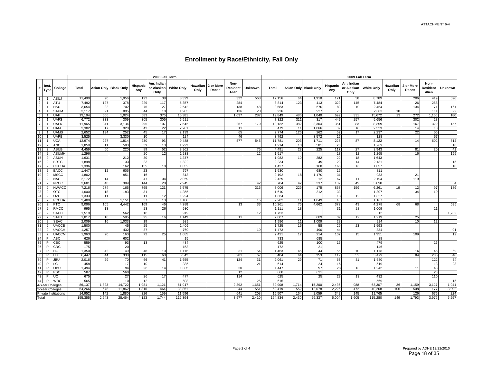|                   |                               |                     |                |       |                       |                 | 2008 Fall Term                   |                   |                  |                    |                           |                |                |       |                              |                 | 2009 Fall Term                   |                   |                  |                    |                                  |                |
|-------------------|-------------------------------|---------------------|----------------|-------|-----------------------|-----------------|----------------------------------|-------------------|------------------|--------------------|---------------------------|----------------|----------------|-------|------------------------------|-----------------|----------------------------------|-------------------|------------------|--------------------|----------------------------------|----------------|
|                   | Inst.<br>$\frac{1}{\pi}$ Type | College             | Total          |       | Asian Only Black Only | Hispanic<br>Any | Am. Indian<br>or Alaskan<br>Only | <b>White Only</b> | Hawaiian<br>Only | 2 or More<br>Races | Non-<br>Resident<br>Alien | <b>Unknown</b> | Total          |       | <b>Asian Only Black Only</b> | Hispanic<br>Any | Am. Indian<br>or Alaskan<br>Only | <b>White Only</b> | Hawaiian<br>Only | 2 or More<br>Races | Non-<br><b>Resident</b><br>Alien | <b>Unknown</b> |
| 1                 | $\overline{\mathbf{1}}$       | ASUJ                | 11,490         | 90    | 1,956                 | 122             | 38                               | 8,399             |                  |                    | 322                       | 563            | 12,156         | 64    | 1,918                        | 121             | 38                               | 8,789             |                  | 206                | 419                              | 596            |
| $\overline{2}$    | $\overline{1}$                | ATU                 | 7,492          | 127   | 378                   | 229             | 117                              | 6,357             |                  |                    | 284                       |                | 8,814          | 123   | 413                          | 329             | 145                              | 7,484             |                  | 26                 | 288                              |                |
| 3 <sup>1</sup>    | $\overline{1}$                | <b>HSU</b>          | 3,654          | 22    | 702                   | 75              | 27                               | 2.642             |                  |                    | 138                       | 48             | 3.583          |       | 670                          | 83              | 10                               | 2.454             |                  | 134                | 71                               | 161            |
| $\overline{4}$    | $\overline{1}$                | <b>SAUM</b>         | 3,117          | 21    | 895                   | 44              | 18                               | 1,983             |                  |                    | 136                       | 20             | 3,226          |       | 927                          | 70              |                                  | 2,083             | 10 <sup>1</sup>  |                    | 111                              | 22             |
| 5 <sup>5</sup>    | $\overline{1}$                | UAF                 | 19,194         | 506   | 1,024                 | 583             | 376                              | 15,381            |                  |                    | 1,037                     | 287            | 19,849         | 486   | 1,040                        | 699             | 331                              | 15,672            | 13               | 272                | 1,156                            | 180            |
| 6 <sup>1</sup>    | $\overline{1}$                | <b>UAFS</b>         | 6,772          | 333   | 309                   | 305             | 305                              | 5,511             |                  |                    |                           |                | 7,322          | 311   | 317                          | 449             | 257                              | 5,656             |                  | 302                | 28                               |                |
| 7 <sup>1</sup>    | $\overline{1}$                | <b>UALR</b>         | 11,965         | 341   | 3,134                 | 295             | 107                              | 7,642             |                  |                    | 267                       | 179            | 13,132         | 382   | 3,304                        | 351             | 83                               | 8,359             |                  | 167                | 329                              | 157            |
| 8                 | $\overline{1}$                | <b>UAM</b>          | 3,302          | 17    | 928                   | 43              | 22                               | 2,281             |                  |                    | 11                        |                | 3,479          | 11    | 1,066                        | 39              | 16                               | 2,323             |                  | 14                 | 10                               |                |
| 9                 | $\overline{1}$                | <b>UAMS</b>         | 2,652          | 134   | 252                   | 45              | 17                               | 2,139             |                  |                    | 65                        |                | 2,774          | 126   | 262                          | 52              | 17                               | 2,237             |                  | 22                 | 56                               |                |
| 10                | $\overline{1}$                | <b>UAPB</b>         | 3,525          |       | 3,330                 | 10              |                                  | 124               |                  |                    | 46                        |                | 3,792          |       | 3,572                        | 15              |                                  | 128               |                  |                    | 57                               |                |
| 11                | $\overline{1}$                | <b>UCA</b>          | 12,974         | 227   | 1,814                 | 230             | 93                               | 9,488             |                  |                    | 577                       | 545            | 11,781         | 203   | 1,711                        | 228             | 87                               | 8,122             |                  | 14                 | 602                              | 814            |
| $12 \overline{ }$ | $\overline{2}$                | <b>ANC</b>          | 1,859          | 11    | 503                   | 39              | 13                               | 1,293             |                  |                    |                           |                | 1,914          | 13    | 581                          | 28              |                                  | 1,269             |                  |                    |                                  | 18             |
| 13                | 2                             | <b>ASUB</b>         | 4,459          | 60    | 220                   | 89              | 52                               | 3,962             |                  |                    |                           | 75             | 4,491          | 28    | 225                          | 117             | 27                               | 3,943             |                  | 81                 | 20                               | 41             |
| 14                | 2                             | <b>ASUMH</b>        | 1,296          |       |                       | 20              | 12                               | 1,238             |                  |                    |                           | 12             | 1,517          |       |                              | 18              | 12                               | 1,265             |                  | 16                 |                                  | 195            |
| 15 <sup>2</sup>   | $\overline{2}$                | <b>ASUN</b>         | 1,631          |       | 212                   | 30              |                                  | 1,377             |                  |                    |                           |                | 1,982          | 10    | 282                          | 22              | 18                               | 1,643             |                  |                    |                                  |                |
| 16                | 2                             | <b>BRTC</b>         | 1,898          |       | 33                    | 23              |                                  | 1,822             |                  |                    |                           |                | 2,234          |       | 49                           | 23              | 14                               | 2,131             |                  |                    |                                  | 15             |
| 17                | 2                             | CCCUA               | 1,396          |       | 162                   | 155             | 18                               | 1,052             |                  |                    |                           |                | 1,427          |       | 168                          | 165             | 16                               | 1,057             |                  |                    |                                  | 10             |
| 18                | $\overline{2}$                | EACC                | 1,447          | 12    | 606                   | 23              |                                  | 797               |                  |                    |                           |                | 1,530          |       | 680                          | 16              |                                  | 811               |                  |                    |                                  |                |
| 19                | $\overline{2}$                | <b>MSCC</b>         | 1,802          |       | 951                   | 16              |                                  | 813               |                  |                    |                           |                | 2,192          | 18    | 1,170                        | 31              |                                  | 933               |                  | 21                 |                                  |                |
| 20                | $\overline{2}$                | <b>NAC</b>          | 2,172          | 14    |                       | 47              | 34                               | 2,069             |                  |                    |                           |                | 2,429          |       | 12                           | 67              | 11                               | 2,194             |                  | 119                |                                  |                |
| 21                | $\overline{2}$                | <b>NPCC</b>         | 3,601          | 48    | 389                   | 144             | 28                               | 2,945             |                  |                    |                           | 42             | 3,704          | 42    | 337                          | 132             | 49                               | 3,090             |                  |                    |                                  | 54             |
| 22                | $\overline{2}$                | <b>NWACC</b>        | 7,216          | 274   | 165                   | 765             | 121                              | 5,575             |                  |                    |                           | 316            | 8,006          | 229   | 175                          | 868             | 159                              | 6,261             | 16 <sup>1</sup>  | 12                 | 97                               | 189            |
| 23                | $\overline{2}$                | <b>OTC</b>          | 1,600          | 18    | 183                   | 31              |                                  | 1.355             |                  |                    |                           |                | 1.610          |       | 212                          | 33              |                                  | 1.307             |                  | 34                 | 10                               |                |
| 24<br>25          | 2<br>$\overline{2}$           | OZC<br><b>PCCUA</b> | 1,333<br>2,400 | 11    | 1,151                 | 11<br>37        | 12<br>13                         | 1,294<br>1,180    |                  |                    |                           | 15             | 1,364<br>2,282 | 11    | 1,049                        | 13<br>48        | 12                               | 1,327<br>1,167    |                  |                    |                                  |                |
| 26                | $\overline{2}$                | <b>PTC</b>          | 9,096          | 105   | 4,442                 | 169             | 46                               | 4,288             |                  |                    | 13                        | 33             | 10,261         | 75    | 4,662                        | 372             | 43                               | 4,278             | 68               | 68                 |                                  | 695            |
| 27                | $\overline{2}$                | <b>RMCC</b>         | 995            | 13    |                       | 23              | 26                               | 930               |                  |                    |                           |                | 1,111          | 18    |                              | 31              | 28                               | 1,009             |                  |                    | 11                               |                |
| 28                | 2                             | <b>SACC</b>         | 1,519          |       | 562                   | 16              |                                  | 919               |                  |                    |                           | 12             | 1,753          |       |                              |                 |                                  | 12                |                  |                    |                                  | 1,732          |
| 29                | 2                             | SAUT                | 1,817          | 16    | 595                   | 25              | 16                               | 1,149             |                  |                    | 11                        |                | 2,007          |       | 689                          | 39              | 12                               | 1,219             |                  | 25                 |                                  |                |
| 30                | $\overline{2}$                | <b>SEAC</b>         | 2,009          | 16    | 1,033                 | 19              |                                  | 939               |                  |                    |                           |                | 1,986          | 11    | 1,009                        | 28              |                                  | 914               |                  | 10                 | 12                               |                |
| 31                | $\overline{2}$                | <b>UACCB</b>        | 1.500          |       | 45                    | 25              |                                  | 1.409             |                  |                    |                           |                | 1.725          | 16    | 58                           | 29              | 23                               | 1.593             |                  |                    |                                  |                |
| 32                | $\overline{2}$                | <b>UACCH</b>        | 1,257          |       | 432                   | 37              |                                  | 760               |                  |                    |                           | 19             | 1,473          |       | 490                          | 44              |                                  | 834               |                  |                    |                                  | 91             |
| 33                | $\overline{2}$                | <b>UACCM</b>        | 1,963          | 20    | 160                   | 72              | 25                               | 1,685             |                  |                    |                           |                | 2,421          | 17    | 214                          | 102             | 15                               | 1,951             |                  | 109                |                                  | 12             |
| 34                | P                             | ABC                 | 626            |       | 602                   |                 |                                  | 15                |                  |                    |                           |                | 733            |       | 685                          |                 |                                  | 38                |                  |                    |                                  |                |
| 35                | P                             | CBC                 | 559            |       | 93                    | 13              |                                  | 434               |                  |                    |                           |                | 625            |       | 100                          | 16              |                                  | 479               |                  |                    | 16                               |                |
| 36                | P                             | <b>CRC</b>          | 175            |       | 20                    |                 |                                  | 153               |                  |                    |                           |                | 172            |       | 21                           |                 |                                  | 146               |                  |                    |                                  |                |
| 37                | P                             | HC                  | 1,350          | 42    | 49                    | 48              | 10 <sup>1</sup>                  | 1,116             |                  |                    | 31                        | 54             | 1,463          | 45    | 44                           | 55              | 10                               | 1,178             |                  | 16                 | 45                               | 69             |
| 38                | P                             | HU                  | 6.447          | 44    | 338                   | 115             | 60                               | 5.542             |                  |                    | 281                       | 67             | 6.484          | 64    | 353                          | 119             | 52                               | 5.479             |                  | 84                 | 285                              | 46             |
| 39                | P                             | <b>JBL</b>          | 2,016          | 29    | 70                    | 66              | 41                               | 1,655             |                  |                    | 124                       | 31             | 2,061          | 29    | 71                           | 63              | 41                               | 1,680             |                  |                    | 122                              | 54             |
| 40                | P                             | LC                  | 458            |       | 17                    | 10              |                                  | 385               |                  |                    |                           | 21             | 614            |       | 24                           | 15              |                                  | 519               |                  |                    | 13                               | 28             |
| 41                | P                             | <b>OBU</b>          | 1,494          |       | 94                    | 26              | 14                               | 1,305             |                  |                    | 50                        |                | 1,447          |       | 97                           | 28              | 13                               | 1,242             |                  | 11                 | 48                               |                |
| 42                | P                             | PSC                 | 587            |       | 560                   |                 |                                  |                   |                  |                    | 12                        |                | 668            |       | 631                          |                 |                                  |                   |                  |                    | 23                               |                |
| 43                | P                             | <b>UO</b>           | 675            |       | 27                    | 26              | 17                               | 477               |                  |                    | 114                       |                | 625            |       | 25                           | 29              | 13                               | 432               |                  |                    | 110                              |                |
| 44                | P                             | <b>WBC</b>          | 565            |       | 10                    | 12              |                                  | 508               |                  |                    |                           | 25             | 615            |       |                              |                 |                                  | 569               |                  |                    |                                  | 15             |
|                   | 4-Year Colleges               |                     | 86,137         | 1,823 | 14,722                | 1,981           | 1,121                            | 61,947            |                  |                    | 2,892                     | 1,651          | 89,908         | 1,714 | 15,200                       | 2,436           | 988                              | 63,307            | 36               | 1,159              | 3,127                            | 1,941          |
|                   | 2-Year Colleges               |                     | 54,266         | 678   | 11,862                | 1,816           | 464                              | 38,851            |                  |                    | 44                        | 551            | 59,419         | 552   | 12,078                       | 2,226           | 472                              | 40,208            | 106              | 508                | 177                              | 3,092          |
|                   | Private Institutions          |                     | 14,952         | 142   | 1,880                 | 326             | 159                              | 11,596            |                  |                    | 641                       | 208            | 15,507         | 164   | 2,059                        | 342             | 145                              | 11,765            |                  | 126                | 675                              | 224            |
| Total             |                               |                     | 155,355        | 2,643 | 28,464                | 4,123           | 1,744                            | 112,394           |                  |                    | 3,577                     | 2,410          | 164,834        | 2,430 | 29,337                       | 5,004           | 1,605                            | 115,280           | 149              | 1,793              | 3,979                            | 5,257          |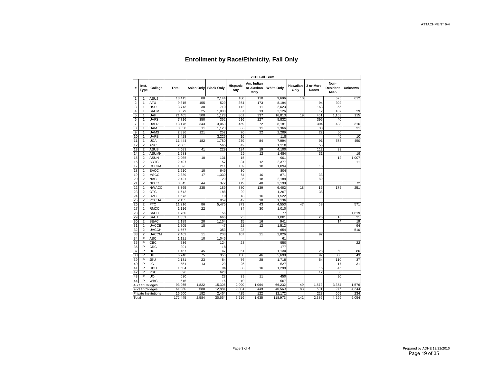|       |                      |                      |         |            |                   |                 | 2010 Fall Term                   |                   |                  |                    |                                  |                |
|-------|----------------------|----------------------|---------|------------|-------------------|-----------------|----------------------------------|-------------------|------------------|--------------------|----------------------------------|----------------|
| #     | Inst.<br><b>Type</b> | College              | Total   | Asian Only | <b>Black Only</b> | Hispanic<br>Any | Am. Indian<br>or Alaskan<br>Only | <b>White Only</b> | Hawaiian<br>Only | 2 or More<br>Races | Non-<br><b>Resident</b><br>Alien | <b>Unknown</b> |
| 1     | 1                    | ASUJ                 | 13,415  | 88         | 2,144             | 180             | 110                              | 9.696             | 10               |                    | 575                              | 612            |
| 2     | 1                    | ATU                  | 9,815   | 155        | 529               | 364             | 173                              | 8,194             |                  | 94                 | 302                              |                |
| 3     | 1                    | HSU                  | 3,713   | 30         | 710               | 112             | 11                               | 2,623             |                  | 163                | 55                               |                |
| 4     | 1                    | SAUM                 | 3,379   | 25         | 1,000             | 67              | 13                               | 2,126             |                  | 12                 | 107                              | 29             |
| 5     | 1                    | <b>UAF</b>           | 21,405  | 508        | 1,128             | 861             | 337                              | 16,813            | 19               | 461                | 1,163                            | 115            |
| 6     | 1                    | <b>UAFS</b>          | 7,716   | 350        | 352               | 516             | 227                              | 5,832             |                  | 395                | 40                               |                |
| 7     | 1                    | <b>UALR</b>          | 13,176  | 343        | 3,063             | 459             | 72                               | 8,181             |                  | 304                | 438                              | 316            |
| 8     | 1                    | UAM                  | 3,638   | 11         | 1,123             | 66              | 11                               | 2,366             |                  | 30                 |                                  | 31             |
| 9     | 1                    | <b>UAMS</b>          | 2,836   | 121        | 252               | 70              | 22                               | 2,289             |                  | 22                 | 50                               |                |
| 10    | $\mathbf{1}$         | <b>UAPB</b>          | 3,428   |            | 3,225             | 16              |                                  | 118               |                  |                    | 46                               | 10             |
| 11    | 1                    | <b>UCA</b>           | 11,444  | 182        | 1,780             | 279             | 84                               | 7,994             |                  | 91                 | 578                              | 450            |
| 12    | $\overline{2}$       | <b>ANC</b>           | 2,003   |            | 565               | 49              |                                  | 1,310             |                  | 55                 |                                  |                |
| 13    | $\overline{2}$       | <b>ASUB</b>          | 4.683   | 41         | 229               | 134             | 19                               | 4.100             |                  | 112                | 33                               |                |
| 14    | $\overline{2}$       | <b>ASUMH</b>         | 1,583   |            |                   | 29              | 12                               | 1,484             |                  | 31                 |                                  | 19             |
| 15    | $\overline{2}$       | <b>ASUN</b>          | 2.085   | 10         | 131               | 15              |                                  | 901               |                  |                    | 12                               | 1.007          |
| 16    | $\overline{2}$       | <b>BRTC</b>          | 2,497   |            | 57                | 31              | 12                               | 2,377             |                  |                    |                                  | 11             |
| 17    | $\overline{2}$       | CCCUA                | 1,523   |            | 211               | 169             | 18                               | 1,094             |                  | 13                 |                                  |                |
| 18    | $\overline{a}$       | EACC                 | 1,510   | 10         | 649               | 30              |                                  | 804               |                  |                    |                                  |                |
| 19    | $\overline{2}$       | <b>MSCC</b>          | 2,339   | 17         | 1,330             | 64              | 10                               | 871               |                  | 33                 |                                  |                |
| 20    | $\overline{2}$       | <b>NAC</b>           | 2,421   |            | 20                | 86              | 18                               | 2,189             |                  | 89                 |                                  |                |
| 21    | $\overline{2}$       | <b>NPCC</b>          | 3,845   | 44         | 372               | 119             | 40                               | 3,198             |                  |                    |                                  | 72             |
| 22    | $\overline{2}$       | <b>NWACC</b>         | 8,365   | 235        | 189               | 880             | 139                              | 6,462             | 18               | 16                 | 175                              | 251            |
| 23    | $\overline{2}$       | OTC                  | 1,542   |            | 188               | 29              |                                  | 1,267             |                  | 38                 |                                  |                |
| 24    | $\overline{2}$       | OZC                  | 1,573   |            | 10                | 18              | 16                               | 1,522             |                  |                    |                                  |                |
| 25    | 2                    | <b>PCCUA</b>         | 2,155   |            | 959               | 42              | 10                               | 1,136             |                  |                    |                                  |                |
| 26    | $\overline{2}$       | PTC                  | 11,216  | 86         | 5,475             | 373             | 43                               | 4,553             | 47               | 68                 |                                  | 571            |
| 27    | $\overline{2}$       | <b>RMCC</b>          | 1,116   | 22         |                   | 34              | 30                               | 1,010             |                  |                    |                                  |                |
| 28    | $\overline{2}$       | <b>SACC</b>          | 1,760   |            | 56                |                 |                                  | 77                |                  |                    |                                  | 1,619          |
| 29    | $\overline{2}$       | SAUT                 | 1,851   |            | 666               | 25              |                                  | 1,081             |                  | 26                 | 16                               | 21             |
| 30    | $\overline{2}$       | <b>SEAC</b>          | 2.189   | 20         | 1.164             | 15              | 16                               | 941               |                  |                    | 14                               | 19             |
| 31    | $\overline{2}$       | <b>UACCB</b>         | 1,705   | 18         | 47                | 22              | 12                               | 1,512             |                  |                    |                                  | 94             |
| 32    | $\overline{2}$       | <b>UACCH</b>         | 1,557   |            | 353               | 28              |                                  | 654               |                  |                    |                                  | 510            |
| 33    | $\overline{2}$       | <b>UACCM</b>         | 2,462   | 11         | 208               | 107             | 11                               | 2,026             |                  | 92                 |                                  |                |
| 34    | P                    | <b>ABC</b>           | 1,121   | 10         | 1,046             |                 |                                  | 61                |                  |                    |                                  |                |
| 35    | P                    | CBC                  | 736     |            | 124               | 28              |                                  | 550               |                  |                    |                                  | 22             |
| 36    | P                    | CRC                  | 201     |            | 18                |                 |                                  | 177               |                  |                    |                                  |                |
| 37    | P                    | HC                   | 1,467   | 45         | 47                | 61              |                                  | 1.130             |                  | 28                 | 60                               | 86             |
| 38    | P                    | HU                   | 6,748   | 75         | 355               | 138             | 46                               | 5,690             |                  | 97                 | 300                              | 43             |
| 39    | P                    | JBU                  | 2,131   | 23         | 84                | 76              | 28                               | 1,718             |                  | 54                 | 110                              | 37             |
| 40    | P                    | LC                   | 651     | 13         | 29                | 25              |                                  | 527               |                  |                    | 17                               | 31             |
| 41    | P                    | OBU                  | 1,504   |            | 94                | 33              | 10                               | 1,299             |                  | 16                 | 46                               |                |
| 42    | P                    | <b>PSC</b>           | 696     |            | 628               |                 |                                  |                   |                  | 12                 | 38                               |                |
| 43    | P                    | UO                   | 630     |            | 23                | 39              | 11                               | 450               |                  |                    | 90                               |                |
| 44    | P                    | <b>WBC</b>           | 615     |            | 16                | 10              |                                  | 567               |                  |                    |                                  |                |
|       | 4-Year Colleges      |                      | 93,965  | 1,822      | 15,306            | 2,990           | 1,064                            | 66,232            | 49               | 1,572              | 3,354                            | 1,576          |
|       | 2-Year Colleges      |                      | 61,980  | 580        | 12,884            | 2,304           | 449                              | 40,569            | 83               | 591                | 276                              | 4,244          |
|       |                      | Private Institutions | 16,500  | 182        | 2,464             | 425             | 122                              | 12,172            |                  | 223                | 669                              | 234            |
| Total |                      |                      | 172,445 | 2,584      | 30,654            | 5,719           | 1,635                            | 118,973           | 141              | 2,386              | 4,299                            | 6,054          |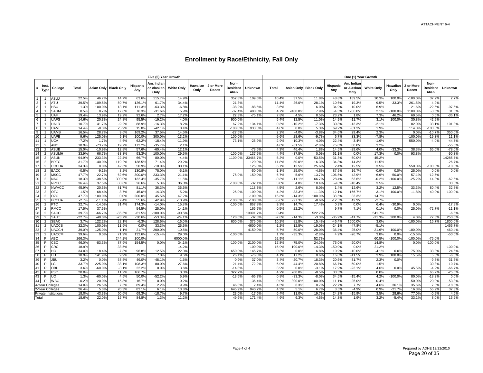|                 |                                  |                            |                |                    |                       |                 | Five (5) Year Growth             |                   |                  |                    |                           |                    |               |               |                       |                   | One (1) Year Growth              |                   |                  |                    |                           |                      |
|-----------------|----------------------------------|----------------------------|----------------|--------------------|-----------------------|-----------------|----------------------------------|-------------------|------------------|--------------------|---------------------------|--------------------|---------------|---------------|-----------------------|-------------------|----------------------------------|-------------------|------------------|--------------------|---------------------------|----------------------|
| #               | Inst.<br>Type                    | College                    | Total          |                    | Asian Only Black Only | Hispanic<br>Any | Am. Indian<br>or Alaskan<br>Only | <b>White Only</b> | Hawaiian<br>Only | 2 or More<br>Races | Non-<br>Resident<br>Alien | Unknown            | Total         |               | Asian Only Black Only | Hispanic<br>Any   | Am. Indiar<br>or Alaskan<br>Only | <b>White Only</b> | Hawaiian<br>Only | 2 or More<br>Races | Non-<br>Resident<br>Alien | <b>Unknown</b>       |
| $\overline{1}$  |                                  | ASUJ                       | 22.5%          | 46.7%              | 14.7%                 | 63.6%           | 115.7%                           | 14.9%             |                  |                    | 352.8%                    | 109.6%             | 10.4%         | 37.5%         | 11.8%                 | 48.8%             | 189.5%                           | 10.3%             | 100.0%           | $-100.0%$          | 37.2%                     | 2.7%                 |
| $\overline{2}$  |                                  | ATU                        | 39.5%          | 109.5%             | 50.7%                 | 126.1%          | 61.7%                            | 34.4%             |                  |                    | 21.3%                     |                    | 11.4%         | 26.0%         | 28.1%                 | 10.6%             | 19.3%                            | 9.5%              | $-33.3%$         | 261.5%             | 4.9%                      |                      |
| $\overline{3}$  |                                  | <b>HSU</b>                 | 1.3%           | 100.0%             | 13.1%                 | 111.3%          | $-63.3%$                         | $-6.8%$           |                  |                    | $-38.2%$                  | $-88.6%$           | 3.6%          |               | 6.0%                  | 34.9%             | 10.0%                            | 6.9%              |                  | 21.6%              | $-22.5%$                  | $-97.5%$             |
| $\overline{4}$  |                                  | SAUM                       | 8.5%           | 8.7%               | 17.8%                 | 76.3%           | $-31.6%$                         | 5.9%              |                  |                    | $-37.4%$                  | 480.09             | 4.7%          | 2400.0%       | 7.9%                  | $-4.3%$           | 1200.0%                          | 2.1%              | $-100.0%$        | 1100.0%            | $-3.6%$                   | 31.8%                |
| $\overline{5}$  |                                  | <b>UAF</b>                 | 19.4%          | 13.9%              | 19.2%                 | 92.6%           | 2.7%                             | 17.2%             |                  |                    | 22.3%                     | $-75.1%$           | 7.8%          | 4.5%          | 8.5%                  | 23.2%             | 1.8%                             | 7.3%              | 46.2%            | 69.5%              | 0.6%                      | $-36.1%$             |
| $6\overline{6}$ |                                  | <b>UAFS</b>                | 14.6%          | 20.3%              | 24.8%                 | 95.5%           | $-19.2%$                         | 4.0%              |                  |                    | 900.0%                    |                    | 5.4%          | 12.5%         | 11.0%                 | 14.9%             | $-11.7%$                         | 3.1%              | 100.0%           | 30.8%              | 42.9%                     |                      |
| $\overline{7}$  |                                  | <b>UALR</b>                | 10.7%          | 41.7%              | $-9.2%$               | 88.9%           | $-16.3%$                         | 8.2%              |                  |                    | 67.2%                     | 134.19             | 0.3%          | $-10.2%$      | $-7.3%$               | 30.8%             | $-13.3%$                         | $-2.1%$           |                  | 82.0%              | 33.19                     | 101.3%               |
| $\overline{8}$  |                                  | <b>UAM</b>                 | 14.4%          | $-8.3%$            | 25.9%                 | 15.8%           | $-42.1%$                         | 8.4%              |                  |                    | $-100.0%$                 | 933.3%             | 4.6%          | 0.0%          | 5.3%                  | 69.2%             | $-31.3%$                         | 1.9%              |                  | 114.3%             | $-100.0%$                 |                      |
| $\overline{9}$  | $\overline{1}$                   | <b>UAMS</b>                | 16.5%          | 28.7%              | 9.6%                  | 169.2%          | 37.5%                            | 14.5%             |                  |                    | $-27.5%$                  |                    | 2.2%          | $-4.0%$       | $-3.8%$               | 34.6%             | 29.4%                            | 2.3%              |                  | 0.0%               | $-10.7%$                  | 350.0%               |
| 10              |                                  | <b>UAPB</b>                | 9.6%           | 125.0%             | 9.1%                  | 100.0%          | 300.0%                           | $-13.2%$          |                  |                    | 100.0%                    |                    | $-9.6%$       | 28.6%         | $-9.7%$               | 6.7%              | 33.3%                            | $-7.8%$           |                  | $-100.0%$          | $-19.3%$                  | 11.1%                |
| 11              |                                  | <b>UCA</b>                 | $-7.2%$        | 1.7%               | $-4.6%$               | 62.2%           | $-18.4%$                         | $-11.9%$          |                  |                    | 73.1%                     | $-25.9%$           | $-2.9%$       | $-10.3%$      | 4.0%                  | 22.4%             | $-3.4%$                          | $-1.6%$           |                  | 550.0%             | $-4.0%$                   | $-44.7%$             |
| 12              | $\overline{2}$                   | <b>ANC</b>                 | 10.9%          | $-73.7%$           | 19.7%                 | 172.2%          | $-35.7%$                         | 2.1%              |                  |                    |                           |                    | 4.6%          | $-61.5%$      | $-2.8%$               | 75.0%             | 80.0%                            | 3.2%              |                  |                    |                           | $-55.6%$             |
| 13              | 2                                | <b>ASUB</b>                | 15.0%          | $-10.9%$           | 12.8%                 | 57.6%           | $-60.4%$                         | 12.1%             |                  |                    |                           | $-73.5%$           | 4.3%          | 46.4%         | 1.8%                  | 14.5%             | $-29.6%$                         | 4.0%              | $-33.3%$         | 38.3%              | 65.0%                     | $-78.0%$             |
| 14              | $\overline{2}$                   | <b>ASUMF</b>               | 33.9%          | 66.7%              | $-33.3%$              | 93.3%           | 100.0%                           | 29.5%             |                  |                    | $-100.0%$                 | 137.5%             | 4.4%          | $-37.5%$      | 0.0%                  | 61.1%             | 0.0%                             | 17.3%             | 0.0%             | 93.8%              |                           | $-90.3%$             |
| 15<br>16        | $\overline{2}$<br>$\overline{2}$ | <b>ASUN</b><br><b>BRTC</b> | 94.9%<br>31.7% | 233.3%<br>$-40.0%$ | 22.4%<br>119.2%       | 66.7%<br>138.5% | 80.0%<br>71.4%                   | $-4.4%$<br>29.2%  |                  |                    | 1100.0%                   | 33466.7%<br>120.09 | 5.2%<br>11.8% | 0.0%<br>50.0% | $-53.5%$<br>16.3%     | $-31.8%$<br>34.8% | $-50.0%$<br>$-14.3%$             | $-45.2%$<br>11.5% |                  |                    |                           | 14285.7%<br>$-26.7%$ |
| 17              | 2                                | <b>CCCUA</b>               | 34.3%          | 0.0%               | 42.6%                 | 50.9%           | $-10.0%$                         | 30.1%             |                  |                    |                           | 125.0%             | 6.7%          | 12.5%         | 25.6%                 | 2.4%              | 12.5%                            | 3.5%              |                  | 550.0%             | $-100.0%$                 | $-10.0%$             |
| 18              | 2                                | <b>EACC</b>                | $-0.5%$        | $-9.1%$            | 3.2%                  | 130.8%          | 75.0%                            | $-6.1%$           |                  |                    |                           | $-50.0%$           | $-1.3%$       | 25.0%         | $-4.6%$               | 87.5%             | 16.7%                            | $-0.9%$           | 0.0%             | 25.0%              | 0.0%                      | 0.0%                 |
| 19              | $\overline{2}$                   | <b>MSCC</b>                | 47.7%          | $-22.7%$           | 62.6%                 | 300.0%          | 233.3%                           | 21.1%             |                  |                    | 75.0%                     | 150.09             | 6.7%          | $-5.6%$       | 13.7%                 | 106.5%            | 42.9%                            | $-6.6%$           | $-50.0%$         | 57.1%              | $-12.5%$                  |                      |
| 20              | $\overline{2}$                   | <b>NAC</b>                 | 18.3%          | $-38.5%$           | 300.0%                | 132.4%          | $-35.7%$                         | 11.5%             |                  |                    |                           |                    | $-0.3%$       | $-11.1%$      | 66.7%                 | 28.4%             | 63.6%                            | $-0.2%$           | $-100.0%$        | $-25.2%$           | 14.3%                     | $-62.5%$             |
| 21              | $\overline{2}$                   | <b>NPCC</b>                | 36.4%          | 37.5%              | 88.8%                 | 26.6%           | 5.3%                             | 36.0%             |                  |                    | $-100.0%$                 | $-32.1%$           | 3.8%          | 4.8%          | 10.4%                 | $-9.8%$           | $-18.4%$                         | 3.5%              |                  |                    |                           | 33.3%                |
| 22              | $\overline{2}$                   | <b>NWACC</b>               | 45.9%          | 20.5%              | 81.7%                 | 81.1%           | 36.3%                            | 36.6%             |                  |                    |                           | 118.3%             | 4.5%          | 2.6%          | 8.0%                  | 1.4%              | $-12.6%$                         | 3.2%              | 12.5%            | 33.3%              | 80.4%                     | 32.8%                |
| 23              | $\overline{2}$                   | <b>OTC</b>                 | $-1.5%$        | $-68.4%$           | 8.7%                  | 45.0%           | 14.3%                            | $-5.2%$           |                  |                    | $-25.0%$                  | $-100.0%$          | $-4.2%$       | $-33.3%$      | $-11.3%$              | $-12.1%$          | 166.7%                           | $-3.1%$           | $-100.0%$        | 11.8%              | $-40.0%$                  | $-100.0%$            |
| 24              | $\overline{2}$                   | OZC                        | 47.7%          | 100.0%             | 0.0%                  | 200.0%          | 45.5%                            | 47.2%             |                  |                    |                           | $-100.0$           | 15.3%         | $-14.3%$      | 100.0%                | 38.5%             | 33.3%                            | 14.7%             |                  |                    |                           |                      |
| 25              | $\overline{2}$                   | PCCUA                      | $-2.7%$        | $-11.1%$           | 7.4%                  | 55.6%           | 42.9%                            | $-10.9%$          |                  |                    | $-100.0%$                 | $-100.0$           | $-5.6%$       | $-27.3%$      | $-8.6%$               | $-12.5%$          | 42.9%                            | $-2.7%$           |                  |                    |                           |                      |
| 26              | 2                                | <b>PTC</b>                 | 32.7%          | $-14.0%$           | 31.4%                 | 174.3%          | $-14.0%$                         | 15.8%             |                  |                    | $-100.0%$                 | 867.8%             | 9.3%          | 14.7%         | 17.4%                 | 0.3%              | 0.0%                             | 6.4%              | $-30.9%$         | 0.0%               |                           | $-17.8%$             |
| 27              | 2                                | <b>RMCC</b>                | 17.5%          | 37.5%              |                       | 54.5%           | 25.0%                            | 14.1%             |                  |                    |                           | 166.7%             | 0.5%          | 22.2%         |                       | 9.7%              | 7.1%                             | 0.1%              | 0.0%             | 25.0%              | $-72.7%$                  | $-11.1%$             |
| 28              | $\overline{2}$                   | <b>SACC</b>                | 39.7%          | $-66.7%$           | $-86.6%$              | $-61.5%$        | $-100.0%$                        | $-90.5%$          |                  |                    |                           | 13391.7%           | 0.4%          |               | 522.2%                |                   |                                  | 541.7%            |                  |                    |                           | $-6.5%$              |
| 29              | $\overline{2}$                   | SAUT                       | $-22.7%$       | $-40.0%$           | $-23.7%$              | $-30.6%$        | $-53.3%$                         | $-24.1%$          |                  |                    | 128.6%                    | $-32.3%$           | $-7.8%$       | $-14.3%$      | $-3.3%$               | $-35.9%$          | $-41.7%$                         | $-11.3%$          | 200.0%           | 4.0%               | 77.8%                     | 250.0%               |
| 30              | $\overline{2}$                   | <b>SEAC</b>                | 3.7%           | 122.2%             | 22.1%                 | $-6.3%$         | 128.6%                           | $-16.0%$          |                  |                    | 600.0%                    | 375.0%             | 10.2%         | 81.8%         | 15.4%                 | $-46.4%$          | 1500.0%                          | 3.0%              |                  | $-100.0%$          | 16.7%                     | 1800.0%              |
| 31              | $\overline{2}$                   | <b>UACCB</b>               | 32.3%          | 100.0%             | 11.9%                 | 0.0%            | 33.3%                            | 25.5%             |                  |                    |                           | 4600.0%            | $-1.2%$       | 12.5%         | $-19.0%$              | $-24.1%$          | $-47.8%$                         | $-5.1%$           |                  |                    |                           | 1466.7%              |
| 32              | 2                                | <b>UACCH</b>               | 39.0%          | 125.0%             | 1.1%                  | 21.7%           | 200.0%                           | $-10.5%$          |                  |                    |                           | 4150.09            | 5.7%          | 50.0%         | $-28.0%$              | $-36.4%$          | $-25.0%$                         | $-21.6%$          | $-100.0%$        | $-100.0%$          |                           | 460.4%               |
| 33              | $\overline{2}$                   | <b>UACCM</b>               | 39.6%          | 0.0%               | 71.9%                 | 132.6%          | $-15.4%$                         | 29.0%             |                  |                    | $-100.0%$                 |                    | 1.7%          | $-35.3%$      | $-2.8%$               | 4.9%              | $-26.7%$                         | 3.8%              | 0.0%             | $-15.6%$           |                           | $-50.0%$             |
| 34              | P                                | <b>ABC</b>                 | 266.3%         |                    | 244.1%                | 100.0%          |                                  | 6000.0%           |                  |                    |                           |                    | 52.9%         |               | 52.7%                 |                   |                                  | 60.5%             | $-100.0%$        | $-100.0%$          | $-75.0%$                  |                      |
| 35              | P                                | CBC                        | 46.0%          | $-83.3%$           | 87.9%                 | 154.5%          | 0.0%                             | 34.1%             |                  |                    | $-100.0%$                 | 2100.09            | 17.8%         | $-75.0%$      | 24.0%                 | 75.0%             | $-20.0%$                         | 14.8%             |                  | 0.0%               | $-100.0%$                 |                      |
| 36              | P                                | <b>CRC</b>                 | 18.9%          |                    | 38.5%                 |                 |                                  | 14.2%             |                  |                    |                           | $-100.0%$          | 16.9%         | $-100.0%$     | $-14.3%$              | 150.0%            | 0.0%                             | 21.2%             |                  |                    |                           | $-100.0%$            |
| 37              | P                                | HC                         | 34.0%          | 18.4%              | $-7.8%$               | 96.8%           | 12.5%                            | 22.3%             |                  |                    | 650.0%                    | 145.7%             | 0.3%          | 0.0%          | 6.8%                  | 10.9%             | $-10.0%$                         | $-4.1%$           | 0.0%             | 75.0%              | 33.3%                     | 24.6%                |
| 38              | P                                | HU                         | 10.9%          | 141.9%             | 9.9%                  | 79.2%           | 7.0%                             | 9.5%              |                  |                    | 26.1%                     | $-76.0%$           | 4.1%          | 17.2%         | 0.6%                  | 16.0%             | $-11.5%$                         | 3.9%              | 100.0%           | 15.5%              | 5.3%                      | $-6.5%$              |
| 39              | P                                | <b>JBL</b>                 | 3.2%           | 0.0%               | 58.5%                 | 49.0%           | $-48.1%$                         | $-1.6%$           |                  |                    | $-0.9%$                   | 37.0%              | 3.4%          | $-20.7%$      | 18.3%                 | 20.6%             | $-31.7%$                         | 2.3%              | 0.0%             |                    | $-9.8%$                   | $-31.5%$             |
| 40              | P                                | LC                         | 33.7%          | 225.0%             | 38.1%                 | 108.3%          | 80.0%                            | 27.6%             |                  |                    | 21.4%                     | 72.2%              | 6.0%          | 44.4%         | 20.8%                 | 66.7%             | 50.0%                            | 1.5%              |                  |                    | 30.8%                     | 10.7%                |
| 41              | P                                | OBL                        | 3.6%           | $-60.0%$           | $-3.1%$               | 22.2%           | 0.0%                             | 3.6%              |                  |                    | $-14.8%$                  |                    | 3.9%          | 0.0%          | $-3.1%$               | 17.9%             | $-23.1%$                         | 4.6%              | 0.0%             | 45.5%              | $-4.2%$                   | $-66.7%$             |
| 42              | P                                | PSC                        | 20.0%          |                    | 11.2%                 | 166.7%          |                                  | 0.0%              |                  |                    | 322.2%                    |                    | 4.2%          | 200.0%        | $-0.5%$               | 33.3%             |                                  | 0.0%              |                  |                    | 65.2%                     | $-25.0%$             |
| 43              | P                                | <b>UO</b>                  | 1.3%           | $-60.0%$           | 4.5%                  | 50.0%           | $-52.2%$                         | 5.9%              |                  |                    | $-13.5%$                  | $-66.7%$           | 0.8%          | $-33.3%$      | $-8.0%$               | 34.5%             | $-15.4%$                         | 4.2%              | $-100.0%$        | 80.0%              | $-18.2%$                  | 0.0%                 |
| 44              | P                                | <b>WBC</b>                 | $-0.2%$        | $-20.0%$           | $-15.8%$              | $-16.7%$        | 0.0%                             | 0.2%              |                  |                    |                           | $-36.49$           | 0.0%          | 300.0%        | 100.0%                | 11.1%             | $-25.0%$                         | $-0.4%$           |                  | $-50.0%$           | 20.0%                     | $-53.3%$             |
|                 | 4-Year Colleges                  |                            | 14.0%          | 26.5%              | 7.5%                  | 89.4%           | 2.2%                             | 9.9%              |                  |                    | 46.3%                     | 2.4%               | 4.5%          | 6.3%          | 0.7%                  | 22.7%             | 7.7%                             | 4.6%              | 36.1%            | 35.6%              | 7.3%                      | $-18.8%$             |
|                 | 2-Year Colleges                  |                            | 26.4%          | 5.3%               | 20.3%                 | 82.1%           | 6.1%                             | 13.8%             |                  |                    | 645.9%                    | 940.2%<br>$-17.69$ | 4.3%<br>6.4%  | 5.1%          | 6.7%                  | 3.5%              | $-4.9%$                          | 0.9%              | $-21.7%$         | 16.3%              | 55.9%                     | 37.3%                |
| Total           | Private Institutions             |                            | 18.0%<br>18.6% | 43.3%<br>22.0%     | 60.6%<br>15.7%        | 69.3%<br>84.8%  | $-18.7%$<br>1.3%                 | 9.7%<br>11.2%     |                  |                    | 23.0%<br>49.6%            | 171.4%             | 4.6%          | 11.0%<br>6.3% | 19.7%<br>4.5%         | 24.3%<br>14.3%    | $-15.9%$<br>1.9%                 | 3.5%<br>3.2%      | 28.6%<br>$-5.4%$ | 77.0%<br>33.1%     | $-0.9%$<br>8.0%           | 4.5%<br>15.2%        |
|                 |                                  |                            |                |                    |                       |                 |                                  |                   |                  |                    |                           |                    |               |               |                       |                   |                                  |                   |                  |                    |                           |                      |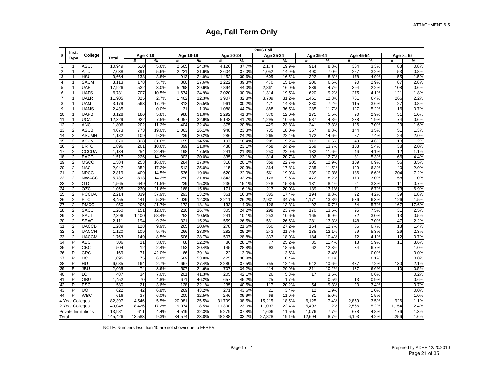|                         | Inst.                   |                             |         |            |       |           |       |           |       | <b>2006 Fall</b> |               |           |       |           |      |             |       |
|-------------------------|-------------------------|-----------------------------|---------|------------|-------|-----------|-------|-----------|-------|------------------|---------------|-----------|-------|-----------|------|-------------|-------|
| #                       | <b>Type</b>             | College                     | Total   | Age $<$ 18 |       | Age 18-19 |       | Age 20-24 |       | Age 25-34        |               | Age 35-44 |       | Age 45-54 |      | Age $>= 55$ |       |
|                         |                         |                             |         | #          | ℅     | #         | %     | #         | %     | #                | $\frac{9}{6}$ | #         | %     | #         | %    | #           | %     |
| $\mathbf{1}$            |                         | ASUJ                        | 10,949  | 610        | 5.6%  | 2,665     | 24.3% | 4,126     | 37.7% | 2,174            | 19.9%         | 914       | 8.3%  | 364       | 3.3% | 88          | 0.8%  |
| $\overline{2}$          | $\overline{1}$          | <b>ATU</b>                  | 7,038   | 391        | 5.6%  | 2,221     | 31.6% | 2,604     | 37.0% | 1,052            | 14.9%         | 490       | 7.0%  | 227       | 3.2% | 53          | 0.8%  |
| 3                       | $\mathbf{1}$            | <b>HSU</b>                  | 3,664   | 138        | 3.8%  | 913       | 24.9% | 1,452     | 39.6% | 605              | 16.5%         | 322       | 8.8%  | 178       | 4.9% | 55          | 1.5%  |
| $\overline{\mathbf{4}}$ | $\mathbf{1}$            | <b>SAUM</b>                 | 3,113   | 178        | 5.7%  | 860       | 27.6% | 1,222     | 39.3% | 470              | 15.1%         | 206       | 6.6%  | 90        | 2.9% | 87          | 2.8%  |
| 5                       | 1                       | <b>UAF</b>                  | 17,926  | 532        | 3.0%  | 5,298     | 29.6% | 7,894     | 44.0% | 2,861            | 16.0%         | 839       | 4.7%  | 394       | 2.2% | 108         | 0.6%  |
| 6                       | -1                      | <b>UAFS</b>                 | 6,73'   | 707        | 10.5% | 1,674     | 24.9% | 2,020     | 30.0% | 1,314            | 19.5%         | 620       | 9.2%  | 275       | 4.1% | 121         | 1.8%  |
| $\overline{7}$          |                         | <b>UALR</b>                 | 11,905  | 325        | 2.7%  | 1,462     | 12.3% | 3,907     | 32.8% | 3,709            | 31.2%         | 1,461     | 12.3% | 761       | 6.4% | 266         | 2.2%  |
| 8                       | 1                       | <b>UAM</b>                  | 3,179   | 563        | 17.7% | 812       | 25.5% | 961       | 30.2% | 471              | 14.8%         | 230       | 7.2%  | 115       | 3.6% | 27          | 0.8%  |
| 9                       |                         | <b>UAMS</b>                 | 2,435   |            | 0.0%  | 31        | 1.3%  | 1,088     | 44.7% | 888              | 36.5%         | 285       | 11.7% | 127       | 5.2% | 16          | 0.7%  |
| 10                      | 1                       | <b>UAPB</b>                 | 3,128   | 180        | 5.8%  | 988       | 31.6% | 1,292     | 41.3% | 376              | 12.0%         | 171       | 5.5%  | 90        | 2.9% | 31          | 1.0%  |
| 11                      | 1                       | <b>UCA</b>                  | 12,329  | 922        | 7.5%  | 4,057     | 32.9% | 5,143     | 41.7% | 1,295            | 10.5%         | 587       | 4.8%  | 238       | 1.9% | 74          | 0.6%  |
| 12                      | $\overline{2}$          | <b>ANC</b>                  | 1,806   | 202        | 11.2% | 404       | 22.4% | 375       | 20.8% | 429              | 23.8%         | 241       | 13.3% | 126       | 7.0% | 29          | 1.6%  |
| 13                      | 2                       | <b>ASUB</b>                 | 4,073   | 773        | 19.0% | 1,063     | 26.1% | 948       | 23.3% | 735              | 18.0%         | 357       | 8.8%  | 144       | 3.5% | 51          | 1.3%  |
| 14                      | $\overline{2}$          | <b>ASUMH</b>                | 1,182   | 109        | 9.2%  | 239       | 20.2% | 286       | 24.2% | 265              | 22.4%         | 172       | 14.6% | 87        | 7.4% | 24          | 2.0%  |
| 15                      | $\overline{2}$          | <b>ASUN</b>                 | 1,070   | 338        | 31.6% | 155       | 14.5% | 197       | 18.4% | 205              | 19.2%         | 113       | 10.6% | 49        | 4.6% | 13          | 1.2%  |
| 16                      | $\overline{2}$          | <b>BRTC</b>                 | 1,896   | 201        | 10.6% | 399       | 21.0% | 438       | 23.1% | 458              | 24.2%         | 259       | 13.7% | 103       | 5.4% | 38          | 2.0%  |
| 17                      | $\overline{2}$          | CCCUA                       | 1,134   | 254        | 22.4% | 198       | 17.5% | 241       | 21.3% | 250              | 22.0%         | 132       | 11.6% | 46        | 4.1% | 12          | 1.1%  |
| 18                      | $\overline{2}$          | <b>EACC</b>                 | 1,517   | 226        | 14.9% | 303       | 20.0% | 335       | 22.1% | 314              | 20.7%         | 192       | 12.7% | 81        | 5.3% | 66          | 4.4%  |
| 19                      | 2                       | <b>MSCC</b>                 | 1,584   | 253        | 16.0% | 284       | 17.9% | 318       | 20.1% | 359              | 22.7%         | 205       | 12.9% | 109       | 6.9% | 56          | 3.5%  |
| 20                      | 2                       | <b>NAC</b>                  | 2,047   | 352        | 17.2% | 512       | 25.0% | 415       | 20.3% | 364              | 17.8%         | 235       | 11.5% | 129       | 6.3% | 40          | 2.0%  |
| 21                      | $\overline{2}$          | <b>NPCC</b>                 | 2,819   | 409        | 14.5% | 536       | 19.0% | 620       | 22.0% | 561              | 19.9%         | 289       | 10.3% | 186       | 6.6% | 204         | 7.2%  |
| 22                      | $\overline{2}$          | <b>NWACC</b>                | 5,732   | 813        | 14.2% | 1,250     | 21.8% | 1,843     | 32.2% | 1,126            | 19.6%         | 472       | 8.2%  | 170       | 3.0% | 58          | 1.0%  |
| 23                      | $\overline{\mathbf{c}}$ | <b>OTC</b>                  | 1,565   | 649        | 41.5% | 239       | 15.3% | 236       | 15.1% | 248              | 15.8%         | 131       | 8.4%  | 51        | 3.3% | 11          | 0.7%  |
| 24                      | $\overline{2}$          | OZC                         | 1,065   | 230        | 21.6% | 168       | 15.8% | 171       | 16.1% | 213              | 20.0%         | 139       | 13.1% | 71        | 6.7% | 73          | 6.9%  |
| 25                      | $\overline{2}$          | <b>PCCUA</b>                | 2,214   | 839        | 37.9% | 293       | 13.2% | 361       | 16.3% | 385              | 17.4%         | 194       | 8.8%  | 92        | 4.2% | 39          | 1.8%  |
| 26                      | 2                       | <b>PTC</b>                  | 8,455   | 441        | 5.2%  | 1,039     | 12.3% | 2,211     | 26.2% | 2,931            | 34.7%         | 1,171     | 13.8% | 536       | 6.3% | 126         | 1.5%  |
| $\overline{27}$         | $\overline{2}$          | <b>RMCC</b>                 | 950     | 206        | 21.7% | 172       | 18.1% | 133       | 14.0% | 126              | 13.3%         | 92        | 9.7%  | 54        | 5.7% | 167         | 17.6% |
| 28                      | 2                       | <b>SACC</b>                 | 1.260   | 151        | 12.0% | 210       | 16.7% | 305       | 24.2% | 298              | 23.7%         | 170       | 13.5% | 95        | 7.5% | 31          | 2.5%  |
| 29                      | $\overline{2}$          | <b>SAUT</b>                 | 2,396   | 1,400      | 58.4% | 252       | 10.5% | 241       | 10.1% | 253              | 10.6%         | 165       | 6.9%  | 72        | 3.0% | 13          | 0.5%  |
| 30                      | $\overline{2}$          | <b>SEAC</b>                 | 2,111   | 194        | 9.2%  | 321       | 15.2% | 559       | 26.5% | 561              | 26.6%         | 281       | 13.3% | 148       | 7.0% | 47          | 2.2%  |
| 31                      | 2                       | <b>UACCB</b>                | 1,289   | 128        | 9.9%  | 265       | 20.6% | 278       | 21.6% | 350              | 27.2%         | 164       | 12.7% | 86        | 6.7% | 18          | 1.4%  |
| 32                      | 2                       | <b>UACCH</b>                | 1,120   | 109        | 9.7%  | 266       | 23.8% | 282       | 25.2% | 243              | 21.7%         | 135       | 12.1% | 59        | 5.3% | 26          | 2.3%  |
| 33                      | $\overline{2}$          | <b>UACCM</b>                | 1,763   | 149        | 8.5%  | 506       | 28.7% | 507       | 28.8% | 333              | 18.9%         | 184       | 10.4% | 72        | 4.1% | 12          | 0.7%  |
| 34                      | P                       | <b>ABC</b>                  | 306     | 11         | 3.6%  | 68        | 22.2% | 86        | 28.1% | 77               | 25.2%         | 35        | 11.4% | 18        | 5.9% | 11          | 3.6%  |
| 35                      | P                       | CBC                         | 504     | 12         | 2.4%  | 153       | 30.4% | 145       | 28.8% | 93               | 18.5%         | 62        | 12.3% | 34        | 6.7% |             | 1.0%  |
| 36                      | P                       | CRC                         | 169     | 71         | 42.0% | 66        | 39.1% | 22        | 13.0% |                  | 3.6%          |           | 2.4%  |           | 0.0% |             | 0.0%  |
| 37                      | P                       | НC                          | 1,095   | 75         | 6.8%  | 589       | 53.8% | 425       | 38.8% |                  | 0.4%          |           | 0.1%  |           | 0.1% |             | 0.0%  |
| 38                      | P                       | HU                          | 6,085   | 164        | 2.7%  | 1,667     | 27.4% | 2,280     | 37.5% | 755              | 12.4%         | 642       | 10.6% | 437       | 7.2% | 130         | 2.1%  |
| 39                      | Þ                       | <b>JBU</b>                  | 2,065   | 74         | 3.6%  | 507       | 24.6% | 707       | 34.2% | 414              | 20.0%         | 211       | 10.2% | 137       | 6.6% | 10          | 0.5%  |
| 40                      | P                       | LC                          | 487     | 34         | 7.0%  | 201       | 41.3% | 205       | 42.1% | 26               | 5.3%          | 17        | 3.5%  |           | 0.6% |             | 0.2%  |
| 41                      | P                       | OBU                         | 1,452   | 70         | 4.8%  | 671       | 46.2% | 657       | 45.2% | 25               | 1.7%          |           | 0.5%  | 13        | 0.9% |             | 0.6%  |
| 42                      | P                       | <b>PSC</b>                  | 580     | 21         | 3.6%  | 128       | 22.1% | 235       | 40.5% | 117              | 20.2%         | 54        | 9.3%  | 20        | 3.4% |             | 0.7%  |
| 43                      | P                       | UO                          | 622     | 42         | 6.8%  | 269       | 43.2% | 271       | 43.6% | 21               | 3.4%          | 12        | 1.9%  |           | 1.0% |             | 0.0%  |
| 44                      | P                       | <b>WBC</b>                  | 616     | 37         | 6.0%  | 200       | 32.5% | 246       | 39.9% | 68               | 11.0%         | 31        | 5.0%  |           | 1.5% |             | 1.0%  |
|                         | 4-Year Colleges         |                             | 82,397  | 4,546      | 5.5%  | 20,981    | 25.5% | 31,709    | 38.5% | 15,215           | 18.5%         | 6,125     | 7.4%  | 2,859     | 3.5% | 926         | 1.1%  |
|                         | 2-Year Colleges         |                             | 49,048  | 8,426      | 17.2% | 9,074     | 18.5% | 11,300    | 23.0% | 11,007           | 22.4%         | 5,493     | 11.2% | 2,566     | 5.2% | 1,154       | 2.4%  |
|                         |                         | <b>Private Institutions</b> | 13,981  | 611        | 4.4%  | 4,519     | 32.3% | 5,279     | 37.8% | 1,606            | 11.5%         | 1,076     | 7.7%  | 678       | 4.8% | 176         | 1.3%  |
| Total                   |                         |                             | 145,426 | 13,583     | 9.3%  | 34,574    | 23.8% | 48,288    | 33.2% | 27,828           | 19.1%         | 12,694    | 8.7%  | 6,103     | 4.2% | 2,256       | 1.6%  |

NOTE: Numbers less than 10 are not shown due to FERPA.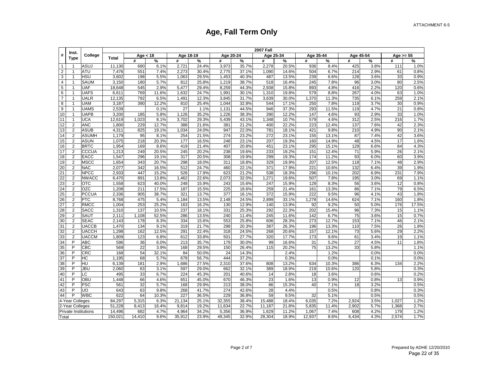|                 | Inst.           |                      |         |            |       |           |       |           |       | <b>2007 Fall</b> |               |             |       |           |               |             |       |
|-----------------|-----------------|----------------------|---------|------------|-------|-----------|-------|-----------|-------|------------------|---------------|-------------|-------|-----------|---------------|-------------|-------|
| #               | <b>Type</b>     | College              | Total   | Age $<$ 18 |       | Age 18-19 |       | Age 20-24 |       | Age 25-34        |               | Age $35-44$ |       | Age 45-54 |               | Age $>= 55$ |       |
|                 |                 |                      |         | #          | ℅     | #         | %     | #         | %     | #                | $\frac{9}{6}$ | #           | %     | #         | $\frac{9}{6}$ | #           | %     |
| $\mathbf{1}$    |                 | ASUJ                 | 11,130  | 680        | 6.1%  | 2,721     | 24.4% | 3,973     | 35.7% | 2,278            | 20.5%         | 936         | 8.4%  | 425       | 3.8%          | 111         | 1.0%  |
| 2               | $\overline{1}$  | <b>ATU</b>           | 7,476   | 551        | 7.4%  | 2,273     | 30.4% | 2,775     | 37.1% | 1,090            | 14.6%         | 504         | 6.7%  | 214       | 2.9%          | 61          | 0.8%  |
| 3               | $\mathbf{1}$    | <b>HSU</b>           | 3,602   | 198        | 5.5%  | 1,063     | 29.5% | 1,453     | 40.3% | 487              | 13.5%         | 239         | 6.6%  | 128       | 3.6%          | 33          | 0.9%  |
| $\sqrt{4}$      | $\mathbf{1}$    | <b>SAUM</b>          | 3,150   | 180        | 5.7%  | 812       | 25.8% | 1,219     | 38.7% | 518              | 16.4%         | 245         | 7.8%  | 96        | 3.0%          | 80          | 2.5%  |
| $\sqrt{5}$      | $\mathbf{1}$    | <b>UAF</b>           | 18,648  | 545        | 2.9%  | 5,477     | 29.4% | 8,259     | 44.3% | 2,938            | 15.8%         | 893         | 4.8%  | 416       | 2.2%          | 120         | 0.6%  |
| 6               | 1               | <b>UAFS</b>          | 6,61'   | 769        | 11.6% | 1,632     | 24.7% | 1,991     | 30.1% | 1,310            | 19.8%         | 579         | 8.8%  | 267       | 4.0%          | 63          | 1.0%  |
| $\overline{7}$  | 1               | <b>UALR</b>          | 12,135  | 792        | 6.5%  | 1,491     | 12.3% | 3,845     | 31.7% | 3,639            | 30.0%         | 1,370       | 11.3% | 735       | 6.1%          | 259         | 2.1%  |
| 8               | $\overline{1}$  | <b>UAM</b>           | 3,187   | 390        | 12.2% | 810       | 25.4% | 1,044     | 32.8% | 544              | 17.1%         | 250         | 7.8%  | 119       | 3.7%          | 30          | 0.9%  |
| 9               |                 | <b>UAMS</b>          | 2,539   |            | 0.1%  | 27        | 1.1%  | 1,131     | 44.5% | 946              | 37.3%         | 293         | 11.5% | 119       | 4.7%          | 21          | 0.8%  |
| 10              | 1               | <b>UAPB</b>          | 3,200   | 185        | 5.8%  | 1,126     | 35.2% | 1,226     | 38.3% | 390              | 12.2%         | 147         | 4.6%  | 93        | 2.9%          | 33          | 1.0%  |
| 11              |                 | <b>UCA</b>           | 12,619  | 1,023      | 8.1%  | 3,702     | 29.3% | 5,439     | 43.1% | 1,348            | 10.7%         | 579         | 4.6%  | 312       | 2.5%          | 216         | 1.7%  |
| 12              | $\overline{2}$  | <b>ANC</b>           | 1,800   | 229        | 12.7% | 388       | 21.6% | 381       | 21.2% | 400              | 22.2%         | 223         | 12.4% | 137       | 7.6%          | 42          | 2.3%  |
| 13              | 2               | <b>ASUB</b>          | 4,311   | 825        | 19.1% | 1,034     | 24.0% | 947       | 22.0% | 781              | 18.1%         | 421         | 9.8%  | 210       | 4.9%          | 90          | 2.1%  |
| 14              | $\overline{2}$  | <b>ASUMH</b>         | 1,179   | 95         | 8.1%  | 254       | 21.5% | 274       | 23.2% | 272              | 23.1%         | 155         | 13.1% | 87        | 7.4%          | 42          | 3.6%  |
| 15              | 2               | <b>ASUN</b>          | 1,075   | 218        | 20.3% | 177       | 16.5% | 248       | 23.1% | 207              | 19.3%         | 160         | 14.9% | 48        | 4.5%          | 17          | 1.6%  |
| 16              | $\overline{2}$  | <b>BRTC</b>          | 1,954   | 169        | 8.6%  | 419       | 21.4% | 407       | 20.8% | 451              | 23.1%         | 295         | 15.1% | 129       | 6.6%          | 84          | 4.3%  |
| 17              | $\overline{2}$  | <b>CCCUA</b>         | 1,213   | 249        | 20.5% | 245       | 20.2% | 238       | 19.6% | 233              | 19.2%         | 151         | 12.4% | 71        | 5.9%          | 26          | 2.1%  |
| 18              | 2               | EACC                 | 1,547   | 296        | 19.1% | 317       | 20.5% | 308       | 19.9% | 299              | 19.3%         | 174         | 11.2% | 93        | 6.0%          | 60          | 3.9%  |
| 19              | 2               | <b>MSCC</b>          | 1,654   | 343        | 20.7% | 298       | 18.0% | 311       | 18.8% | 329              | 19.9%         | 207         | 12.5% | 118       | 7.1%          | 48          | 2.9%  |
| 20              | 2               | <b>NAC</b>           | 2,077   | 342        | 16.5% | 512       | 24.7% | 460       | 22.1% | 371              | 17.9%         | 221         | 10.6% | 132       | 6.4%          | 39          | 1.9%  |
| 21              | $\overline{2}$  | <b>NPCC</b>          | 2,933   | 447        | 15.2% | 526       | 17.9% | 623       | 21.2% | 538              | 18.3%         | 296         | 10.1% | 202       | 6.9%          | 231         | 7.9%  |
| 22              | 2               | <b>NWACC</b>         | 6,470   | 891        | 13.8% | 1,462     | 22.6% | 2,073     | 32.0% | 1,271            | 19.6%         | 507         | 7.8%  | 195       | 3.0%          | 69          | 1.1%  |
| 23              | $\overline{2}$  | <b>OTC</b>           | 1,558   | 623        | 40.0% | 248       | 15.9% | 243       | 15.6% | 247              | 15.9%         | 129         | 8.3%  | 56        | 3.6%          | 12          | 0.8%  |
| $\overline{24}$ | $\overline{2}$  | <b>OZC</b>           | 1,208   | 211        | 17.5% | 187       | 15.5% | 225       | 18.6% | 259              | 21.4%         | 161         | 13.3% | 86        | 7.1%          | 79          | 6.5%  |
| 25              | $\overline{c}$  | <b>PCCUA</b>         | 2,336   | 905        | 38.7% | 321       | 13.7% | 377       | 16.1% | 372              | 15.9%         | 222         | 9.5%  | 96        | 4.1%          | 43          | 1.8%  |
| 26              | $\overline{2}$  | PTC                  | 8,768   | 475        | 5.4%  | 1,184     | 13.5% | 2,148     | 24.5% | 2,899            | 33.1%         | 1,278       | 14.6% | 624       | 7.1%          | 160         | 1.8%  |
| 27              | $\overline{2}$  | <b>RMCC</b>          | 1,004   | 253        | 25.2% | 163       | 16.2% | 130       | 12.9% | 140              | 13.9%         | 92          | 9.2%  | 50        | 5.0%          | 176         | 17.5% |
| 28              | 2               | <b>SACC</b>          | 1,310   | 137        | 10.5% | 237       | 18.1% | 331       | 25.3% | 292              | 22.3%         | 202         | 15.4% | 96        | 7.3%          | 15          | 1.1%  |
| 29              | $\overline{2}$  | <b>SAUT</b>          | 2,111   | 1,108      | 52.5% | 286       | 13.5% | 240       | 11.4% | 245              | 11.6%         | 142         | 6.7%  | 75        | 3.6%          | 15          | 0.7%  |
| 30              | $\overline{2}$  | <b>SEAC</b>          | 2,143   | 178        | 8.3%  | 334       | 15.6% | 553       | 25.8% | 606              | 28.3%         | 273         | 12.7% | 153       | 7.1%          | 46          | 2.1%  |
| 31              | 2               | <b>UACCB</b>         | 1,470   | 134        | 9.1%  | 319       | 21.7% | 298       | 20.3% | 387              | 26.3%         | 196         | 13.3% | 110       | 7.5%          | 26          | 1.8%  |
| 32              | 2               | <b>UACCH</b>         | 1,298   | 162        | 12.5% | 291       | 22.4% | 318       | 24.5% | 268              | 20.6%         | 157         | 12.1% | 73        | 5.6%          | 29          | 2.2%  |
| 33              | 2               | <b>UACCM</b>         | 1,809   | 123        | 6.8%  | 612       | 33.8% | 501       | 27.7% | 320              | 17.7%         | 173         | 9.6%  | 61        | 3.4%          | 19          | 1.1%  |
| 34              | P               | <b>ABC</b>           | 596     | 36         | 6.0%  | 213       | 35.7% | 179       | 30.0% | 99               | 16.6%         | 31          | 5.2%  | 27        | 4.5%          | 11          | 1.8%  |
| 35              | P               | CBC                  | 569     | 22         | 3.9%  | 168       | 29.5% | 150       | 26.4% | 115              | 20.2%         | 75          | 13.2% | 33        | 5.8%          |             | 1.1%  |
| 36              | P               | CRC                  | 168     | 54         | 32.1% | 84        | 50.0% | 24        | 14.3% |                  | 2.4%          |             | 1.2%  |           | 0.0%          |             | 0.0%  |
| 37              | P               | HC                   | 1,195   | 68         | 5.7%  | 678       | 56.7% | 444       | 37.2% |                  | 0.3%          |             | 0.0%  |           | 0.1%          |             | 0.0%  |
| 38              | P               | HU                   | 6,139   | 181        | 2.9%  | 1,686     | 27.5% | 2.310     | 37.6% | 808              | 13.2%         | 634         | 10.3% | 386       | 6.3%          | 134         | 2.2%  |
| 39              | P               | <b>JBU</b>           | 2,060   | 63         | 3.1%  | 597       | 29.0% | 662       | 32.1% | 389              | 18.9%         | 219         | 10.6% | 120       | 5.8%          |             | 0.3%  |
| 40              | P               | LC                   | 495     | 33         | 6.7%  | 224       | 45.3% | 201       | 40.6% | 14               | 2.8%          | 18          | 3.6%  |           | 0.6%          |             | 0.2%  |
| 41              | Þ               | OBU                  | 1,448   | 66         | 4.6%  | 651       | 45.0% | 670       | 46.3% | 23               | 1.6%          | 13          | 0.9%  | 12        | 0.8%          | 13          | 0.9%  |
| 42              | P               | PSC                  | 561     | 32         | 5.7%  | 168       | 29.9% | 213       | 38.0% | 86               | 15.3%         | 40          | 7.1%  | 18        | 3.2%          |             | 0.5%  |
| 43              | P               | <b>UO</b>            | 643     | 63         | 9.8%  | 268       | 41.7% | 274       | 42.6% | 28               | 4.4%          |             | 0.5%  |           | 0.8%          |             | 0.3%  |
| 44              | P               | <b>WBC</b>           | 622     | 64         | 10.3% | 227       | 36.5% | 229       | 36.8% | 59               | 9.5%          | 32          | 5.1%  |           | 0.5%          |             | 0.5%  |
|                 | 4-Year Colleges |                      | 84,297  | 5,315      | 6.3%  | 21,134    | 25.1% | 32,355    | 38.4% | 15,488           | 18.4%         | 6,035       | 7.2%  | 2,924     | 3.5%          | 1,027       | 1.2%  |
|                 | 2-Year Colleges |                      | 51,228  | 8,413      | 16.4% | 9,814     | 19.2% | 11,634    | 22.7% | 11,187           | 21.8%         | 5,835       | 11.4% | 2,902     | 5.7%          | 1,368       | 2.7%  |
|                 |                 | Private Institutions | 14,496  | 682        | 4.7%  | 4,964     | 34.2% | 5,356     | 36.9% | 1,629            | 11.2%         | 1,067       | 7.4%  | 608       | 4.2%          | 179         | 1.2%  |
| Total           |                 |                      | 150,021 | 14,410     | 9.6%  | 35,912    | 23.9% | 49,345    | 32.9% | 28,304           | 18.9%         | 12,937      | 8.6%  | 6,434     | 4.3%          | 2,574       | 1.7%  |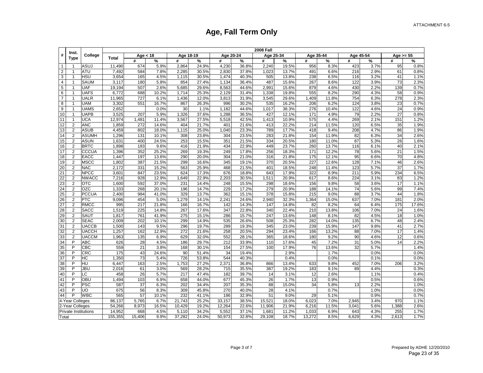|                | Inst.                   |              |              |            |       |           |       |           |       | <b>2008 Fall</b> |       |           |       |           |      |             |       |
|----------------|-------------------------|--------------|--------------|------------|-------|-----------|-------|-----------|-------|------------------|-------|-----------|-------|-----------|------|-------------|-------|
| #              | <b>Type</b>             | College      | <b>Total</b> | Age $<$ 18 |       | Age 18-19 |       | Age 20-24 |       | Age 25-34        |       | Age 35-44 |       | Age 45-54 |      | Age $>= 55$ |       |
|                |                         |              |              | #          | %     | #         | %     | #         | %     | #                | %     | #         | %     | #         | %    | #           | %     |
| $\mathbf{1}$   | 1                       | ASUJ         | 11,490       | 674        | 5.9%  | 2,864     | 24.9% | 4,230     | 36.8% | 2,240            | 19.5% | 956       | 8.3%  | 423       | 3.7% | 95          | 0.8%  |
| 2              | 1                       | ATU          | 7,492        | 584        | 7.8%  | 2,285     | 30.5% | 2,830     | 37.8% | 1,023            | 13.7% | 491       | 6.6%  | 216       | 2.9% | 61          | 0.8%  |
| 3              | 1                       | HSU          | 3,654        | 165        | 4.5%  | 1,115     | 30.5% | 1,474     | 40.3% | 505              | 13.8% | 238       | 6.5%  | 116       | 3.2% | 41          | 1.1%  |
| $\overline{4}$ | $\mathbf{1}$            | <b>SAUM</b>  | 3,117        | 180        | 5.8%  | 854       | 27.4% | 1,134     | 36.4% | 487              | 15.6% | 267       | 8.6%  | 122       | 3.9% | 73          | 2.3%  |
| $\sqrt{5}$     | $\mathbf{1}$            | <b>UAF</b>   | 19,194       | 507        | 2.6%  | 5,685     | 29.6% | 8,563     | 44.6% | 2,991            | 15.6% | 879       | 4.6%  | 430       | 2.2% | 139         | 0.7%  |
| 6              | 1                       | <b>UAFS</b>  | 6,772        | 688        | 10.2% | 1,714     | 25.3% | 2,129     | 31.4% | 1,338            | 19.8% | 555       | 8.2%  | 290       | 4.3% | 58          | 0.9%  |
| $\overline{7}$ | $\overline{1}$          | <b>UALR</b>  | 11,965       | 727        | 6.1%  | 1,436     | 12.0% | 3,813     | 31.9% | 3,545            | 29.6% | 1,409     | 11.8% | 754       | 6.3% | 278         | 2.3%  |
| 8              | $\overline{1}$          | <b>UAM</b>   | 3,302        | 551        | 16.7% | 867       | 26.3% | 996       | 30.2% | 535              | 16.2% | 206       | 6.2%  | 124       | 3.8% | 23          | 0.7%  |
| 9              | 1                       | <b>UAMS</b>  | 2,652        |            | 0.0%  | 30        | 1.1%  | 1,182     | 44.6% | 1,017            | 38.3% | 276       | 10.4% | 122       | 4.6% | 24          | 0.9%  |
| 10             | 1                       | <b>UAPB</b>  | 3,525        | 207        | 5.9%  | 1,326     | 37.6% | 1,288     | 36.5% | 427              | 12.1% | 171       | 4.9%  | 79        | 2.2% | 27          | 0.8%  |
| 11             | 1                       | UCA          | 12,974       | 1,481      | 11.4% | 3,567     | 27.5% | 5,518     | 42.5% | 1,413            | 10.9% | 575       | 4.4%  | 269       | 2.1% | 151         | 1.2%  |
| 12             | $\overline{2}$          | <b>ANC</b>   | 1,859        | 272        | 14.6% | 404       | 21.7% | 401       | 21.6% | 413              | 22.2% | 214       | 11.5% | 120       | 6.5% | 35          | 1.9%  |
| 13             | $\overline{2}$          | <b>ASUB</b>  | 4,459        | 802        | 18.0% | 1,115     | 25.0% | 1,040     | 23.3% | 789              | 17.7% | 418       | 9.4%  | 208       | 4.7% | 86          | 1.9%  |
| 14             | 2                       | <b>ASUMH</b> | 1,296        | 131        | 10.1% | 308       | 23.8% | 304       | 23.5% | 283              | 21.8% | 154       | 11.9% | 82        | 6.3% | 34          | 2.6%  |
| 15             | $\overline{c}$          | <b>ASUN</b>  | 1,631        | 400        | 24.5% | 253       | 15.5% | 351       | 21.5% | 334              | 20.5% | 180       | 11.0% | 87        | 5.3% | 26          | 1.6%  |
| 16             | $\overline{2}$          | <b>BRTC</b>  | 1,898        | 183        | 9.6%  | 416       | 21.9% | 434       | 22.9% | 449              | 23.7% | 260       | 13.7% | 116       | 6.1% | 40          | 2.1%  |
| 17             | $\overline{\mathbf{c}}$ | <b>CCCUA</b> | 1,396        | 352        | 25.2% | 269       | 19.3% | 249       | 17.8% | 256              | 18.3% | 171       | 12.2% | 78        | 5.6% | 21          | 1.5%  |
| 18             | 2                       | <b>EACC</b>  | 1,447        | 197        | 13.6% | 290       | 20.0% | 304       | 21.0% | 316              | 21.8% | 175       | 12.1% | 95        | 6.6% | 70          | 4.8%  |
| 19             | $\overline{2}$          | <b>MSCC</b>  | 1,802        | 387        | 21.5% | 299       | 16.6% | 345       | 19.1% | 370              | 20.5% | 227       | 12.6% | 128       | 7.1% | 46          | 2.6%  |
| 20             | $\overline{2}$          | <b>NAC</b>   | 2,172        | 331        | 15.2% | 563       | 25.9% | 468       | 21.5% | 401              | 18.5% | 248       | 11.4% | 123       | 5.7% | 37          | 1.7%  |
| 21             | $\overline{2}$          | <b>NPCC</b>  | 3,601        | 847        | 23.5% | 624       | 17.3% | 676       | 18.8% | 643              | 17.9% | 322       | 8.9%  | 211       | 5.9% | 234         | 6.5%  |
| 22             | $\overline{c}$          | <b>NWACC</b> | 7,216        | 928        | 12.9% | 1,649     | 22.9% | 2,203     | 30.5% | 1,511            | 20.9% | 617       | 8.6%  | 224       | 3.1% | 83          | 1.2%  |
| 23             | $\overline{\mathbf{c}}$ | <b>OTC</b>   | 1,600        | 592        | 37.0% | 231       | 14.4% | 248       | 15.5% | 298              | 18.6% | 156       | 9.8%  | 58        | 3.6% | 17          | 1.1%  |
| 24             | $\overline{2}$          | <b>OZC</b>   | 1,333        | 268        | 20.1% | 196       | 14.7% | 229       | 17.2% | 279              | 20.9% | 188       | 14.1% | 74        | 5.6% | 99          | 7.4%  |
| 25             | $\overline{c}$          | <b>PCCUA</b> | 2,400        | 984        | 41.0% | 329       | 13.7% | 362       | 15.1% | 378              | 15.8% | 215       | 9.0%  | 88        | 3.7% | 44          | 1.8%  |
| 26             | $\overline{c}$          | <b>PTC</b>   | 9,096        | 454        | 5.0%  | 1,279     | 14.1% | 2,241     | 24.6% | 2,940            | 32.3% | 1,364     | 15.0% | 637       | 7.0% | 181         | 2.0%  |
| 27             | 2                       | <b>RMCC</b>  | 995          | 217        | 21.8% | 166       | 16.7% | 142       | 14.3% | 147              | 14.8% | 82        | 8.2%  | 64        | 6.4% | 175         | 17.6% |
| 28             | 2                       | <b>SACC</b>  | 1,519        | 225        | 14.8% | 267       | 17.6% | 347       | 22.8% | 340              | 22.4% | 210       | 13.8% | 106       | 7.0% | 24          | 1.6%  |
| 29             | $\overline{2}$          | SAUT         | 1,817        | 761        | 41.9% | 275       | 15.1% | 286       | 15.7% | 247              | 13.6% | 148       | 8.1%  | 82        | 4.5% | 18          | 1.0%  |
| 30             | $\overline{2}$          | <b>SEAC</b>  | 2,009        | 202        | 10.1% | 299       | 14.9% | 535       | 26.6% | 508              | 25.3% | 282       | 14.0% | 135       | 6.7% | 48          | 2.4%  |
| 31             | $\overline{2}$          | <b>UACCB</b> | 1,500        | 143        | 9.5%  | 296       | 19.7% | 289       | 19.3% | 345              | 23.0% | 239       | 15.9% | 147       | 9.8% | 41          | 2.7%  |
| 32             | $\overline{2}$          | <b>UACCH</b> | 1,257        | 162        | 12.9% | 272       | 21.6% | 258       | 20.5% | 294              | 23.4% | 166       | 13.2% | 88        | 7.0% | 17          | 1.4%  |
| 33             | $\overline{c}$          | <b>UACCM</b> | 1,963        | 135        | 6.9%  | 629       | 32.0% | 552       | 28.1% | 365              | 18.6% | 180       | 9.2%  | 90        | 4.6% | 12          | 0.6%  |
| 34             | P                       | <b>ABC</b>   | 626          | 28         | 4.5%  | 186       | 29.7% | 212       | 33.9% | 110              | 17.6% | 45        | 7.2%  | 31        | 5.0% | 14          | 2.2%  |
| $35\,$         | P                       | CBC          | 559          | 21         | 3.8%  | 168       | 30.1% | 154       | 27.5% | 100              | 17.9% | 76        | 13.6% | 32        | 5.7% |             | 1.4%  |
| 36             | P                       | <b>CRC</b>   | 175          | 43         | 24.6% | 90        | 51.4% | 34        | 19.4% |                  | 2.9%  |           | 1.7%  |           | 0.0% |             | 0.0%  |
| 37             | P                       | HC           | 1,350        | 73         | 5.4%  | 726       | 53.8% | 544       | 40.3% |                  | 0.4%  |           | 0.0%  |           | 0.1% |             | 0.0%  |
| 38             | P                       | HU           | 6,447        | 163        | 2.5%  | 1,753     | 27.2% | 2,371     | 36.8% | 866              | 13.4% | 633       | 9.8%  | 452       | 7.0% | 206         | 3.2%  |
| 39             | P                       | JBU          | 2,016        | 61         | 3.0%  | 569       | 28.2% | 715       | 35.5% | 387              | 19.2% | 183       | 9.1%  | 89        | 4.4% |             | 0.3%  |
| 40             | P                       | LC           | 458          | 26         | 5.7%  | 217       | 47.4% | 182       | 39.7% | 14               | 3.1%  | 12        | 2.6%  |           | 1.1% |             | 0.4%  |
| 41             | P                       | OBU          | 1,494        | 103        | 6.9%  | 658       | 44.0% | 677       | 45.3% | 26               | 1.7%  | 13        | 0.9%  |           | 0.5% |             | 0.6%  |
| 42             | P                       | <b>PSC</b>   | 587          | 37         | 6.3%  | 202       | 34.4% | 207       | 35.3% | 88               | 15.0% | 34        | 5.8%  | 13        | 2.2% |             | 1.0%  |
| 43             | P                       | UO           | 675          | 56         | 8.3%  | 309       | 45.8% | 270       | 40.0% | 28               | 4.1%  |           | 0.7%  |           | 1.0% |             | 0.0%  |
| 44             | P                       | <b>WBC</b>   | 565          | 57         | 10.1% | 232       | 41.1% | 186       | 32.9% | 51               | 9.0%  | 29        | 5.1%  |           | 0.9% |             | 0.7%  |
|                | 4-Year Colleges         |              | 86,137       | 5,765      | 6.7%  | 21,743    | 25.2% | 33,157    | 38.5% | 15,521           | 18.0% | 6,023     | 7.0%  | 2,945     | 3.4% | 970         | 1.1%  |
|                | 2-Year Colleges         |              | 54,266       | 8,973      | 16.5% | 10,429    | 19.2% | 12,264    | 22.6% | 11,906           | 21.9% | 6,216     | 11.5% | 3,041     | 5.6% | 1,388       | 2.6%  |
|                | Private Institutions    |              | 14,952       | 668        | 4.5%  | 5,110     | 34.2% | 5,552     | 37.1% | 1,681            | 11.2% | 1,033     | 6.9%  | 643       | 4.3% | 255         | 1.7%  |
| Total          |                         |              | 155,355      | 15,406     | 9.9%  | 37,282    | 24.0% | 50,973    | 32.8% | 29,108           | 18.7% | 13,272    | 8.5%  | 6,629     | 4.3% | 2,613       | 1.7%  |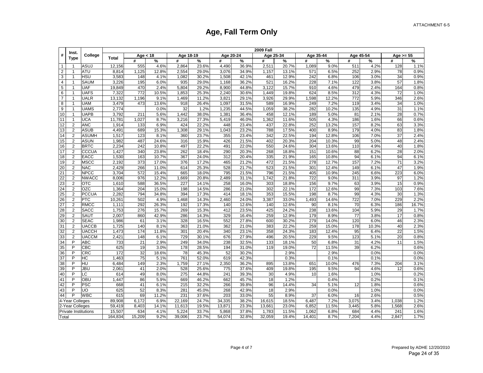|                | Inst.                   |              |         |            |       |           |       |           |       | <b>2009 Fall</b> |       |           |       |           |       |             |       |
|----------------|-------------------------|--------------|---------|------------|-------|-----------|-------|-----------|-------|------------------|-------|-----------|-------|-----------|-------|-------------|-------|
| #              | <b>Type</b>             | College      | Total   | Age $<$ 18 |       | Age 18-19 |       | Age 20-24 |       | Age 25-34        |       | Age 35-44 |       | Age 45-54 |       | Age $>= 55$ |       |
|                |                         |              |         | #          | %     | #         | %     | #         | %     | #                | %     | #         | %     | #         | %     | #           | %     |
| $\mathbf{1}$   | 1                       | ASUJ         | 12,156  | 555        | 4.6%  | 2,864     | 23.6% | 4,490     | 36.9% | 2,511            | 20.7% | 1,089     | 9.0%  | 511       | 4.2%  | 128         | 1.1%  |
| 2              | 1                       | ATU          | 8,814   | 1,125      | 12.8% | 2,554     | 29.0% | 3,076     | 34.9% | 1,157            | 13.1% | 571       | 6.5%  | 252       | 2.9%  | 78          | 0.9%  |
| 3              | 1                       | HSU          | 3,583   | 148        | 4.1%  | 1,082     | 30.2% | 1,508     | 42.1% | 461              | 12.9% | 242       | 6.8%  | 106       | 3.0%  | 34          | 0.9%  |
| $\overline{4}$ | $\mathbf{1}$            | <b>SAUM</b>  | 3,226   | 195        | 6.0%  | 935       | 29.0% | 1,168     | 36.2% | 521              | 16.2% | 228       | 7.1%  | 122       | 3.8%  | 57          | 1.8%  |
| $\sqrt{5}$     | $\mathbf{1}$            | <b>UAF</b>   | 19,849  | 470        | 2.4%  | 5,804     | 29.2% | 8,900     | 44.8% | 3,122            | 15.7% | 910       | 4.6%  | 479       | 2.4%  | 164         | 0.8%  |
| 6              | 1                       | <b>UAFS</b>  | 7,322   | 772        | 10.5% | 1,853     | 25.3% | 2,240     | 30.6% | 1,449            | 19.8% | 624       | 8.5%  | 312       | 4.3%  | 72          | 1.0%  |
| $\overline{7}$ | $\overline{1}$          | <b>UALR</b>  | 13,132  | 1,196      | 9.1%  | 1,469     | 11.2% | 3,821     | 29.1% | 3,926            | 29.9% | 1,598     | 12.2% | 772       | 5.9%  | 346         | 2.6%  |
| 8              | $\overline{1}$          | <b>UAM</b>   | 3,479   | 473        | 13.6% | 918       | 26.4% | 1,097     | 31.5% | 589              | 16.9% | 249       | 7.2%  | 119       | 3.4%  | 34          | 1.0%  |
| 9              | 1                       | <b>UAMS</b>  | 2,774   |            | 0.0%  | 32        | 1.2%  | 1,235     | 44.5% | 1,059            | 38.2% | 282       | 10.2% | 135       | 4.9%  | 31          | 1.1%  |
| 10             | 1                       | <b>UAPB</b>  | 3,792   | 211        | 5.6%  | 1,442     | 38.0% | 1,381     | 36.4% | 458              | 12.1% | 189       | 5.0%  | 81        | 2.1%  | 28          | 0.7%  |
| 11             | 1                       | UCA          | 11,78'  | 1,027      | 8.7%  | 3,216     | 27.3% | 5,419     | 46.0% | 1,362            | 11.6% | 505       | 4.3%  | 186       | 1.6%  | 66          | 0.6%  |
| 12             | $\overline{2}$          | <b>ANC</b>   | 1,914   | 133        | 6.9%  | 424       | 22.2% | 448       | 23.4% | 437              | 22.8% | 252       | 13.2% | 157       | 8.2%  | 63          | 3.3%  |
| 13             | $\overline{2}$          | <b>ASUB</b>  | 4,491   | 689        | 15.3% | 1,308     | 29.1% | 1,043     | 23.2% | 788              | 17.5% | 400       | 8.9%  | 179       | 4.0%  | 83          | 1.8%  |
| 14             | 2                       | <b>ASUMH</b> | 1,517   | 123        | 8.1%  | 360       | 23.7% | 355       | 23.4% | 342              | 22.5% | 194       | 12.8% | 106       | 7.0%  | 37          | 2.4%  |
| 15             | $\overline{c}$          | <b>ASUN</b>  | 1,982   | 487        | 24.6% | 316       | 15.9% | 426       | 21.5% | 402              | 20.3% | 204       | 10.3% | 99        | 5.0%  | 48          | 2.4%  |
| 16             | $\overline{2}$          | <b>BRTC</b>  | 2,234   | 242        | 10.8% | 497       | 22.2% | 491       | 22.0% | 550              | 24.6% | 304       | 13.6% | 110       | 4.9%  | 40          | 1.8%  |
| 17             | $\overline{\mathbf{c}}$ | <b>CCCUA</b> | 1,427   | 340        | 23.8% | 262       | 18.4% | 290       | 20.3% | 268              | 18.8% | 151       | 10.6% | 88        | 6.2%  | 28          | 2.0%  |
| 18             | 2                       | <b>EACC</b>  | 1,530   | 163        | 10.7% | 367       | 24.0% | 312       | 20.4% | 335              | 21.9% | 165       | 10.8% | 94        | 6.1%  | 94          | 6.1%  |
| 19             | $\overline{2}$          | <b>MSCC</b>  | 2,192   | 373        | 17.0% | 376       | 17.2% | 465       | 21.2% | 472              | 21.5% | 278       | 12.7% | 157       | 7.2%  | 71          | 3.2%  |
| 20             | $\overline{2}$          | <b>NAC</b>   | 2,429   | 266        | 11.0% | 614       | 25.3% | 528       | 21.7% | 523              | 21.5% | 301       | 12.4% | 149       | 6.1%  | 47          | 1.9%  |
| 21             | $\overline{2}$          | <b>NPCC</b>  | 3,704   | 572        | 15.4% | 665       | 18.0% | 795       | 21.5% | 796              | 21.5% | 405       | 10.9% | 245       | 6.6%  | 223         | 6.0%  |
| 22             | $\overline{c}$          | <b>NWACC</b> | 8,006   | 976        | 12.2% | 1,669     | 20.8% | 2,489     | 31.1% | 1,742            | 21.8% | 722       | 9.0%  | 311       | 3.9%  | 97          | 1.2%  |
| 23             | $\overline{\mathbf{c}}$ | <b>OTC</b>   | 1,610   | 588        | 36.5% | 227       | 14.1% | 258       | 16.0% | 303              | 18.8% | 156       | 9.7%  | 63        | 3.9%  | 15          | 0.9%  |
| 24             | $\overline{c}$          | <b>OZC</b>   | 1,364   | 204        | 15.0% | 198       | 14.5% | 286       | 21.0% | 302              | 22.1% | 172       | 12.6% | 99        | 7.3%  | 103         | 7.6%  |
| 25             | $\overline{c}$          | <b>PCCUA</b> | 2,282   | 794        | 34.8% | 394       | 17.3% | 414       | 18.1% | 353              | 15.5% | 198       | 8.7%  | 99        | 4.3%  | 30          | 1.3%  |
| 26             | $\overline{c}$          | <b>PTC</b>   | 10,261  | 502        | 4.9%  | 1,468     | 14.3% | 2,460     | 24.0% | 3,387            | 33.0% | 1,493     | 14.6% | 722       | 7.0%  | 229         | 2.2%  |
| 27             | 2                       | <b>RMCC</b>  | 1,111   | 292        | 26.3% | 192       | 17.3% | 140       | 12.6% | 140              | 12.6% | 90        | 8.1%  | 70        | 6.3%  | 186         | 16.7% |
| 28             | 2                       | <b>SACC</b>  | 1.753   | 276        | 15.7% | 269       | 15.3% | 412       | 23.5% | 425              | 24.2% | 238       | 13.6% | 104       | 5.9%  | 29          | 1.7%  |
| 29             | $\overline{2}$          | SAUT         | 2,007   | 860        | 42.9% | 286       | 14.3% | 329       | 16.4% | 259              | 12.9% | 179       | 8.9%  | 77        | 3.8%  | 17          | 0.8%  |
| 30             | $\overline{2}$          | <b>SEAC</b>  | 1,986   | 61         | 3.1%  | 328       | 16.5% | 552       | 27.8% | 600              | 30.2% | 279       | 14.0% | 120       | 6.0%  | 46          | 2.3%  |
| 31             | $\overline{2}$          | <b>UACCB</b> | 1,725   | 140        | 8.1%  | 363       | 21.0% | 362       | 21.0% | 383              | 22.2% | 259       | 15.0% | 178       | 10.3% | 40          | 2.3%  |
| 32             | $\overline{2}$          | <b>UACCH</b> | 1,473   | 174        | 11.8% | 301       | 20.4% | 340       | 23.1% | 358              | 24.3% | 183       | 12.4% | 95        | 6.4%  | 22          | 1.5%  |
| 33             | $\overline{c}$          | <b>UACCM</b> | 2,421   | 148        | 6.1%  | 729       | 30.1% | 676       | 27.9% | 496              | 20.5% | 229       | 9.5%  | 123       | 5.1%  | 20          | 0.8%  |
| 34             | P                       | <b>ABC</b>   | 733     | 21         | 2.9%  | 249       | 34.0% | 238       | 32.5% | 133              | 18.1% | 50        | 6.8%  | 31        | 4.2%  | 11          | 1.5%  |
| $35\,$         | P                       | CBC          | 625     | 19         | 3.0%  | 178       | 28.5% | 194       | 31.0% | 119              | 19.0% | 72        | 11.5% | 39        | 6.2%  |             | 0.6%  |
| 36             | P                       | <b>CRC</b>   | 172     | 32         | 18.6% | 78        | 45.3% | 52        | 30.2% |                  | 2.9%  |           | 2.9%  |           | 0.0%  |             | 0.0%  |
| 37             | P                       | HC           | 1,463   | 75         | 5.1%  | 761       | 52.0% | 619       | 42.3% |                  | 0.3%  |           | 0.1%  |           | 0.1%  |             | 0.0%  |
| 38             | P                       | HU           | 6,484   | 149        | 2.3%  | 1,759     | 27.1% | 2,350     | 36.2% | 895              | 13.8% | 651       | 10.0% | 476       | 7.3%  | 204         | 3.1%  |
| 39             | P                       | JBU          | 2,061   | 41         | 2.0%  | 528       | 25.6% | 775       | 37.6% | 409              | 19.8% | 195       | 9.5%  | 94        | 4.6%  | 12          | 0.6%  |
| 40             | P                       | LC           | 614     | 49         | 8.0%  | 275       | 44.8% | 241       | 39.3% | 30               | 4.9%  | 10        | 1.6%  |           | 1.0%  |             | 0.2%  |
| 41             | P                       | OBU          | 1,447   | 86         | 5.9%  | 669       | 46.2% | 662       | 45.7% | 18               | 1.2%  |           | 0.4%  |           | 0.2%  |             | 0.1%  |
| 42             | P                       | <b>PSC</b>   | 668     | 41         | 6.1%  | 215       | 32.2% | 266       | 39.8% | 96               | 14.4% | 34        | 5.1%  | 12        | 1.8%  |             | 0.6%  |
| 43             | P                       | <b>UO</b>    | 625     | 52         | 8.3%  | 281       | 45.0% | 268       | 42.9% | 18               | 2.9%  |           | 0.0%  |           | 1.0%  |             | 0.0%  |
| 44             | P                       | <b>WBC</b>   | 615     | 69         | 11.2% | 231       | 37.6% | 203       | 33.0% | 55               | 8.9%  | 37        | 6.0%  | 16        | 2.6%  |             | 0.5%  |
|                | 4-Year Colleges         |              | 89,908  | 6,172      | 6.9%  | 22,169    | 24.7% | 34,335    | 38.2% | 16,615           | 18.5% | 6,487     | 7.2%  | 3,075     | 3.4%  | 1,038       | 1.2%  |
|                | 2-Year Colleges         |              | 59,419  | 8,403      | 14.1% | 11,613    | 19.5% | 13,871    | 23.3% | 13,661           | 23.0% | 6,852     | 11.5% | 3,445     | 5.8%  | 1,568       | 2.6%  |
|                | Private Institutions    |              | 15,507  | 634        | 4.1%  | 5,224     | 33.7% | 5,868     | 37.8% | 1,783            | 11.5% | 1,062     | 6.8%  | 684       | 4.4%  | 241         | 1.6%  |
| Total          |                         |              | 164,834 | 15,209     | 9.2%  | 39,006    | 23.7% | 54,074    | 32.8% | 32,059           | 19.4% | 14,401    | 8.7%  | 7,204     | 4.4%  | 2,847       | 1.7%  |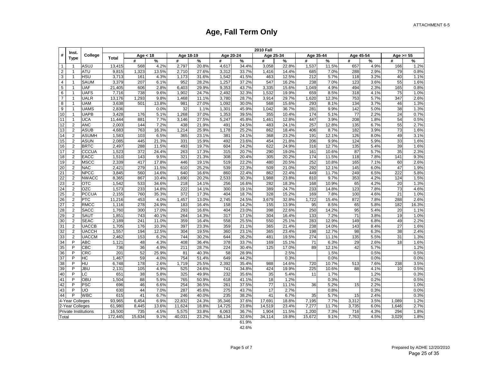| Inst.<br>#<br><b>Type</b><br>$\mathbf{1}$<br>$\overline{2}$<br>$\mathbf{1}$<br>3<br>$\mathbf{1}$<br>4<br>$\mathbf{1}$<br>5<br>$\mathbf{1}$<br>6<br>$\mathbf{1}$ | College<br>ASUJ<br><b>ATU</b><br><b>HSU</b><br><b>SAUM</b><br><b>UAF</b><br><b>UAFS</b><br><b>UALR</b> | <b>Total</b><br>13,415<br>9,815<br>3,713<br>3,379 | Age $<$ 18<br>#<br>568<br>1,323 | %<br>4.2% | Age 18-19<br># | %     | Age 20-24 |       | Age 25-34 |       | Age 35-44 |       | Age 45-54 |      | Age $>= 55$ |       |
|-----------------------------------------------------------------------------------------------------------------------------------------------------------------|--------------------------------------------------------------------------------------------------------|---------------------------------------------------|---------------------------------|-----------|----------------|-------|-----------|-------|-----------|-------|-----------|-------|-----------|------|-------------|-------|
|                                                                                                                                                                 |                                                                                                        |                                                   |                                 |           |                |       |           |       |           |       |           |       |           |      |             |       |
|                                                                                                                                                                 |                                                                                                        |                                                   |                                 |           |                |       | #         | $\%$  | #         | $\%$  | #         | %     | #         | %    | #           | $\%$  |
|                                                                                                                                                                 |                                                                                                        |                                                   |                                 |           | 2,797          | 20.8% | 4,617     | 34.4% | 3,058     | 22.8% | 1,537     | 11.5% | 657       | 4.9% | 166         | 1.2%  |
|                                                                                                                                                                 |                                                                                                        |                                                   |                                 | 13.5%     | 2,710          | 27.6% | 3,312     | 33.7% | 1,416     | 14.4% | 685       | 7.0%  | 288       | 2.9% | 79          | 0.8%  |
|                                                                                                                                                                 |                                                                                                        |                                                   | 161                             | 4.3%      | 1,173          | 31.6% | 1,542     | 41.5% | 463       | 12.5% | 212       | 5.7%  | 118       | 3.2% | 40          | 1.1%  |
|                                                                                                                                                                 |                                                                                                        |                                                   | 207                             | 6.1%      | 952            | 28.2% | 1,257     | 37.2% | 547       | 16.2% | 238       | 7.0%  | 123       | 3.6% | 55          | 1.6%  |
|                                                                                                                                                                 |                                                                                                        | 21,405                                            | 606                             | 2.8%      | 6,403          | 29.9% | 9,353     | 43.7% | 3,335     | 15.6% | 1,049     | 4.9%  | 494       | 2.3% | 165         | 0.8%  |
|                                                                                                                                                                 |                                                                                                        | 7,716                                             | 738                             | 9.6%      | 1,902          | 24.7% | 2,492     | 32.3% | 1,532     | 19.9% | 659       | 8.5%  | 318       | 4.1% | 75          | 1.0%  |
| $\overline{7}$<br>1                                                                                                                                             |                                                                                                        | 13,176                                            | 1,293                           | 9.8%      | 1,468          | 11.1% | 3,780     | 28.7% | 3,914     | 29.7% | 1,620     | 12.3% | 753       | 5.7% | 347         | 2.6%  |
| 8<br>1                                                                                                                                                          | <b>UAM</b>                                                                                             | 3,638                                             | 501                             | 13.8%     | 981            | 27.0% | 1,092     | 30.0% | 568       | 15.6% | 293       | 8.1%  | 134       | 3.7% | 46          | 1.3%  |
| 9                                                                                                                                                               | <b>UAMS</b>                                                                                            | 2,836                                             |                                 | 0.0%      | 32             | 1.1%  | 1,301     | 45.9% | 1,042     | 36.7% | 281       | 9.9%  | 142       | 5.0% | 38          | 1.3%  |
| 10<br>$\mathbf{1}$                                                                                                                                              | <b>UAPB</b>                                                                                            | 3,428                                             | 176                             | 5.1%      | 1,268          | 37.0% | 1,353     | 39.5% | 355       | 10.4% | 174       | 5.1%  | 77        | 2.2% | 24          | 0.7%  |
| 11<br>$\mathbf{1}$                                                                                                                                              | UCA                                                                                                    | 11,444                                            | 881                             | 7.7%      | 3,146          | 27.5% | 5,247     | 45.8% | 1,461     | 12.8% | 447       | 3.9%  | 208       | 1.8% | 54          | 0.5%  |
| $\overline{2}$<br>12                                                                                                                                            | <b>ANC</b>                                                                                             | 2,003                                             | 144                             | 7.2%      | 438            | 21.9% | 491       | 24.5% | 483       | 24.1% | 257       | 12.8% | 135       | 6.7% | 55          | 2.7%  |
| $\overline{2}$<br>13                                                                                                                                            | <b>ASUB</b>                                                                                            | 4,683                                             | 763                             | 16.3%     | 1,214          | 25.9% | 1,178     | 25.2% | 862       | 18.4% | 406       | 8.7%  | 182       | 3.9% | 73          | 1.6%  |
| 14<br>$\overline{2}$                                                                                                                                            | <b>ASUMH</b>                                                                                           | 1,583                                             | 103                             | 6.5%      | 365            | 23.1% | 381       | 24.1% | 368       | 23.2% | 191       | 12.1% | 126       | 8.0% | 49          | 3.1%  |
| $\overline{2}$<br>15                                                                                                                                            | <b>ASUN</b>                                                                                            | 2,085                                             | 445                             | 21.3%     | 331            | 15.9% | 492       | 23.6% | 454       | 21.8% | 206       | 9.9%  | 124       | 5.9% | 33          | 1.6%  |
| 16<br>$\overline{2}$                                                                                                                                            | <b>BRTC</b>                                                                                            | 2,497                                             | 288                             | 11.5%     | 493            | 19.7% | 604       | 24.2% | 622       | 24.9% | 316       | 12.7% | 135       | 5.4% | 39          | 1.6%  |
| $\overline{2}$<br>17                                                                                                                                            | CCCUA                                                                                                  | 1,523                                             | 372                             | 24.4%     | 263            | 17.3% | 315       | 20.7% | 290       | 19.0% | 161       | 10.6% | 87        | 5.7% | 35          | 2.3%  |
| $\overline{2}$<br>18                                                                                                                                            | <b>EACC</b>                                                                                            | 1,510                                             | 143                             | 9.5%      | 321            | 21.3% | 308       | 20.4% | 305       | 20.2% | 174       | 11.5% | 118       | 7.8% | 141         | 9.3%  |
| 19<br>$\overline{2}$                                                                                                                                            | <b>MSCC</b>                                                                                            | 2,339                                             | 417                             | 17.8%     | 446            | 19.1% | 519       | 22.2% | 480       | 20.5% | 252       | 10.8% | 165       | 7.1% | 60          | 2.6%  |
| $\overline{2}$<br>20                                                                                                                                            | <b>NAC</b>                                                                                             | 2,421                                             | 279                             | 11.5%     | 610            | 25.2% | 539       | 22.3% | 509       | 21.0% | 292       | 12.1% | 145       | 6.0% | 47          | 1.9%  |
| 21<br>$\overline{2}$                                                                                                                                            | <b>NPCC</b>                                                                                            | 3,845                                             | 560                             | 14.6%     | 640            | 16.6% | 860       | 22.4% | 862       | 22.4% | 449       | 11.7% | 249       | 6.5% | 222         | 5.8%  |
| 22<br>$\overline{2}$                                                                                                                                            | <b>NWACC</b>                                                                                           | 8,365                                             | 867                             | 10.4%     | 1,690          | 20.2% | 2,533     | 30.3% | 1,988     | 23.8% | 810       | 9.7%  | 353       | 4.2% | 124         | 1.5%  |
| 23<br>$\overline{2}$                                                                                                                                            | <b>OTC</b>                                                                                             | 1,542                                             | 533                             | 34.6%     | 218            | 14.1% | 256       | 16.6% | 282       | 18.3% | 168       | 10.9% | 65        | 4.2% | 20          | 1.3%  |
| 24<br>$\overline{2}$                                                                                                                                            | <b>OZC</b>                                                                                             | 1,573                                             | 233                             | 14.8%     | 222            | 14.1% | 300       | 19.1% | 389       | 24.7% | 233       | 14.8% | 123       | 7.8% | 73          | 4.6%  |
| 25<br>$\overline{2}$                                                                                                                                            | <b>PCCUA</b>                                                                                           | 2,155                                             | 760                             | 35.3%     | 372            | 17.3% | 404       | 18.7% | 328       | 15.2% | 169       | 7.8%  | 100       | 4.6% | 21          | 1.0%  |
| 26<br>$\overline{2}$                                                                                                                                            | <b>PTC</b>                                                                                             | 11,216                                            | 453                             | 4.0%      | 1,457          | 13.0% | 2,745     | 24.5% | 3,679     | 32.8% | 1,722     | 15.4% | 872       | 7.8% | 288         | 2.6%  |
| 27<br>$\overline{2}$                                                                                                                                            | <b>RMCC</b>                                                                                            | 1,116                                             | 278                             | 24.9%     | 183            | 16.4% | 158       | 14.2% | 155       | 13.9% | 95        | 8.5%  | 65        | 5.8% | 182         | 16.3% |
| $\overline{2}$<br>28                                                                                                                                            | <b>SACC</b>                                                                                            | 1,760                                             | 300                             | 17.0%     | 293            | 16.6% | 404       | 23.0% | 398       | 22.6% | 250       | 14.2% | 95        | 5.4% | 20          | 1.1%  |
| 29<br>$\overline{2}$                                                                                                                                            | SAUT                                                                                                   | 1,851                                             | 743                             | 40.1%     | 264            | 14.3% | 317       | 17.1% | 304       | 16.4% | 133       | 7.2%  | 71        | 3.8% | 19          | 1.0%  |
| $\overline{2}$<br>30                                                                                                                                            | <b>SEAC</b>                                                                                            | 2,189                                             | 241                             | 11.0%     | 359            | 16.4% | 558       | 25.5% | 550       | 25.1% | 283       | 12.9% | 149       | 6.8% | 49          | 2.2%  |
| 31<br>$\overline{2}$                                                                                                                                            | <b>UACCB</b>                                                                                           | 1.705                                             | 176                             | 10.3%     | 397            | 23.3% | 359       | 21.1% | 365       | 21.4% | 238       | 14.0% | 143       | 8.4% | 27          | 1.6%  |
| $\overline{2}$<br>32                                                                                                                                            | <b>UACCH</b>                                                                                           | 1,557                                             | 194                             | 12.5%     | 304            | 19.5% | 360       | 23.1% | 365       | 23.4% | 198       | 12.7% | 98        | 6.3% | 38          | 2.4%  |
| $\overline{2}$<br>33                                                                                                                                            | <b>UACCM</b>                                                                                           | 2,462                                             | 153                             | 6.2%      | 744            | 30.2% | 644       | 26.2% | 481       | 19.5% | 274       | 11.1% | 135       | 5.5% | 31          | 1.3%  |
| $\overline{34}$<br>P                                                                                                                                            | ABC                                                                                                    | 1,121                                             | 48                              | 4.3%      | 408            | 36.4% | 378       | 33.7% | 169       | 15.1% | 71        | 6.3%  | 29        | 2.6% | 18          | 1.6%  |
| 35<br>P                                                                                                                                                         | CBC                                                                                                    | 736                                               | 36                              | 4.9%      | 211            | 28.7% | 224       | 30.4% | 125       | 17.0% | 89        | 12.1% | 42        | 5.7% |             | 1.2%  |
| 36<br>P                                                                                                                                                         | <b>CRC</b>                                                                                             | 201                                               | 52                              | 25.9%     | 81             | 40.3% | 58        | 28.9% |           | 2.5%  |           | 1.5%  |           | 0.5% |             | 0.5%  |
| P<br>37                                                                                                                                                         | HC                                                                                                     | 1,467                                             | 59                              | 4.0%      | 754            | 51.4% | 649       | 44.2% |           | 0.3%  |           | 0.0%  |           | 0.0% |             | 0.0%  |
| P<br>38                                                                                                                                                         | HU                                                                                                     | 6,748                                             | 178                             | 2.6%      | 1,719          | 25.5% | 2,392     | 35.4% | 988       | 14.6% | 720       | 10.7% | 513       | 7.6% | 238         | 3.5%  |
| P<br>39                                                                                                                                                         | JBU                                                                                                    | 2,131                                             | 105                             | 4.9%      | 525            | 24.6% | 741       | 34.8% | 424       | 19.9% | 225       | 10.6% | 88        | 4.1% | 10          | 0.5%  |
| P<br>40                                                                                                                                                         | LC                                                                                                     | 65'                                               | 38                              | 5.8%      | 325            | 49.9% | 232       | 35.6% | 35        | 5.4%  | 11        | 1.7%  |           | 1.2% |             | 0.3%  |
| 41<br>P                                                                                                                                                         | OBU                                                                                                    | 1,504                                             | 88                              | 5.9%      | 765            | 50.9% | 618       | 41.1% | 18        | 1.2%  |           | 0.3%  |           | 0.2% |             | 0.5%  |
| P<br>42                                                                                                                                                         | PSC                                                                                                    | 696                                               | 46                              | 6.6%      | 254            | 36.5% | 261       | 37.5% | 77        | 11.1% | 36        | 5.2%  | 15        | 2.2% |             | 1.0%  |
| 43<br>P                                                                                                                                                         | UO                                                                                                     | 630                                               | 44                              | 7.0%      | 287            | 45.6% | 275       | 43.7% | 17        | 2.7%  |           | 0.8%  |           | 0.3% |             | 0.0%  |
| 44<br>P                                                                                                                                                         | <b>WBC</b>                                                                                             | 615                                               | 41                              | 6.7%      | 246            | 40.0% | 235       | 38.2% | 41        | 6.7%  | 35        | 5.7%  | 15        | 2.4% |             | 0.3%  |
| 4-Year Colleges                                                                                                                                                 |                                                                                                        | 93,965                                            | 6,454                           | 6.9%      | 22,832         | 24.3% | 35,346    | 37.6% | 17,691    | 18.8% | 7,195     | 7.7%  | 3,312     | 3.5% | 1,089       | 1.2%  |
| 2-Year Colleges                                                                                                                                                 |                                                                                                        | 61,980                                            | 8,445                           | 13.6%     | 11,624         | 18.8% | 14,725    | 23.8% | 14,519    | 23.4% | 7,277     | 11.7% | 3,735     | 6.0% | 1,646       | 2.7%  |
| <b>Private Institutions</b>                                                                                                                                     |                                                                                                        | 16,500                                            | 735                             | 4.5%      | 5,575          | 33.8% | 6,063     | 36.7% | 1,904     | 11.5% | 1,200     | 7.3%  | 716       | 4.3% | 294         | 1.8%  |
| Total                                                                                                                                                           |                                                                                                        | 172.445                                           | 15,634                          | 9.1%      | 40,031         | 23.2% | 56,134    | 32.6% | 34,114    | 19.8% | 15,672    | 9.1%  | 7,763     | 4.5% | 3.029       | 1.8%  |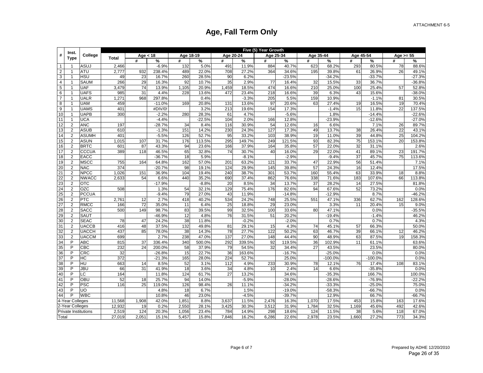|                | Inst.                |                 |              |            |          |           |          |           |         | Five (5) Year Growth |          |           |           |           |           |             |          |
|----------------|----------------------|-----------------|--------------|------------|----------|-----------|----------|-----------|---------|----------------------|----------|-----------|-----------|-----------|-----------|-------------|----------|
| #              | <b>Type</b>          | College         | <b>Total</b> | Age $<$ 18 |          | Age 18-19 |          | Age 20-24 |         | Age 25-34            |          | Age 35-44 |           | Age 45-54 |           | Age $>= 55$ |          |
|                |                      |                 |              | #          | %        | #         | %        | #         | %       | #                    | %        | #         | %         | #         | %         | #           | %        |
| $\mathbf{1}$   |                      | <b>ASUJ</b>     | 2,466        |            | $-6.9%$  | 132       | 5.0%     | 491       | 11.9%   | 884                  | 40.7%    | 623       | 68.2%     | 293       | 80.5%     | 78          | 88.6%    |
| $\overline{2}$ | -1                   | <b>ATU</b>      | 2,777        | 932        | 238.4%   | 489       | 22.0%    | 708       | 27.2%   | 364                  | 34.6%    | 195       | 39.8%     | 61        | 26.9%     | 26          | 49.1%    |
| 3              | $\overline{1}$       | <b>HSU</b>      | 49           | 23         | 16.7%    | 260       | 28.5%    | 90        | 6.2%    |                      | $-23.5%$ |           | $-34.2%$  |           | $-33.7%$  |             | $-27.3%$ |
| $\overline{4}$ | $\overline{1}$       | SAUM            | 266          | 29         | 16.3%    | 92        | 10.7%    | 35        | 2.9%    | 77                   | 16.4%    | 32        | 15.5%     | 33        | 36.7%     |             | $-36.8%$ |
| 5              | $\overline{1}$       | <b>UAF</b>      | 3,479        | 74         | 13.9%    | 1,105     | 20.9%    | 1,459     | 18.5%   | 474                  | 16.6%    | 210       | 25.0%     | 100       | 25.4%     | 57          | 52.8%    |
| 6              | -1                   | <b>UAFS</b>     | 985          | 31         | 4.4%     | 228       | 13.6%    | 472       | 23.4%   | 218                  | 16.6%    | 39        | 6.3%      | 43        | 15.6%     |             | $-38.0%$ |
| $\overline{7}$ | $\overline{1}$       | <b>UALR</b>     | 1,271        | 968        | 297.8%   |           | 0.4%     |           | $-3.3%$ | 205                  | 5.5%     | 159       | 10.9%     |           | $-1.1%$   | 81          | 30.5%    |
| 8              | -1                   | <b>UAM</b>      | 459          |            | $-11.0%$ | 169       | 20.8%    | 131       | 13.6%   | 97                   | 20.6%    | 63        | 27.4%     | 19        | 16.5%     | 19          | 70.4%    |
| 9              | -1                   | <b>UAMS</b>     | 401          |            | #DIV/0!  |           | 3.2%     | 213       | 19.6%   | 154                  | 17.3%    |           | $-1.4%$   | 15        | 11.8%     | 22          | 137.5%   |
| 10             |                      | <b>UAPB</b>     | 300          |            | $-2.2%$  | 280       | 28.3%    | 61        | 4.7%    |                      | $-5.6%$  |           | 1.8%      |           | $-14.4%$  |             | $-22.6%$ |
| 11             | 1                    | <b>UCA</b>      |              |            | $-4.4%$  |           | $-22.5%$ | 104       | 2.0%    | 166                  | 12.8%    |           | $-23.9%$  |           | $-12.6%$  |             | $-27.0%$ |
| 12             | $\mathfrak{p}$       | ANC             | 197          |            | $-28.7%$ | 34        | 8.4%     | 116       | 30.9%   | 54                   | 12.6%    | 16        | 6.6%      |           | 7.1%      | 26          | 89.7%    |
| 13             | $\overline{2}$       | <b>ASUB</b>     | 610          |            | $-1.3%$  | 151       | 14.2%    | 230       | 24.3%   | 127                  | 17.3%    | 49        | 13.7%     | 38        | 26.4%     | 22          | 43.1%    |
| 14             | $\overline{2}$       | ASUMH           | 401          |            | $-5.5%$  | 126       | 52.7%    | 95        | 33.2%   | 103                  | 38.9%    | 19        | 11.0%     | 39        | 44.8%     | 25          | 104.2%   |
| 15             | $\overline{2}$       | <b>ASUN</b>     | 1,015        | 107        | 31.7%    | 176       | 113.5%   | 295       | 149.7%  | 249                  | 121.5%   | 93        | 82.3%     | 75        | 153.1%    | 20          | 153.8%   |
| 16             | $\overline{2}$       | <b>BRTC</b>     | 601          | 87         | 43.3%    | 94        | 23.6%    | 166       | 37.9%   | 164                  | 35.8%    | 57        | 22.0%     | 32        | 31.1%     |             | 2.6%     |
| 17             | $\overline{2}$       | CCCUA           | 389          | 118        | 46.5%    | 65        | 32.8%    | 74        | 30.7%   | 40                   | 16.0%    | 29        | 22.0%     | 41        | 89.1%     | 23          | 191.7%   |
| 18             | $\overline{2}$       | <b>EACC</b>     |              |            | $-36.7%$ | 18        | 5.9%     |           | $-8.1%$ |                      | $-2.9%$  |           | $-9.4%$   | 37        | 45.7%     | 75          | 113.6%   |
| 19             | $\overline{2}$       | <b>MSCC</b>     | 755          | 164        | 64.8%    | 162       | 57.0%    | 201       | 63.2%   | 121                  | 33.7%    | 47        | 22.9%     | 56        | 51.4%     |             | 7.1%     |
| 20             | $\overline{2}$       | <b>NAC</b>      | 374          |            | $-20.7%$ | 98        | 19.1%    | 124       | 29.9%   | 145                  | 39.8%    | 57        | 24.3%     | 16        | 12.4%     |             | 17.5%    |
| 21             | $\overline{2}$       | <b>NPCC</b>     | 1,026        | 151        | 36.9%    | 104       | 19.4%    | 240       | 38.7%   | 301                  | 53.7%    | 160       | 55.4%     | 63        | 33.9%     | 18          | 8.8%     |
| 22             | $\overline{2}$       | <b>NWACC</b>    | 2,633        | 54         | 6.6%     | 440       | 35.2%    | 690       | 37.4%   | 862                  | 76.6%    | 338       | 71.6%     | 183       | 107.6%    | 66          | 113.8%   |
| 23             | $\mathfrak{p}$       | ОТС             |              |            | $-17.9%$ |           | $-8.8%$  | 20        | 8.5%    | 34                   | 13.7%    | 37        | 28.2%     | 14        | 27.5%     |             | 81.8%    |
| 24             | $\overline{2}$       | OZC             | 508          |            | 1.3%     | 54        | 32.1%    | 129       | 75.4%   | 176                  | 82.6%    | 94        | 67.6%     | 52        | 73.2%     |             | 0.0%     |
| 25             | $\overline{2}$       | <b>PCCUA</b>    |              |            | $-9.4%$  | 79        | 27.0%    | 43        | 11.9%   |                      | $-14.8%$ |           | $-12.9%$  |           | 8.7%      |             | $-46.2%$ |
| 26             | $\overline{2}$       | <b>PTC</b>      | 2,761        | 12         | 2.7%     | 418       | 40.2%    | 534       | 24.2%   | 748                  | 25.5%    | 551       | 47.1%     | 336       | 62.7%     | 162         | 128.6%   |
| 27             | $\overline{2}$       | <b>RMCC</b>     | 166          | 72         | 35.0%    | 11        | 6.4%     | 25        | 18.8%   | 29                   | 23.0%    |           | 3.3%      | 11        | 20.4%     | 15          | 9.0%     |
| 28             | $\overline{2}$       | <b>SACC</b>     | 500          | 149        | 98.7%    | 83        | 39.5%    | 99        | 32.5%   | 100                  | 33.6%    | 80        | 47.1%     |           | 0.0%      |             | $-35.5%$ |
| 29             | $\overline{2}$       | <b>SAUT</b>     |              |            | $-46.9%$ | 12        | 4.8%     | 76        | 31.5%   | 51                   | 20.2%    |           | $-19.4%$  |           | $-1.4%$   |             | 46.2%    |
| 30             | $\overline{2}$       | <b>SEAC</b>     | 78           | 47         | 24.2%    | 38        | 11.8%    |           | $-0.2%$ |                      | $-2.0%$  |           | 0.7%      |           | 0.7%      |             | 4.3%     |
| 31             | $\overline{2}$       | <b>UACCB</b>    | 416          | 48         | 37.5%    | 132       | 49.8%    | 81        | 29.1%   | 15                   | 4.3%     | 74        | 45.1%     | 57        | 66.3%     |             | 50.0%    |
| 32             | $\overline{2}$       | <b>UACCH</b>    | 437          | 85         | 78.0%    | 38        | 14.3%    | 78        | 27.7%   | 122                  | 50.2%    | 63        | 46.7%     | 39        | 66.1%     | 12          | 46.2%    |
| 33             | $\overline{2}$       | <b>UACCM</b>    | 699          |            | 2.7%     | 238       | 47.0%    | 137       | 27.0%   | 148                  | 44.4%    | 90        | 48.9%     | 63        | 87.5%     | 19          | 158.3%   |
| 34             | P                    | ABC             | 815          | 37         | 336.4%   | 340       | 500.0%   | 292       | 339.5%  | 92                   | 119.5%   | 36        | 102.9%    | 11        | 61.1%     |             | 63.6%    |
| 35             | P                    | CBC             | 232          | 24         | 200.0%   | 58        | 37.9%    | 79        | 54.5%   | 32                   | 34.4%    | 27        | 43.5%     |           | 23.5%     |             | 80.0%    |
| 36             | Þ                    | <b>CRC</b>      | 32           |            | $-26.8%$ | 15        | 22.7%    | 36        | 163.6%  |                      | $-16.7%$ |           | $-25.0%$  |           | 0.0%      |             | 0.0%     |
| 37             | P                    | НC              | 372          |            | $-21.3%$ | 165       | 28.0%    | 224       | 52.7%   |                      | 25.0%    |           | $-100.0%$ |           | $-100.0%$ |             | 0.0%     |
| 38             | P                    | $\overline{HU}$ | 663          | 14         | 8.5%     | 52        | 3.1%     | 112       | 4.9%    | 233                  | 30.9%    | 78        | 12.1%     | 76        | 17.4%     | 108         | 83.1%    |
| 39             | P                    | JBU             | 66           | 31         | 41.9%    | 18        | 3.6%     | 34        | 4.8%    | 10                   | 2.4%     | 14        | 6.6%      |           | $-35.8%$  |             | 0.0%     |
| 40             | P                    | LС              | 164          |            | 11.8%    | 124       | 61.7%    | 27        | 13.2%   |                      | 34.6%    |           | $-35.3%$  |           | 166.7%    |             | 100.0%   |
| 41             | P                    | OBU             | 52           | 18         | 25.7%    | 94        | 14.0%    |           | $-5.9%$ |                      | $-28.0%$ |           | $-28.6%$  |           | $-76.9%$  |             | $-22.2%$ |
| 42             | P                    | PSC             | 116          | 25         | 119.0%   | 126       | 98.4%    | 26        | 11.1%   |                      | $-34.2%$ |           | $-33.3%$  |           | $-25.0%$  |             | 75.0%    |
| 43             | P                    | UO              |              |            | 4.8%     | 18        | 6.7%     |           | 1.5%    |                      | $-19.0%$ |           | $-58.3%$  |           | $-66.7%$  |             | 0.0%     |
| 44             | P                    | <b>WBC</b>      |              |            | 10.8%    | 46        | 23.0%    |           | $-4.5%$ |                      | $-39.7%$ |           | 12.9%     |           | 66.7%     |             | $-66.7%$ |
|                | 4-Year Colleges      |                 | 11,568       | 1,908      | 42.0%    | 1,851     | 8.8%     | 3,637     | 11.5%   | 2,476                | 16.3%    | 1,070     | 17.5%     | 453       | 15.8%     | 163         | 17.6%    |
|                | 2-Year Colleges      |                 | 12,932       | 19         | 0.2%     | 2,550     | 28.1%    | 3,425     | 30.3%   | 3,512                | 31.9%    | 1,784     | 32.5%     | 1,169     | 45.6%     | 492         | 42.6%    |
|                | Private Institutions |                 | 2,519        | 124        | 20.3%    | 1,056     | 23.4%    | 784       | 14.9%   | 298                  | 18.6%    | 124       | 11.5%     | 38        | 5.6%      | 118         | 67.0%    |
| Total          |                      |                 | 27,019       | 2,051      | 15.1%    | 5,457     | 15.8%    | 7,846     | 16.2%   | 6,286                | 22.6%    | 2,978     | 23.5%     | 1,660     | 27.2%     | 773         | 34.3%    |
|                |                      |                 |              |            |          |           |          |           |         |                      |          |           |           |           |           |             |          |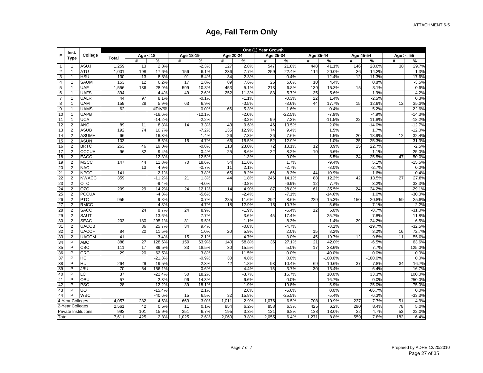|                | Inst.           |                      |              |            |          |           |          |           |         | One (1) Year Growth |          |           |           |           |           |             |          |
|----------------|-----------------|----------------------|--------------|------------|----------|-----------|----------|-----------|---------|---------------------|----------|-----------|-----------|-----------|-----------|-------------|----------|
| #              | <b>Type</b>     | College              | <b>Total</b> | Age $<$ 18 |          | Age 18-19 |          | Age 20-24 |         | Age 25-34           |          | Age 35-44 |           | Age 45-54 |           | Age $>= 55$ |          |
|                |                 |                      |              | #          | %        | #         | %        | #         | %       | #                   | %        | #         | %         | #         | %         | #           | $\%$     |
| $\overline{1}$ | -1              | <b>ASUJ</b>          | 1,259        | 13         | 2.3%     |           | $-2.3%$  | 127       | 2.8%    | 547                 | 21.8%    | 448       | 41.1%     | 146       | 28.6%     | 38          | 29.7%    |
| $\overline{2}$ |                 | <b>ATU</b>           | 1,001        | 198        | 17.6%    | 156       | 6.1%     | 236       | 7.7%    | 259                 | 22.4%    | 114       | 20.0%     | 36        | 14.3%     |             | 1.3%     |
| 3              | $\mathbf{1}$    | <b>HSU</b>           | 130          | 13         | 8.8%     | 91        | 8.4%     | 34        | 2.3%    |                     | 0.4%     |           | $-12.4%$  | 12        | 11.3%     |             | 17.6%    |
| $\overline{4}$ | $\overline{1}$  | <b>SAUM</b>          | 153          | 12         | 6.2%     | 17        | 1.8%     | 89        | 7.6%    | 26                  | 5.0%     | 10        | 4.4%      |           | 0.8%      |             | $-3.5%$  |
| $\overline{5}$ | $\overline{1}$  | <b>UAF</b>           | 1,556        | 136        | 28.9%    | 599       | 10.3%    | 453       | 5.1%    | 213                 | 6.8%     | 139       | 15.3%     | 15        | 3.1%      |             | 0.6%     |
| 6              | 1               | <b>UAFS</b>          | 394          |            | $-4.4%$  | 49        | 2.6%     | 252       | 11.3%   | 83                  | 5.7%     | 35        | 5.6%      |           | 1.9%      |             | 4.2%     |
| $\overline{7}$ | $\overline{1}$  | <b>UALR</b>          | 44           | 97         | 8.1%     |           | $-0.1%$  |           | $-1.1%$ |                     | $-0.3%$  | 22        | 1.4%      |           | $-2.5%$   |             | 0.3%     |
| 8              | $\mathbf{1}$    | <b>UAM</b>           | 159          | 28         | 5.9%     | 63        | 6.9%     |           | $-0.5%$ |                     | $-3.6%$  | 44        | 17.7%     | 15        | 12.6%     | 12          | 35.3%    |
| 9              | $\overline{1}$  | <b>UAMS</b>          | 62           |            | #DIV/0!  |           | 0.0%     | 66        | 5.3%    |                     | $-1.6%$  |           | $-0.4%$   |           | 5.2%      |             | 22.6%    |
| 10             |                 | <b>UAPB</b>          |              |            | $-16.6%$ |           | $-12.1%$ |           | $-2.0%$ |                     | $-22.5%$ |           | $-7.9%$   |           | $-4.9%$   |             | $-14.3%$ |
| 11             | $\overline{1}$  | <b>UCA</b>           |              |            | $-14.2%$ |           | $-2.2%$  |           | $-3.2%$ | 99                  | 7.3%     |           | $-11.5%$  | 22        | 11.8%     |             | $-18.2%$ |
| 12             | $\overline{2}$  | <b>ANC</b>           | 89           | 11         | 8.3%     | 14        | 3.3%     | 43        | 9.6%    | 46                  | 10.5%    |           | 2.0%      |           | $-14.0%$  |             | $-12.7%$ |
| 13             | $\overline{2}$  | <b>ASUB</b>          | 192          | 74         | 10.7%    |           | $-7.2%$  | 135       | 12.9%   | 74                  | 9.4%     |           | 1.5%      |           | 1.7%      |             | $-12.0%$ |
| 14             | $\overline{2}$  | <b>ASUMH</b>         | 66           |            | $-16.3%$ |           | 1.4%     | 26        | 7.3%    | 26                  | 7.6%     |           | $-1.5%$   | 20        | 18.9%     | 12          | 32.4%    |
| 15             | $\overline{2}$  | <b>ASUN</b>          | 103          |            | $-8.6%$  | 15        | 4.7%     | 66        | 15.5%   | 52                  | 12.9%    |           | 1.0%      | 25        | 25.3%     |             | $-31.3%$ |
| 16             | $\overline{2}$  | <b>BRTC</b>          | 263          | 46         | 19.0%    |           | $-0.8%$  | 113       | 23.0%   | 72                  | 13.1%    | 12        | 3.9%      | 25        | 22.7%     |             | $-2.5%$  |
| 17             | $\overline{2}$  | <b>CCCUA</b>         | 96           | 32         | 9.4%     |           | 0.4%     | 25        | 8.6%    | 22                  | 8.2%     | 10        | 6.6%      |           | $-1.1%$   |             | 25.0%    |
| 18             | $\overline{2}$  | EACC                 |              |            | $-12.3%$ |           | $-12.5%$ |           | $-1.3%$ |                     | $-9.0%$  |           | 5.5%      | 24        | 25.5%     | 47          | 50.0%    |
| 19             | $\overline{2}$  | <b>MSCC</b>          | 147          | 44         | 11.8%    | 70        | 18.6%    | 54        | 11.6%   |                     | 1.7%     |           | $-9.4%$   |           | 5.1%      |             | $-15.5%$ |
| 20             | $\overline{2}$  | <b>NAC</b>           |              | 13         | 4.9%     |           | $-0.7%$  | 11        | 2.1%    |                     | $-2.7%$  |           | $-3.0%$   |           | $-2.7%$   |             | 0.0%     |
| 21             | $\overline{2}$  | <b>NPCC</b>          | 141          |            | $-2.1%$  |           | $-3.8%$  | 65        | 8.2%    | 66                  | 8.3%     | 44        | 10.9%     |           | 1.6%      |             | $-0.4%$  |
| 22             | $\overline{2}$  | <b>NWACC</b>         | 359          |            | $-11.2%$ | 21        | 1.3%     | 44        | 1.8%    | 246                 | 14.1%    | 88        | 12.2%     | 42        | 13.5%     | 27          | 27.8%    |
| 23             | $\overline{2}$  | <b>OTC</b>           |              |            | $-9.4%$  |           | $-4.0%$  |           | $-0.8%$ |                     | $-6.9%$  | 12        | 7.7%      |           | 3.2%      |             | 33.3%    |
| 24             | $\overline{2}$  | <b>OZC</b>           | 209          | 29         | 14.2%    | 24        | 12.1%    | 14        | 4.9%    | 87                  | 28.8%    | 61        | 35.5%     | 24        | 24.2%     |             | $-29.1%$ |
| 25             | $\overline{2}$  | <b>PCCUA</b>         |              |            | $-4.3%$  |           | $-5.6%$  |           | $-2.4%$ |                     | $-7.1%$  |           | $-14.6%$  |           | 1.0%      |             | $-30.0%$ |
| 26             | $\overline{2}$  | <b>PTC</b>           | 955          |            | $-9.8%$  |           | $-0.7%$  | 285       | 11.6%   | 292                 | 8.6%     | 229       | 15.3%     | 150       | 20.8%     | 59          | 25.8%    |
| 27             | $\overline{2}$  | <b>RMCC</b>          |              |            | $-4.8%$  |           | $-4.7%$  | 18        | 12.9%   | 15                  | 10.7%    |           | 5.6%      |           | $-7.1%$   |             | $-2.2%$  |
| 28             | $\overline{2}$  | <b>SACC</b>          |              | 24         | 8.7%     | 24        | 8.9%     |           | $-1.9%$ |                     | $-6.4%$  | 12        | 5.0%      |           | $-8.7%$   |             | $-31.0%$ |
| 29             | $\overline{2}$  | SAUT                 |              |            | $-13.6%$ |           | $-7.7%$  |           | $-3.6%$ | 45                  | 17.4%    |           | $-25.7%$  |           | $-7.8%$   |             | 11.8%    |
| 30             | $\overline{2}$  | <b>SEAC</b>          | 203          | 180        | 295.1%   | 31        | 9.5%     |           | 1.1%    |                     | $-8.3%$  |           | 1.4%      | 29        | 24.2%     |             | 6.5%     |
| 31             | 2               | <b>UACCB</b>         |              | 36         | 25.7%    | 34        | 9.4%     |           | $-0.8%$ |                     | $-4.7%$  |           | $-8.1%$   |           | $-19.7%$  |             | $-32.5%$ |
| 32             | $\overline{2}$  | <b>UACCH</b>         | 84           | 20         | 11.5%    |           | 1.0%     | 20        | 5.9%    |                     | 2.0%     | 15        | 8.2%      |           | 3.2%      | 16          | 72.7%    |
| 33             | 2               | <b>UACCM</b>         | 41           |            | 3.4%     | 15        | 2.1%     |           | $-4.7%$ |                     | $-3.0%$  | 45        | 19.7%     | 12        | 9.8%      | 11          | 55.0%    |
| 34             | P               | <b>ABC</b>           | 388          | 27         | 128.6%   | 159       | 63.9%    | 140       | 58.8%   | 36                  | 27.1%    | 21        | 42.0%     |           | $-6.5%$   |             | 63.6%    |
| 35             | P               | CBC                  | 111          | 17         | 89.5%    | 33        | 18.5%    | 30        | 15.5%   |                     | 5.0%     | 17        | 23.6%     |           | 7.7%      |             | 125.0%   |
| 36             | P               | <b>CRC</b>           | 29           | 20         | 62.5%    |           | 3.8%     |           | 11.5%   |                     | 0.0%     |           | $-40.0%$  |           | 0.0%      |             | 0.0%     |
| 37             | P               | HC                   |              |            | $-21.3%$ |           | $-0.9%$  | 30        | 4.8%    |                     | 0.0%     |           | $-100.0%$ |           | $-100.0%$ |             | 0.0%     |
| 38             | P               | HU                   | 264          | 29         | 19.5%    |           | $-2.3%$  | 42        | 1.8%    | 93                  | 10.4%    | 69        | 10.6%     | 37        | 7.8%      | 34          | 16.7%    |
| 39             | P               | JBU                  | 70           | 64         | 156.1%   |           | $-0.6%$  |           | $-4.4%$ | 15                  | 3.7%     | 30        | 15.4%     |           | $-6.4%$   |             | $-16.7%$ |
| 40             | P               | LC                   | 37           |            | $-22.4%$ | 50        | 18.2%    |           | $-3.7%$ |                     | 16.7%    |           | 10.0%     |           | 33.3%     |             | 100.0%   |
| 41             | P               | OBU                  | 57           |            | 2.3%     | 96        | 14.3%    |           | $-6.6%$ |                     | 0.0%     |           | $-16.7%$  |           | 0.0%      |             | 250.0%   |
| 42             | P               | <b>PSC</b>           | 28           |            | 12.2%    | 39        | 18.1%    |           | $-1.9%$ |                     | $-19.8%$ |           | 5.9%      |           | 25.0%     |             | 75.0%    |
| 43             | P               | UO                   |              |            | $-15.4%$ |           | 2.1%     |           | 2.6%    |                     | $-5.6%$  |           | 0.0%      |           | $-66.7%$  |             | 0.0%     |
| 44             | P               | <b>WBC</b>           |              |            | $-40.6%$ | 15        | 6.5%     | 32        | 15.8%   |                     | $-25.5%$ |           | $-5.4%$   |           | $-6.3%$   |             | $-33.3%$ |
|                | 4-Year Colleges |                      | 4,057        | 282        | 4.6%     | 663       | 3.0%     | 1,011     | 2.9%    | 1,076               | 6.5%     | 708       | 10.9%     | 237       | 7.7%      | 51          | 4.9%     |
|                | 2-Year Colleges |                      | 2,561        | 42         | 0.5%     | 11        | 0.1%     | 854       | 6.2%    | 858                 | 6.3%     | 425       | 6.2%      | 290       | 8.4%      | 78          | 5.0%     |
|                |                 | Private Institutions | 993          | 101        | 15.9%    | 351       | 6.7%     | 195       | 3.3%    | 121                 | 6.8%     | 138       | 13.0%     | 32        | 4.7%      | 53          | 22.0%    |
| Total          |                 |                      | 7,611        | 425        | 2.8%     | 1,025     | 2.6%     | 2,060     | 3.8%    | 2,055               | 6.4%     | 1,271     | 8.8%      | 559       | 7.8%      | 182         | 6.4%     |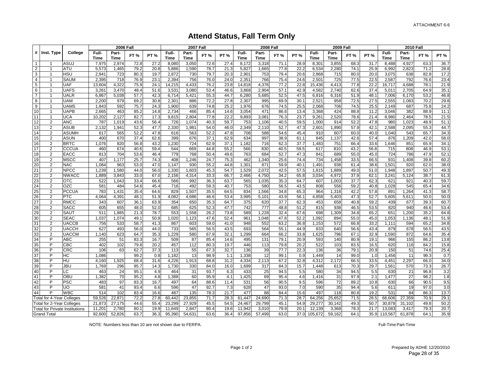### **Attend Status, Fall Term Only**

|                |                                  |                                       |        | <b>2006 Fall</b> |      |             |             | <b>2007 Fall</b> |                 |                 |        | <b>2008 Fall</b> |              |             |         | <b>2009 Fall</b> |      |            |         | <b>2010 Fall</b> |      |             |
|----------------|----------------------------------|---------------------------------------|--------|------------------|------|-------------|-------------|------------------|-----------------|-----------------|--------|------------------|--------------|-------------|---------|------------------|------|------------|---------|------------------|------|-------------|
|                | # Inst. Type                     | College                               | Full-  | Part-            |      |             | Full-       | Part-            |                 |                 | Full-  | Part-            |              |             | Full-   | Part-            |      |            | Full-   | Part-            |      |             |
|                |                                  |                                       | Time   | <b>Time</b>      | FT%  | <b>PT %</b> | <b>Time</b> | <b>Time</b>      | FT <sub>%</sub> | <b>PT%</b>      | Time   | <b>Time</b>      | FT%          | <b>PT %</b> | Time    | <b>Time</b>      | FT%  | <b>PT%</b> | Time    | Time             | FT%  | <b>PT %</b> |
| $\overline{1}$ |                                  | ASUJ                                  | 7,975  | 2,974            | 72.8 | 27.2        | 8,080       | 3,050            | 72.6            | 27.4            | 8,172  | 3,318            | 71.1         | 28.9        | 8,301   | 3,855            | 68.3 | 31.7       | 8,488   | 4,927            | 63.3 | 36.7        |
| $\overline{2}$ | -1                               | ATU                                   | 5,573  | 1,465            | 79.2 | 20.8        | 5,886       | 1,590            | 78.7            | 21.3            | 5,827  | 1,665            | 77.8         | 22.2        | 6,534   | 2,280            | 74.1 | 25.9       | 6,992   | 2,823            | 71.2 | 28.8        |
| $\mathbf{3}$   | -1                               | HSU                                   | 2,94'  | 723              | 80.3 | 19.7        | 2,872       | 730              | 79.7            | 20.3            | 2,901  | 753              | 79.4         | 20.6        | 2,868   | 715              | 80.0 | 20.0       | 3,075   | 638              | 82.8 | 17.2        |
| $\overline{4}$ | -1                               | SAUM                                  | 2,395  | 718              | 76.9 | 23.1        | 2,394       | 756              | 76.0            | 24.0            | 2,351  | 766              | 75.4         | 24.6        | 2,501   | 725              | 77.5 | 22.5       | 2,587   | 792              | 76.6 | 23.4        |
| $\sqrt{5}$     | $\overline{1}$                   | <b>UAF</b>                            | 13,604 | 4,322            | 75.9 | 24.1        | 14,215      | 4,433            | 76.2            | 23.8            | 14,818 | 4,376            | 77.2         | 22.8        | 15,436  | 4,413            | 77.8 | 22.2       | 16,717  | 4,688            | 78.1 | 21.9        |
| 6              | $\mathbf{1}$                     | <b>UAFS</b>                           | 3,26'  | 3,470            | 48.4 | 51.6        | 3,531       | 3,080            | 53.4            | 46.6            | 3,868  | 2,904            | 57.1         | 42.9        | 4,582   | 2,740            | 62.6 | 37.4       | 5,011   | 2,705            | 64.9 | 35.1        |
| $\overline{7}$ | $\mathbf{1}$                     | <b>UALR</b>                           | 6,867  | 5,038            | 57.7 | 42.3        | 6,714       | 5,421            | 55.3            | 44.7            | 6,280  | 5,685            | 52.5         | 47.5        | 6,816   | 6,316            | 51.9 | 48.1       | 7,006   | 6,170            | 53.2 | 46.8        |
| 8              | $\mathbf{1}$                     | <b>UAM</b>                            | 2,200  | 979              | 69.2 | 30.8        | 2,301       | 886              | 72.2            | 27.8            | 2,307  | 995              | 69.9         | 30.7        | 2,521   | 958              | 72.5 | 27.5       | 2,555   | 1,083            | 70.2 | 29.8        |
| 9              | 1                                | <b>UAMS</b>                           | 1,843  | 592              | 75.7 | 24.3        | 1,900       | 639              | 74.8            | 25.2            | 1,976  | 676              | 74.5         | 25.5        | 2,068   | 706              | 74.5 | 25.5       | 2,149   | 687              | 75.8 | 24.2        |
| 10             | $\mathbf{1}$                     | <b>UAPB</b>                           | 2,665  | 463              | 85.2 | 14.8        | 2.734       | 466              | 85.4            | 14.6            | 3,054  | 471              | 86.6         | 13.4        | 3,368   | 424              | 88.8 | 11.2       | 3,046   | 382              | 88.9 | 11.1        |
| 11             | $\overline{1}$                   | <b>UCA</b>                            | 10,202 | 2,127            | 82.7 | 17.3        | 9,815       | 2,804            | 77.8            | 22.2            | 9,893  | 3,081            | 76.3         | 23.7        | 9,261   | 2,520            | 78.6 | 21.4       | 8,980   | 2.464            | 78.5 | 21.5        |
| 12             | $\overline{2}$                   | <b>ANC</b>                            | 787    | 1,019            | 43.6 | 56.4        | 726         | 1,074            | 40.3            | 59.7            | 753    | 1,106            | 40.5         | 59.5        | 1,000   | 914              | 52.2 | 47.8       | 980     | 1,023            | 48.9 | 51.1        |
| 13             | 2                                | <b>ASUB</b>                           | 2,132  | 1,941            | 52.3 | 47.7        | 2,330       | 1,981            | 54.0            | 46.0            | 2,349  | 2,110            | 52.7         | 47.3        | 2,601   | 1,890            | 57.9 | 42.1       | 2,588   | 2,095            | 55.3 | 44.7        |
| 14             | 2                                | <b>ASUMH</b>                          | 617    | 565              | 52.2 | 47.8        | 616         | 563              | 52.2            | 47.8            | 708    | 588              | 54.6         | 45.4        | 910     | 607              | 60.0 | 40.0       | 1,040   | 543              | 65.7 | 34.3        |
| 15             | $\overline{2}$                   | ASUN                                  | 400    | 670              | 37.4 | 62.6        | 399         | 676              | 37.1            | 62.9            | 634    | 997              | 38.9         | 61.1        | 845     | 1,137            | 42.6 | 57.4       | 876     | 1,209            | 42.0 | 58.C        |
| 16             | 2                                | <b>BRTC</b>                           | 1,076  | 820              | 56.8 | 43.2        | 1,230       | 724              | 62.9            | 37.1            | 1,182  | 716              | 62.3         | 37.7        | 1,483   | 751              | 66.4 | 33.6       | 1,646   | 851              | 65.9 | 34.1        |
| 17             | $\overline{2}$                   | CCCUA                                 | 460    | 674              | 40.6 | 59.4        | 544         | 669              | 44.8            | 55.2            | 566    | 830              | 40.5         | 59.5        | 617     | 810              | 43.2 | 56.8       | 715     | 808              | 46.9 | 53.1        |
| 18             | $\overline{2}$                   | <b>EACC</b>                           | 813    | 704              | 53.6 | 46.4        | 779         | 768              | 50.4            | 49.6            | 763    | 684              | 52.7         | 47.3        | 841     | 689              | 55.0 | 45.0       | 724     | 786              | 47.9 | 52.1        |
| 19             | $\overline{2}$                   | <b>MSCC</b>                           | 407    | 1,177            | 25.7 | 74.3        | 408         | 1,246            | 24.7            | 75.3            | 462    | 1,340            | 25.6         | 74.4        | 734     | 1,458            | 33.5 | 66.5       | 931     | 1,408            | 39.8 | 60.2        |
| 20             | $\overline{2}$                   | <b>NAC</b>                            | 1,084  | 963              | 53.0 | 47.0        | 1,147       | 930              | 55.2            | 44.8            | 1,301  | 871              | 59.9         | 40.7        | 1,491   | 938              | 61.4 | 38.6       | 1,501   | 920              | 62.0 | 38.C        |
| 21             | 2                                | <b>NPCC</b>                           | 1,239  | 1,580            | 44.0 | 56.0        | 1,330       | 1,603            | 45.3            | 54.7            | 1,529  | 2,072            | 42.5         | 57.5        | 1,815   | 1,889            | 49.0 | 51.0       | 1,948   | 1,897            | 50.7 | 49.3        |
| 22             | 2                                | <b>NWACC</b>                          | 1,889  | 3,843            | 33.0 | 67.0        | 2,156       | 4,314            | 33.3            | 66.7            | 2,466  | 4,750            | 34.2         | 65.8        | 3,034   | 4,972            | 37.9 | 62.1       | 3,241   | 5,124            | 38.7 | 61.3        |
| 23             | 2                                | <b>OTC</b>                            | 522    | 1.043            | 33.4 | 66.6        | 566         | 992              | 36.3            | 63.7            | 565    | 1,035            | 35.3         | 64.7        | 607     | 1,003            | 37.7 | 62.3       | 621     | 921              | 40.3 | 59.7        |
| 24             | 2                                | OZC                                   | 581    | 484              | 54.6 | 45.4        | 716         | 492              | 59.3            | 40.7            | 753    | 580              | 56.5         | 43.5        | 808     | 556              | 59.2 | 40.8       | 1,028   | 545              | 65.4 | 34.6        |
| 25             | $\overline{2}$                   | <b>PCCUA</b>                          | 783    | 1,431            | 35.4 | 64.6        | 829         | 1,507            | 35.5            | 64.5            | 834    | 1,566            | 34.8         | 65.3        | 964     | 1,318            | 42.2 | 57.8       | 891     | 1,264            | 41.3 | 58.7        |
| 26             | $\overline{2}$                   | <b>PTC</b>                            | 4,064  | 4,391            | 48.1 | 51.9        | 4,082       | 4,686            | 46.6            | 53.4            | 3,995  | 5,101            | 43.9         | 56.7        | 4,858   | 5,403            | 47.3 | 52.7       | 5,605   | 5,611            | 50.0 | 50.C        |
| 27             | $\overline{2}$                   | <b>RMCC</b>                           | 343    | 607              | 36.1 | 63.9        | 354         | 650              | 35.3            | 64.7            | 375    | 620              | 37.7         | 62.3        | 453     | 658              | 40.8 | 59.2       | 439     | 677              | 39.3 | 60.7        |
| 28             | 2                                | <b>SACC</b>                           | 605    | 655              | 48.0 | 52.0        | 685         | 625              | 52.3            | 47.7            | 742    | 777              | 48.8         | 51.2        | 815     | 938              | 46.5 | 53.5       | 820     | 940              | 46.6 | 53.4        |
| 29             | $\overline{2}$                   | <b>SAUT</b>                           | 511    | 1,885            | 21.3 | 78.7        | 553         | 1,558            | 26.2            | 73.8            | 589    | 1,228            | 32.4         | 67.6        | 698     | 1,309            | 34.8 | 65.2       | 651     | 1,200            | 35.2 | 64.8        |
| 30             | $\overline{2}$                   | <b>SEAC</b>                           | 1,037  | 1,074            | 49.1 | 50.9        | 1,020       | 1,123            | 47.6            | 52.4            | 961    | 1,048            | 47.8         | 52.2        | 1,092   | 894              | 55.0 | 45.0       | 1,053   | 1,136            | 48.1 | 51.9        |
| 31             | $\overline{2}$                   | <b>UACCB</b>                          | 756    | 533              | 58.7 | 41.3        | 867         | 603              | 59.0            | 41.0            | 948    | 552              | 63.2         | 36.8        | 1,153   | 572              | 66.8 | 33.2       | 1,111   | 594              | 65.2 | 34.8        |
| 32             | $\overline{2}$                   | <b>UACCH</b>                          | 627    | 493              | 56.0 | 44.0        | 733         | 565              | 56.5            | 43.5            | 693    | 564              | 55.1         | 44.9        | 833     | 640              | 56.6 | 43.4       | 879     | 678              | 56.5 | 43.5        |
| 33             | $\overline{2}$                   | <b>UACCM</b>                          | 1,140  | 623              | 64.7 | 35.3        | ,229        | 580              | 67.9            | 32.1            | ,299   | 664              | 66.2         | 33.8        | ,625    | 796              | 67.1 | 32.9       | 1,590   | 872              | 64.6 | 35.4        |
| 34             | P                                | ABC                                   | 255    | 51               | 83.3 | 16.7        | 509         | 87               | 85.4            | 14.6            | 495    | 131              | 79.1         | 20.9        | 593     | 140              | 80.9 | 19.1       | 966     | 155              | 86.2 | 13.8        |
| 35             | P                                | CBC                                   | 402    | 102              | 79.8 | 20.2        | 457         | 112              | 80.3            | 19.7            | 446    | 113              | 79.8         | 20.2        | 522     | 103              | 83.5 | 16.5       | 620     | 116              | 84.2 | 15.8        |
| 36             | P                                | CRC                                   | 106    | 63               | 62.7 | 37.3        | 113         | 55               | 67.3            | 32.7            | 136    | 39               | 77.7         | 22.3        | 136     | 36               | 79.1 | 20.9       | 150     | 51               | 74.6 | 25.4        |
| 37             | P                                | HC                                    | 1,086  |                  | 99.2 | 0.8         | 1.182       | 13               | 98.9            | 1.1             | 1,338  | 12               | 99.1         | 0.9         | 1.449   | 14               | 99.0 | 1.0        | 1,456   | 11               | 99.3 | 0.7         |
| 38             | P                                | HU                                    | 4,160  | 1,925            | 68.4 | 31.6        | 4,226       | 1,913            | 68.8            | 31.2            | 4,334  | 2,113            | 67.2         | 32.8        | 4,312   | 2,172            | 66.5 | 33.5       | 4,451   | 2.297            | 66.0 | 34.0        |
| 39             | P                                | JBL                                   | 1,769  | 296              | 85.7 | 14.3        | 1,730       | 330              | 84.0            | 16 <sub>c</sub> | 1,699  | 317              | 84.3         | 15.7        | 1,448   | 613              | 70.3 | 29.7       | 1,561   | 570              | 73.3 | 26.7        |
| 40             | P                                | -C                                    | 463    | 24               | 95.1 | 4.9         | 464         | 31               | 93.7            | 6.3             | 433    | 25               | 94.5         | 5.5         | 580     | 34               | 94.5 | 5.5        | 630     | 21               | 96.8 | 3.2         |
| 41             | P                                | OBU                                   | 1,382  | 70               | 95.2 | 4.8         | .388        | 60               | 95.9            | 4.1             | 1,425  | 69               | 95.4         | 4.6         | 1,416   | 31               | 97.9 | 2.1        | 1,477   | 27               | 98.2 | 1.8         |
| 42             | P                                | <b>PSC</b>                            | 483    | 97               | 83.3 | 16.7        | 497         | 64               | 88.6            | 11.4            | 531    | 56               | 90.5         | 9.5         | 596     | 72               | 89.2 | 10.8       | 630     | 66               | 90.5 | 9.5         |
| 43             | P                                | UO                                    | 581    | 41               | 93.4 |             | 596         | 47               | 92.7            | 7.3             | 628    | 47               |              | 7.0         | 590     | 35               | 94.4 | 5.6        | 611     | 19               | 97.0 |             |
| 44             | D                                | <b>WBC</b>                            | 514    | 102              | 83.4 | 6.6<br>16.6 | 487         | 135              | 78.3            | 21.7            | 477    | 88               | 93.0<br>84.4 | 15.6        | 497     | 118              | 80.8 | 19.2       | 531     | 84               | 86.3 | 3.0<br>13.7 |
|                | <b>Total for 4-Year Colleges</b> |                                       | 59,526 | 22,871           | 72.2 | 27.8        | 60,442      | 23,855           | 71.7            | 28.3            | 61,447 | 24,690           | 71.3         | 28.7        | 64,256  | 25,652           | 71.5 | 28.5       | 66,606  | 27,359           | 70.9 | 29.1        |
|                | <b>Total for 2-Year Colleges</b> |                                       | 21,873 | 27,175           | 44.6 | 55.4        | 23,299      | 27,929           | 45.5            | 54.5            | 24,467 | 29,799           | 45.1         | 54.9        | 29,277  | 30,142           | 49.3 | 50.7       | 30,878  | 31,102           | 49.8 | 50.2        |
|                |                                  | <b>Total for Private Institutions</b> | 11,201 | 2,780            | 80.1 | 19.9        | 11,649      | 2,847            | 80.4            | 19.6            | 11,942 | 3,010            | 79.9         | 20.1        | 12,139  | 3,368            | 78.3 | 21.7       | 13,083  | 3,417            | 79.3 | 20.7        |
|                | <b>Grand Total</b>               |                                       | 92,600 | 52,826           | 63.7 | 36.3        | 95,390      | 54,631           | 63.6            | 36.4            | 97,856 | 57,499           | 63.0         | 37.0        | 105,672 | 59,162           | 64.1 | 35.9       | 110,567 | 61,878           | 64.1 | 35.9        |
|                |                                  |                                       |        |                  |      |             |             |                  |                 |                 |        |                  |              |             |         |                  |      |            |         |                  |      |             |

NOTE: Numbers less than 10 are not shown due to FERPA.

Full-TimePart-Time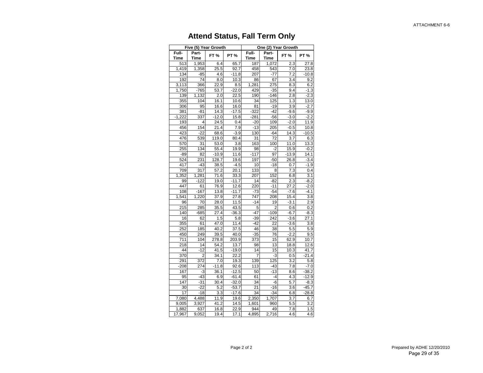## **Attend Status, Fall Term Only**

|                    |                         | Five (5) Year Growth |            |                |              | One (2) Year Growth |                   |
|--------------------|-------------------------|----------------------|------------|----------------|--------------|---------------------|-------------------|
| Full-              | Part-                   | <b>FT%</b>           | <b>PT%</b> | Full-          | Part-        | FT%                 | <b>PT %</b>       |
| <b>Time</b><br>513 | <b>Time</b>             |                      | 65.7       | <b>Time</b>    | Time         | 2.3                 |                   |
| 1,419              | 1,953<br>1,358          | 6.4<br>25.5          |            | 187<br>458     | 1,072<br>543 |                     | 27.8              |
| 134                |                         |                      | 92.7       | 207            | $-77$        | 7.0                 | 23.8              |
|                    | $-85$                   | 4.6                  | $-11.8$    |                |              | 7.2                 | $-10.8$           |
| 192                | 74                      | 8.0                  | 10.3       | 86             | 67           | 3.4                 | 9.2               |
| 3,113              | 366                     | 22.9                 | 8.5        | 1,281          | 275          | 8.3                 | 6.2               |
| 1,750              | $-765$                  | 53.7                 | $-22.0$    | 429            | $-35$        | 9.4                 | $-1.3$            |
| 139                | 1,132                   | 2.0                  | 22.5       | 190            | $-146$       | 2.8                 | $-2.3$            |
| 355                | 104                     | 16.1                 | 10.6       | 34             | 125          | 1.3                 | $\overline{13.0}$ |
| 306                | 95                      | 16.6                 | 16.0       | 81             | $-19$        | 3.9                 | $-2.7$            |
| 381                | -81                     | 14.3                 | $-17.5$    | $-322$         | $-42$        | $-9.6$              | $-9.9$            |
| $-1,222$           | 337                     | $-12.0$              | 15.8       | $-281$         | -56          | $-3.0$              | $-2.2$            |
| 193                | 4                       | 24.5                 | 0.4        | $-20$          | 109          | $-2.0$              | 11.9              |
| 456                | 154                     | 21.4                 | 7.9        | $-13$          | 205          | $-0.5$              | 10.8              |
| 423                | $-22$                   | 68.6                 | $-3.9$     | 130            | $-64$        | 14.3                | $-10.5$           |
| 476                | 539                     | 119.0                | 80.4       | 31             | 72           | 3.7                 | 6.3               |
| 570                | 31                      | 53.0                 | 3.8        | 163            | 100          | 11.0                | 13.3              |
| 255                | 134                     | 55.4                 | 19.9       | 98             | $-2$         | 15.9                | $-0.2$            |
| $-89$              | 82                      | $-10.9$              | 11.6       | $-117$         | 97           | $-13.9$             | 14.1              |
| 524                | 231                     | 128.7                | 19.6       | 197            | $-50$        | 26.8                | $-3.4$            |
| 417                | $-43$                   | 38.5                 | $-4.5$     | 10             | $-18$        | 0.7                 | $-1.9$            |
| 709                | 317                     | 57.2                 | 20.1       | 133            | 8            | 7.3                 | 0.4               |
| 1,352              | 1,281                   | 71.6                 | 33.3       | 207            | 152          | 6.8                 | 3.1               |
| 99                 | $-122$                  | 19.0                 | $-11.7$    | 14             | $-82$        | 2.3                 | $-8.2$            |
| 447                | 61                      | 76.9                 | 12.6       | 220            | $-11$        | 27.2                | $-2.0$            |
| 108                | $-167$                  | 13.8                 | $-11.7$    | $-73$          | $-54$        | $-7.6$              | $-4.1$            |
| 1,541              | 1,220                   | 37.9                 | 27.8       | 747            | 208          | 15.4                | 3.8               |
| 96                 | 70                      | 28.0                 | 11.5       | $-14$          | 19           | $-3.1$              | 2.9               |
| 215                | 285                     | 35.5                 | 43.5       | 5              | 2            | 0.6                 | 0.2               |
| 140                | $-685$                  | 27.4                 | $-36.3$    | $-47$          | $-109$       | $-6.7$              | $-8.3$            |
| 16                 | 62                      | 1.5                  | 5.8        | $-39$          | 242          | $-3.6$              | 27.1              |
| 355                | 61                      | 47.0                 | 11.4       | $-42$          | 22           | $-3.6$              | 3.8               |
| 252                | 185                     | 40.2                 | 37.5       | 46             | 38           | 5.5                 | 5.9               |
| 450                | 249                     | 39.5                 | 40.0       | $-35$          | 76           | $-2.2$              | 9.5               |
| 711                | 104                     | 278.8                | 203.9      | 373            | 15           | 62.9                | 10.7              |
| 218                | 14                      | 54.2                 | 13.7       | 98             | 13           | 18.8                | 12.6              |
| 44                 | $-12$                   | 41.5                 | $-19.0$    | 14             | 15           | 10.3                | 41.7              |
| 370                | $\overline{\mathbf{c}}$ | 34.1                 | 22.2       | $\overline{7}$ | $-3$         | 0.5                 | $-21.4$           |
| 291                | 372                     | 7.0                  | 19.3       | 139            | 125          | 3.2                 | 5.8               |
| $-208$             | 274                     | $-11.8$              | 92.6       | 113            | $-43$        | 7.8                 | $-7.0$            |
| 167                | -3                      | 36.1                 | $-12.5$    | 50             | $-13$        | 8.6                 | $-38.2$           |
| 95                 | $-43$                   | 6.9                  | $-61.4$    | 61             | $-4$         | 4.3                 | $-12.9$           |
| 147                | $-31$                   | 30.4                 | $-32.0$    | 34             | -6           | 5.7                 | $-8.3$            |
| 30                 | $-22$                   | 5.2                  | $-53.7$    | 21             | $-16$        | 3.6                 | $-45.7$           |
| 17                 | $-18$                   | 3.3                  | $-17.6$    | 34             | $-34$        | 6.8                 | $-28.8$           |
| 7,080              | 4,488                   | 11.9                 | 19.6       | 2,350          | 1,707        | 3.7                 | 6.7               |
| 9,005              | 3,927                   | 41.2                 | 14.5       | 1,601          | 960          | 5.5                 | 3.2               |
| 1,882              | 637                     | 16.8                 | 22.9       | 944            | 49           | 7.8                 | 1.5               |
| 17,967             | 9,052                   | 19.4                 | 17.1       | 4,895          | 2,716        | 4.6                 | 4.6               |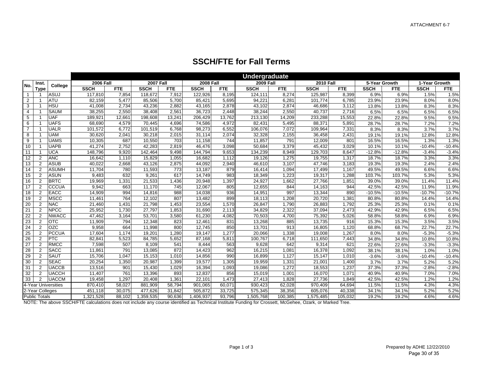| <b>SSCH/FTE for Fall Terms</b> |  |  |
|--------------------------------|--|--|
|--------------------------------|--|--|

|                |                      |                     |                  |            |                  |            |                  |        | <b>Undergraduate</b> |            |                  |            |               |            |               |            |
|----------------|----------------------|---------------------|------------------|------------|------------------|------------|------------------|--------|----------------------|------------|------------------|------------|---------------|------------|---------------|------------|
| No.            | Inst.                | College             | <b>2006 Fall</b> |            | <b>2007 Fall</b> |            | <b>2008 Fall</b> |        | <b>2009 Fall</b>     |            | <b>2010 Fall</b> |            | 5-Year Growth |            | 1-Year Growth |            |
|                | <b>T</b> vpe         |                     | <b>SSCH</b>      | <b>FTE</b> | <b>SSCH</b>      | <b>FTE</b> | <b>SSCH</b>      | FTE    | <b>SSCH</b>          | <b>FTE</b> | <b>SSCH</b>      | <b>FTE</b> | <b>SSCH</b>   | <b>FTE</b> | <b>SSCH</b>   | <b>FTE</b> |
| $\overline{1}$ |                      | <b>ASUJ</b>         | 117,810          | 7,854      | 118,672          | 7,912      | 122,926          | 8,195  | 124,111              | 8,274      | 125,987          | 8,399      | 6.9%          | 6.9%       | 1.5%          | 1.5%       |
| $\overline{2}$ |                      | <b>ATU</b>          | 82,159           | 5,477      | 85,506           | 5,700      | 85,421           | 5,695  | 94,221               | 6,281      | 101,774          | 6,785      | 23.9%         | 23.9%      | 8.0%          | 8.0%       |
| 3              |                      | <b>HSU</b>          | 41,008           | 2,734      | 43,236           | 2,882      | 43,165           | 2,878  | 43,102               | 2,874      | 46,686           | 3,112      | 13.8%         | 13.8%      | 8.3%          | 8.3%       |
| $\overline{4}$ |                      | <b>SAUM</b>         | 38,255           | 2.550      | 38.408           | 2.561      | 36.723           | 2.448  | 38.244               | 2,550      | 40.737           | 2.716      | 6.5%          | 6.5%       | 6.5%          | 6.5%       |
| 5              |                      | <b>UAF</b>          | 189,921          | 12,661     | 198,608          | 13,241     | 206,429          | 13,762 | 213,130              | 14,209     | 233,288          | 15,553     | 22.8%         | 22.8%      | 9.5%          | 9.5%       |
| 6              |                      | <b>UAFS</b>         | 68,690           | 4,579      | 70,445           | 4,696      | 74,586           | 4,972  | 82,431               | 5,495      | 88,371           | 5,891      | 28.7%         | 28.7%      | 7.2%          | 7.2%       |
| $\overline{7}$ |                      | <b>UALR</b>         | 101,572          | 6,772      | 101,519          | 6,768      | 98,273           | 6,552  | 106,076              | 7,072      | 109,964          | 7,331      | 8.3%          | 8.3%       | 3.7%          | 3.7%       |
| 8              |                      | <b>UAM</b>          | 30,620           | 2,041      | 30,218           | 2,015      | 31,114           | 2,074  | 32,328               | 2,155      | 36,458           | 2,431      | 19.1%         | 19.1%      | 12.8%         | 12.8%      |
| 9              |                      | <b>UAMS</b>         | 10,305           | 687        | 10,550           | 703        | 11,158           | 744    | 11,857               | 791        | 12,009           | 801        | 16.5%         | 16.5%      | 1.3%          | 1.3%       |
| 10             |                      | <b>UAPB</b>         | 41,274           | 2,752      | 42,283           | 2,819      | 46,476           | 3,098  | 50,684               | 3,379      | 45,432           | 3,029      | 10.1%         | 10.1%      | $-10.4%$      | $-10.4%$   |
| 11             |                      | <b>UCA</b>          | 148,796          | 9,920      | 142,464          | 9,498      | 144,794          | 9,653  | 134,239              | 8,949      | 129,703          | 8,647      | $-12.8%$      | $-12.8%$   | $-3.4%$       | $-3.4%$    |
| 12             | $\mathfrak{p}$       | <b>ANC</b>          | 16,642           | 1,110      | 15,829           | 1,055      | 16,682           | 1,112  | 19,126               | 1,275      | 19,755           | 1,317      | 18.7%         | 18.7%      | 3.3%          | 3.3%       |
| 13             | $\mathfrak{p}$       | <b>ASUB</b>         | 40,022           | 2,668      | 43,126           | 2,875      | 44,092           | 2,940  | 46,610               | 3,107      | 47,746           | 3,183      | 19.3%         | 19.3%      | 2.4%          | 2.4%       |
| 14             | $\overline{2}$       | <b>ASUMH</b>        | 11,704           | 780        | 11,593           | 773        | 13,187           | 879    | 16,414               | 1,094      | 17,499           | 1,167      | 49.5%         | 49.5%      | 6.6%          | 6.6%       |
| 15             | $\overline{2}$       | <b>ASUN</b>         | 9.483            | 632        | 9.261            | 617        | 14.749           | 983    | 18,349               | 1,223      | 19,317           | 1,288      | 103.7%        | 103.7%     | 5.3%          | 5.3%       |
| 16             | $\overline{2}$       | <b>BRTC</b>         | 19,969           | 1,331      | 21,533           | 1,436      | 20,948           | 1,397  | 24,927               | 1,662      | 27,766           | 1,851      | 39.0%         | 39.0%      | 11.4%         | 11.4%      |
| 17             | $\mathfrak{p}$       | CCCUA               | 9,942            | 663        | 11,170           | 745        | 12,067           | 805    | 12,655               | 844        | 14,163           | 944        | 42.5%         | 42.5%      | 11.9%         | 11.9%      |
| 18             | $\overline{2}$       | EACC                | 14,909           | 994        | 14,816           | 988        | 14,038           | 936    | 14,951               | 997        | 13,344           | 890        | $-10.5%$      | $-10.5%$   | $-10.7%$      | $-10.7%$   |
| 19             | $\overline{2}$       | <b>MSCC</b>         | 11,461           | 764        | 12,102           | 807        | 13,482           | 899    | 18,113               | 1,208      | 20,720           | 1,381      | 80.8%         | 80.8%      | 14.4%         | 14.4%      |
| 20             | $\overline{2}$       | <b>NAC</b>          | 21,460           | 1,431      | 21,798           | 1,453      | 23,554           | 1,570  | 26,847               | 1,790      | 26,883           | 1,792      | 25.3%         | 25.3%      | 0.1%          | 0.1%       |
| 21             | $\overline{2}$       | <b>NPCC</b>         | 25,952           | 1,730      | 27,797           | 1,853      | 31,690           | 2,113  | 34,829               | 2,322      | 37,094           | 2,473      | 42.9%         | 42.9%      | 6.5%          | 6.5%       |
| 22             | $\overline{2}$       | <b>NWACC</b>        | 47,462           | 3,164      | 53,701           | 3,580      | 61,230           | 4,082  | 70,503               | 4,700      | 75,392           | 5,026      | 58.8%         | 58.8%      | 6.9%          | 6.9%       |
| 23             | $\overline{2}$       | <b>OTC</b>          | 11,909           | 794        | 12,348           | 823        | 12,461           | 831    | 13,268               | 885        | 13,735           | 916        | 15.3%         | 15.3%      | 3.5%          | 3.5%       |
| 24             | $\mathfrak{p}$       | <b>OZC</b>          | 9,958            | 664        | 11,998           | 800        | 12,745           | 850    | 13,701               | 913        | 16,805           | 1,120      | 68.8%         | 68.7%      | 22.7%         | 22.7%      |
| 25             | $\overline{2}$       | <b>PCCUA</b>        | 17,604           | 1,174      | 19,201           | 1,280      | 19,147           | 1,277  | 20,066               | 1,338      | 19,008           | 1,267      | 8.0%          | 8.0%       | $-5.3%$       | $-5.3%$    |
| 26             | 2                    | <b>PTC</b>          | 82,841           | 5,523      | 84,785           | 5,652      | 87,168           | 5,811  | 100,767              | 6,718      | 111,650          | 7,443      | 34.8%         | 34.8%      | 10.8%         | 10.8%      |
| 27             | $\overline{2}$       | <b>RMCC</b>         | 7,598            | 507        | 8,109            | 541        | 8,444            | 563    | 9,628                | 642        | 9,314            | 621        | 22.6%         | 22.6%      | $-3.3%$       | $-3.3%$    |
| 28             | $\overline{2}$       | <b>SACC</b>         | 11,861           | 791        | 13,085           | 872        | 14,423           | 962    | 16,215               | 1,081      | 16,378           | 1,092      | 38.1%         | 38.1%      | 1.0%          | 1.0%       |
| 29             | $\overline{2}$       | <b>SAUT</b>         | 15,706           | 1.047      | 15,153           | 1,010      | 14,856           | 990    | 16,899               | 1,127      | 15,147           | 1,010      | $-3.6%$       | $-3.6%$    | $-10.4%$      | $-10.4%$   |
| 30             | $\overline{2}$       | <b>SEAC</b>         | 20,254           | 1,350      | 20,987           | 1,399      | 19,577           | 1,305  | 19,959               | 1,331      | 21,001           | 1,400      | 3.7%          | 3.7%       | 5.2%          | 5.2%       |
| 31             | $\overline{2}$       | <b>UACCB</b>        | 13,516           | 901        | 15,430           | 1,029      | 16,394           | 1,093  | 19,086               | 1,272      | 18,553           | 1,237      | 37.3%         | 37.3%      | $-2.8%$       | $-2.8%$    |
| 32             | $\overline{2}$       | <b>UACCH</b>        | 11,407           | 761        | 13,396           | 893        | 12,837           | 856    | 15,019               | 1,001      | 16,070           | 1,071      | 40.9%         | 40.9%      | 7.0%          | 7.0%       |
| 33             | 2                    | <b>UACCM</b>        | 19,458           | 1.297      | 20,408           | 1.361      | 22,101           | 1,473  | 27,413               | 1.828      | 27,736           | 1.849      | 42.5%         | 42.5%      | 1.2%          | 1.2%       |
|                |                      | 4-Year Universities | 870,410          | 58,027     | 881,909          | 58,794     | 901,065          | 60,071 | 930,423              | 62,028     | 970,409          | 64,694     | 11.5%         | 11.5%      | 4.3%          | 4.3%       |
|                | 2-Year Colleges      |                     | 451,118          | 30,075     | 477,626          | 31.842     | 505,872          | 33,725 | 575,345              | 38,356     | 605,076          | 40,338     | 34.1%         | 34.1%      | 5.2%          | 5.2%       |
|                | <b>Public Totals</b> |                     | 1,321,528        | 88,102     | 1,359,535        | 90,636     | 1,406,937        | 93,796 | 1,505,768            | 100,385    | 1,575,485        | 105,032    | 19.2%         | 19.2%      | 4.6%          | 4.6%       |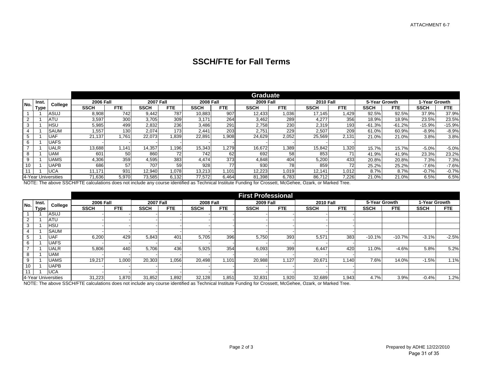## **SSCH/FTE for Fall Terms**

|                |             |                     |                  |            |                  |                  |                  |            | <b>Graduate</b>  |            |                  |            |               |            |               |            |
|----------------|-------------|---------------------|------------------|------------|------------------|------------------|------------------|------------|------------------|------------|------------------|------------|---------------|------------|---------------|------------|
| No.            | Inst        | College             | <b>2006 Fall</b> |            | <b>2007 Fall</b> |                  | <b>2008 Fall</b> |            | <b>2009 Fall</b> |            | <b>2010 Fall</b> |            | 5-Year Growth |            | 1-Year Growth |            |
|                | <b>Type</b> |                     | <b>SSCH</b>      | <b>FTE</b> | <b>SSCH</b>      | <b>FTE</b>       | <b>SSCH</b>      | <b>FTE</b> | <b>SSCH</b>      | <b>FTE</b> | <b>SSCH</b>      | <b>FTE</b> | <b>SSCH</b>   | <b>FTE</b> | <b>SSCH</b>   | <b>FTE</b> |
|                |             | ASUJ                | 8,908            | 742        | 9.442            | 787              | 10,883           | 907        | 12,433           | ,036       | 17.145           | .429       | 92.5%         | 92.5%      | 37.9%         | 37.9%      |
| $\overline{2}$ |             | ATU                 | 3,597            | 300        | 3,705            | 309              | 3.171            | 264        | 3,462            | 289        | 4.277            | 356        | 18.9%         | 18.9%      | 23.5%         | 23.5%      |
| 3              |             | HSL                 | 5,985            | 499        | 2.832            | 236              | 3.486            | 291        | 2.758            | 230        | 2.319            | 193        | $-61.3%$      | $-61.2%$   | $-15.9%$      | $-15.9%$   |
|                |             | SAUM                | .557             | 130        | 2.074            | 173 <sub>1</sub> | 2.441            | 203        | 2,751            | 229        | 2,507            | 209        | 61.0%         | 60.9%      | $-8.9%$       | $-8.9%$    |
|                |             | UAF                 | 21.137           | .761       | 22,073           | .839             | 22,891           | 908.       | 24.629           | 2,052      | 25,569           | 2,131      | 21.0%         | 21.0%      | 3.8%          | 3.8%       |
|                |             | JAFS                |                  |            |                  |                  |                  |            |                  |            |                  |            |               |            |               |            |
|                |             | UALR                | 13,688           | .141       | 14,357           | 1,196            | 15,343           | .279       | 16.672           | 1,389      | 15,842           | 1,320      | 15.7%         | 15.7%      | $-5.0%$       | $-5.0%$    |
|                |             | JAM                 | 601              | 50         | 860              | 72               | 742              | 62         | 692              | 58         | 853              |            | 41.9%         | 41.9%      | 23.3%         | 23.2%      |
| 9              |             | <b>JAMS</b>         | 4,306            | 359        | 4.595            | 383              | 4.474            | 373        | 4.848            | 404        | 5,200            | 433        | 20.8%         | 20.8%      | 7.3%          | 7.3%       |
| 10             |             | JAPB                | 686              | 57         | 707              | 59               | 928              | 77         | 930              | 78         | 859              | 72         | 25.2%         | 25.2%      | $-7.6%$       | $-7.6%$    |
|                |             | <b>UCA</b>          | 11.171           | 931        | 12.940           | 1.078            | 13,213           | .101       | 12,223           | 1.019      | 12.141           | 1,012      | 8.7%          | 8.7%       | $-0.7%$       | $-0.7%$    |
|                |             | 4-Year Universities | 71,636           | 5,970      | 73,585           | 6,132            | 77,572           | 6,464      | 81.398           | 6,783      | 86.712           | 7,226      | 21.0%         | 21.0%      | 6.5%          | 6.5%       |

NOTE: The above SSCH/FTE calculations does not include any course identified as Technical Institute Funding for Crossett, McGehee, Ozark, or Marked Tree.

|               |       |                     |                  |            |                  |            |                  |            | <b>First Professional</b> |            |                  |            |               |            |               |            |
|---------------|-------|---------------------|------------------|------------|------------------|------------|------------------|------------|---------------------------|------------|------------------|------------|---------------|------------|---------------|------------|
| No.           | Inst. | College             | <b>2006 Fall</b> |            | <b>2007 Fall</b> |            | <b>2008 Fall</b> |            | <b>2009 Fall</b>          |            | <b>2010 Fall</b> |            | 5-Year Growth |            | 1-Year Growth |            |
|               | Type  |                     | <b>SSCH</b>      | <b>FTE</b> | <b>SSCH</b>      | <b>FTE</b> | <b>SSCH</b>      | <b>FTE</b> | <b>SSCH</b>               | <b>FTE</b> | <b>SSCH</b>      | <b>FTE</b> | <b>SSCH</b>   | <b>FTE</b> | <b>SSCH</b>   | <b>FTE</b> |
|               |       | ASUJ                |                  |            |                  |            |                  |            |                           |            |                  |            |               |            |               |            |
| 2             |       | <b>ATU</b>          |                  |            |                  |            |                  |            |                           |            |                  |            |               |            |               |            |
| 3             |       | HSU                 |                  |            |                  |            |                  |            |                           |            |                  |            |               |            |               |            |
|               |       | <b>SAUM</b>         |                  |            |                  |            |                  |            |                           |            |                  |            |               |            |               |            |
|               |       | UAF                 | 6,200            | 429        | 5,843            | 401        | 5.705            | 396        | 5,750                     | 393        | 5,571            | 383        | $-10.1%$      | $-10.7%$   | $-3.1%$       | $-2.5%$    |
| 6             |       | <b>UAFS</b>         |                  |            |                  |            |                  |            |                           |            |                  |            |               |            |               |            |
| $\rightarrow$ |       | UALR                | 5,806            | 440        | 5.706            | 436        | 5,925            | 354        | 6,093                     | 399        | 6.447            | 420        | 11.0%         | $-4.6%$    | 5.8%          | 5.2%       |
| $\circ$<br>Ö  |       | UAM                 |                  |            |                  |            |                  |            |                           |            |                  |            |               |            |               |            |
| 9             |       | UAMS                | 19.217           | 1,000      | 20.303           | 1.056      | 20.498           | 1.101      | 20,988                    | .127       | 20,671           | .140       | 7.6%          | 14.0%      | $-1.5%$       | 1.1%       |
| 10            |       | UAPB                |                  |            |                  |            |                  |            |                           |            |                  |            |               |            |               |            |
|               |       | <b>UCA</b>          |                  |            |                  |            |                  |            |                           |            |                  |            |               |            |               |            |
|               |       | 4-Year Universities | 31,223           | 1.870      | 31,852           | .892       | 32,128           | .851       | 32,831                    | .920       | 32,689           | 1,943      | 4.7%          | 3.9%       | $-0.4%$       | 1.2%       |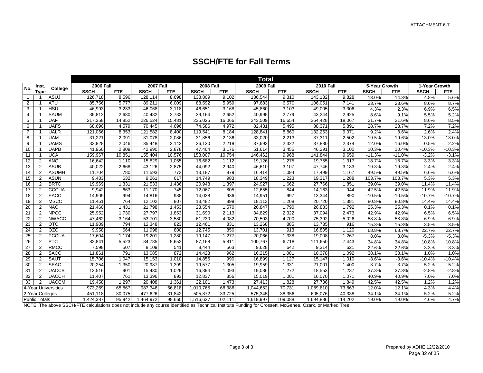|                |                      |                     | <b>Total</b>     |            |                  |                  |                  |            |                  |            |                  |            |               |            |               |            |
|----------------|----------------------|---------------------|------------------|------------|------------------|------------------|------------------|------------|------------------|------------|------------------|------------|---------------|------------|---------------|------------|
| No.            | Inst.                | College             | <b>2006 Fall</b> |            | <b>2007 Fall</b> |                  | <b>2008 Fall</b> |            | <b>2009 Fall</b> |            | <b>2010 Fall</b> |            | 5-Year Growth |            | 1-Year Growth |            |
|                | <b>Type</b>          |                     | <b>SSCH</b>      | <b>FTE</b> | <b>SSCH</b>      | <b>FTE</b>       | <b>SSCH</b>      | <b>FTE</b> | <b>SSCH</b>      | <b>FTE</b> | <b>SSCH</b>      | <b>FTE</b> | <b>SSCH</b>   | <b>FTE</b> | <b>SSCH</b>   | <b>FTE</b> |
| $\mathbf{1}$   |                      | <b>ASUJ</b>         | 126,718          | 8,596      | 128,114          | 8,698            | 133,809          | 9,102      | 136,544          | 9,310      | 143,132          | 9,828      | 13.0%         | 14.3%      | 4.8%          | 5.6%       |
| $\overline{2}$ |                      | <b>ATU</b>          | 85,756           | 5,777      | 89,211           | 6,009            | 88,592           | 5,959      | 97,683           | 6,570      | 106,051          | 7,141      | 23.7%         | 23.6%      | 8.6%          | 8.7%       |
| 3              |                      | <b>HSU</b>          | 46,993           | 3,233      | 46,068           | 3,118            | 46,651           | 3,168      | 45,860           | 3,103      | 49,005           | 3,306      | 4.3%          | 2.3%       | 6.9%          | 6.5%       |
| 4              |                      | <b>SAUM</b>         | 39,812           | 2,680      | 40,482           | 2,733            | 39,164           | 2,652      | 40,995           | 2,779      | 43,244           | 2,925      | 8.6%          | 9.1%       | 5.5%          | 5.2%       |
| 5              |                      | <b>UAF</b>          | 217,258          | 14,852     | 226.524          | 15.481           | 235,025          | 16,066     | 243,509          | 16,654     | 264.428          | 18.067     | 21.7%         | 21.6%      | 8.6%          | 8.5%       |
| 6              |                      | <b>UAFS</b>         | 68,690           | 4,579      | 70,445           | 4,696            | 74,586           | 4,972      | 82,431           | 5,495      | 88,371           | 5,891      | 28.7%         | 28.7%      | 7.2%          | 7.2%       |
| $\overline{7}$ |                      | <b>UALR</b>         | 121,066          | 8,353      | 121,582          | 8,400            | 119,541          | 8,184      | 128,841          | 8,860      | 132,253          | 9,071      | 9.2%          | 8.6%       | 2.6%          | 2.4%       |
| 8              |                      | <b>UAM</b>          | 31,221           | 2,091      | 31,078           | 2,086            | 31,856           | 2,136      | 33,020           | 2,213      | 37,311           | 2,502      | 19.5%         | 19.6%      | 13.0%         | 13.0%      |
| 9              |                      | <b>UAMS</b>         | 33,828           | 2,046      | 35,448           | 2,142            | 36,130           | 2,218      | 37,693           | 2,322      | 37,880           | 2,374      | 12.0%         | 16.0%      | 0.5%          | 2.2%       |
| 10             |                      | <b>UAPB</b>         | 41.960           | 2,809      | 42.990           | 2.878            | 47,404           | 3,176      | 51,614           | 3,456      | 46,291           | 3,100      | 10.3%         | 10.4%      | $-10.3%$      | $-10.3%$   |
| 11             |                      | <b>UCA</b>          | 159,967          | 10,851     | 155,404          | 10,576           | 158,007          | 10,754     | 146,462          | 9,968      | 141,844          | 9,659      | $-11.3%$      | $-11.0%$   | $-3.2%$       | $-3.1%$    |
| 12             | $\overline{2}$       | <b>ANC</b>          | 16,642           | 1,110      | 15,829           | 1,055            | 16,682           | 1,112      | 19,126           | 1,275      | 19,755           | 1,317      | 18.7%         | 18.7%      | 3.3%          | 3.3%       |
| 13             | $\overline{2}$       | <b>ASUB</b>         | 40,022           | 2,668      | 43,126           | 2,875            | 44,092           | 2,940      | 46,610           | 3,107      | 47,746           | 3,183      | 19.3%         | 19.3%      | 2.4%          | 2.4%       |
| 14             | $\overline{2}$       | <b>ASUMH</b>        | 11,704           | 780        | 11,593           | $\overline{773}$ | 13,187           | 879        | 16,414           | 1,094      | 17,499           | 1.167      | 49.5%         | 49.5%      | 6.6%          | 6.6%       |
| 15             | $\overline{2}$       | <b>ASUN</b>         | 9,483            | 632        | 9,261            | 617              | 14,749           | 983        | 18,349           | 1,223      | 19,317           | 1,288      | 103.7%        | 103.7%     | 5.3%          | 5.3%       |
| 16             | $\overline{2}$       | <b>BRTC</b>         | 19,969           | 1,331      | 21,533           | 1,436            | 20,948           | 1,397      | 24,927           | 1,662      | 27,766           | 1,851      | 39.0%         | 39.0%      | 11.4%         | 11.4%      |
| 17             | $\overline{c}$       | CCCUA               | 9,942            | 663        | 11,170           | 745              | 12,067           | 805        | 12,655           | 844        | 14,163           | 944        | 42.5%         | 42.5%      | 11.9%         | 11.9%      |
| 18             | 2                    | <b>EACC</b>         | 14,909           | 994        | 14,816           | 988              | 14,038           | 936        | 14,951           | 997        | 13,344           | 890        | $-10.5%$      | $-10.5%$   | $-10.7%$      | $-10.7%$   |
| 19             | 2                    | MSCC                | 11,461           | 764        | 12,102           | 807              | 13,482           | 899        | 18,113           | 1,208      | 20,720           | 1,381      | 80.8%         | 80.8%      | 14.4%         | 14.4%      |
| 20             | $\overline{2}$       | <b>NAC</b>          | 21,460           | 1,431      | 21,798           | 1,453            | 23,554           | 1,570      | 26,847           | 1,790      | 26,883           | 1,792      | 25.3%         | 25.3%      | 0.1%          | 0.1%       |
| 21             | 2                    | <b>NPCC</b>         | 25,952           | 1,730      | 27,797           | 1,853            | 31,690           | 2,113      | 34,829           | 2,322      | 37,094           | 2,473      | 42.9%         | 42.9%      | 6.5%          | 6.5%       |
| 22             | $\overline{2}$       | <b>NWACC</b>        | 47,462           | 3,164      | 53.701           | 3,580            | 61,230           | 4,082      | 70,503           | 4,700      | 75,392           | 5,026      | 58.8%         | 58.8%      | 6.9%          | 6.9%       |
| 23             | $\overline{2}$       | <b>OTC</b>          | 11,909           | 794        | 12,348           | 823              | 12,461           | 831        | 13,268           | 885        | 13,735           | 916        | 15.3%         | 15.3%      | 3.5%          | 3.5%       |
| 24             | 2                    | <b>OZC</b>          | 9,958            | 664        | 11,998           | 800              | 12,745           | 850        | 13,701           | 913        | 16,805           | 1,120      | 68.8%         | 68.7%      | 22.7%         | 22.7%      |
| 25             | $\overline{2}$       | <b>PCCUA</b>        | 17,604           | 1,174      | 19,201           | 1,280            | 19,147           | 1,277      | 20,066           | 1,338      | 19,008           | 1,267      | 8.0%          | 8.0%       | $-5.3%$       | $-5.3%$    |
| 26             | $\overline{2}$       | PTC                 | 82,841           | 5,523      | 84,785           | 5,652            | 87,168           | 5,811      | 100,767          | 6,718      | 111,650          | 7,443      | 34.8%         | 34.8%      | 10.8%         | 10.8%      |
| 27             | 2                    | RMCC                | 7.598            | 507        | 8.109            | 541              | 8,444            | 563        | 9.628            | 642        | 9.314            | 621        | 22.6%         | 22.6%      | $-3.3%$       | $-3.3%$    |
| 28             | $\overline{2}$       | <b>SACC</b>         | 11,861           | 791        | 13,085           | 872              | 14,423           | 962        | 16,215           | 1,081      | 16,378           | 1,092      | 38.1%         | 38.1%      | 1.0%          | 1.0%       |
| 29             | 2                    | <b>SAUT</b>         | 15,706           | 1,047      | 15,153           | 1,010            | 14,856           | 990        | 16,899           | 1,127      | 15,147           | 1,010      | $-3.6%$       | $-3.6%$    | $-10.4%$      | $-10.4%$   |
| 30             | 2                    | <b>SEAC</b>         | 20,254           | 1,350      | 20.987           | 1,399            | 19,577           | 1.305      | 19,959           | 1,331      | 21,001           | 1,400      | 3.7%          | 3.7%       | 5.2%          | 5.2%       |
| 31             | $\overline{2}$       | <b>UACCB</b>        | 13,516           | 901        | 15,430           | 1,029            | 16,394           | 1,093      | 19,086           | 1,272      | 18,553           | 1,237      | 37.3%         | 37.3%      | $-2.8%$       | $-2.8%$    |
| 32             | $\overline{2}$       | <b>UACCH</b>        | 11,407           | 761        | 13,396           | 893              | 12,837           | 856        | 15,019           | 1,001      | 16,070           | 1.071      | 40.9%         | 40.9%      | 7.0%          | 7.0%       |
| 33             | $\overline{2}$       | <b>UACCM</b>        | 19,458           | 1,297      | 20,408           | 1,361            | 22,101           | 1,473      | 27,413           | 1,828      | 27,736           | 1,849      | 42.5%         | 42.5%      | 1.2%          | 1.2%       |
|                |                      | 4-Year Universities | 973,269          | 65,867     | 987,346          | 66,818           | 1,010,765        | 68,386     | 1,044,652        | 70,731     | 1,089,810        | 73,863     | 12.0%         | 12.1%      | 4.3%          | 4.4%       |
|                | 2-Year Colleges      |                     | 451.118          | 30,075     | 477,626          | 31.842           | 505,872          | 33,725     | 575,345          | 38,356     | 605,076          | 40,338     | 34.1%         | 34.1%      | 5.2%          | 5.2%       |
|                | <b>Public Totals</b> |                     | 1,424,387        | 95,942     | 1,464,972        | 98,660           | 1,516,637        | 102, 111   | 1,619,997        | 109,088    | 1,694,886        | 114,202    | 19.0%         | 19.0%      | 4.6%          | 4.7%       |

## **SSCH/FTE for Fall Terms**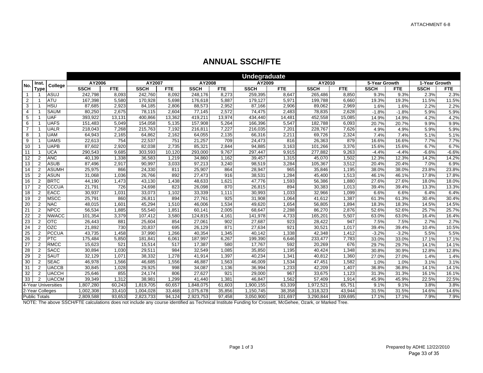|                |                      |                     |             |            |             |            |             |            | <b>Undegraduate</b> |         |             |            |               |            |               |            |
|----------------|----------------------|---------------------|-------------|------------|-------------|------------|-------------|------------|---------------------|---------|-------------|------------|---------------|------------|---------------|------------|
| No.            | Inst.                | College             | AY2006      |            | AY2007      |            | AY2008      |            | AY2009              |         | AY2010      |            | 5-Year Growth |            | 1-Year Growth |            |
|                | <b>Type</b>          |                     | <b>SSCH</b> | <b>FTE</b> | <b>SSCH</b> | <b>FTE</b> | <b>SSCH</b> | <b>FTE</b> | <b>SSCH</b>         | FTE     | <b>SSCH</b> | <b>FTE</b> | <b>SSCH</b>   | <b>FTE</b> | <b>SSCH</b>   | <b>FTE</b> |
| $\mathbf{1}$   |                      | ASUJ                | 242,798     | 8,093      | 242,760     | 8,092      | 248,176     | 8,273      | 259,395             | 8,647   | 265,486     | 8,850      | 9.3%          | 9.3%       | 2.3%          | 2.3%       |
| 2              |                      | <b>ATU</b>          | 167,398     | 5,580      | 170,928     | 5,698      | 176,618     | 5,887      | 179,127             | 5,971   | 199,788     | 6,660      | 19.3%         | 19.3%      | 11.5%         | 11.5%      |
| 3              |                      | <b>HSU</b>          | 87,685      | 2.923      | 84.185      | 2.806      | 88.573      | 2.952      | 87,166              | 2,906   | 89.062      | 2.969      | 1.6%          | 1.6%       | 2.2%          | 2.2%       |
| 4              |                      | <b>SAUM</b>         | 80,250      | 2,675      | 78,115      | 2,604      | 77,145      | 2,572      | 74,475              | 2,483   | 78,835      | 2,628      | $-1.8%$       | $-1.8%$    | 5.9%          | 5.9%       |
| 5              |                      | <b>UAF</b>          | 393,922     | 13,131     | 400,866     | 13,362     | 419,211     | 13,974     | 434,440             | 14,48'  | 452,558     | 15,085     | 14.9%         | 14.9%      | 4.2%          | 4.2%       |
| 6              |                      | <b>UAFS</b>         | 151,483     | 5,049      | 154,058     | 5,135      | 157,908     | 5,264      | 166,396             | 5,547   | 182,788     | 6,093      | 20.7%         | 20.7%      | 9.9%          | 9.9%       |
| $\overline{7}$ |                      | <b>UALR</b>         | 218,043     | 7,268      | 215.763     | 7,192      | 216,811     | 7.227      | 216,035             | 7,201   | 228,767     | 7,626      | 4.9%          | 4.9%       | 5.9%          | 5.9%       |
| 8              |                      | <b>UAM</b>          | 64,943      | 2,165      | 64,862      | 2,162      | 64,055      | 2,135      | 66,316              | 2,211   | 69,726      | 2,324      | 7.4%          | 7.4%       | 5.1%          | 5.1%       |
| 9              |                      | <b>UAMS</b>         | 22,613      | 754        | 22,537      | 751        | 21,257      | 709        | 24,473              | 816     | 26,363      | 879        | 16.6%         | 16.6%      | 7.7%          | 7.7%       |
| 10             |                      | <b>UAPB</b>         | 87,602      | 2,920      | 82,038      | 2.735      | 85,321      | 2,844      | 94,885              | 3,163   | 101,266     | 3,376      | 15.6%         | 15.6%      | 6.7%          | 6.7%       |
| 11             |                      | <b>UCA</b>          | 290,543     | 9,685      | 303,593     | 10,120     | 293,000     | 9,767      | 297,447             | 9,915   | 277,882     | 9,263      | $-4.4%$       | $-4.4%$    | $-6.6%$       | $-6.6%$    |
| 12             | $\overline{2}$       | <b>ANC</b>          | 40,139      | 1,338      | 36,583      | 1.219      | 34.860      | 1.162      | 39,457              | 1,315   | 45,070      | 1,502      | 12.3%         | 12.3%      | 14.2%         | 14.2%      |
| 13             | 2                    | <b>ASUB</b>         | 87,496      | 2,917      | 90.997      | 3,033      | 97,213      | 3,240      | 98,519              | 3,284   | 105,367     | 3,512      | 20.4%         | 20.4%      | 7.0%          | 6.9%       |
| 14             | 2                    | <b>ASUMH</b>        | 25,975      | 866        | 24,330      | 811        | 25,907      | 864        | 28,947              | 965     | 35,846      | 1,195      | 38.0%         | 38.0%      | 23.8%         | 23.8%      |
| 15             | 2                    | <b>ASUN</b>         | 31,068      | 1,036      | 26,766      | 892        | 27,473      | 916        | 38,531              | 1,284   | 45,400      | 1,513      | 46.1%         | 46.1%      | 17.8%         | 17.8%      |
| 16             | 2                    | <b>BRTC</b>         | 44,190      | 1,473      | 43,130      | 1,438      | 48,633      | 1,621      | 47,776              | 1,593   | 56,386      | 1,880      | 27.6%         | 27.6%      | 18.0%         | 18.0%      |
| 17             | $\overline{2}$       | <b>CCCUA</b>        | 21,791      | 726        | 24,698      | 823        | 26,098      | 870        | 26,815              | 894     | 30,383      | 1,013      | 39.4%         | 39.4%      | 13.3%         | 13.3%      |
| 18             | 2                    | <b>EACC</b>         | 30,937      | 1,031      | 33,073      | 1,102      | 33,339      | 1,111      | 30,993              | 1,033   | 32,966      | 1,099      | 6.6%          | 6.6%       | 6.4%          | 6.4%       |
| 19             | 2                    | <b>MSCC</b>         | 25,791      | 860        | 26,811      | 894        | 27,761      | 925        | 31,908              | 1,064   | 41,612      | 1,387      | 61.3%         | 61.3%      | 30.4%         | 30.4%      |
| 20             | 2                    | <b>NAC</b>          | 48,015      | 1,601      | 45,294      | 1,510      | 46,006      | 1.534      | 49,620              | 1,654   | 56,805      | 1,894      | 18.3%         | 18.3%      | 14.5%         | 14.5%      |
| 21             | $\overline{2}$       | <b>NPCC</b>         | 56,534      | 1,885      | 55,540      | 1,851      | 60,141      | 2,005      | 68,647              | 2,288   | 86,270      | 2,876      | 52.6%         | 52.6%      | 25.7%         | 25.7%      |
| 22             | 2                    | <b>NWACC</b>        | 101,354     | 3,379      | 107,412     | 3,580      | 124,815     | 4,161      | 141,978             | 4,733   | 165,201     | 5,507      | 63.0%         | 63.0%      | 16.4%         | 16.4%      |
| 23             | 2                    | <b>OTC</b>          | 26,443      | 881        | 25,604      | 854        | 27,061      | 902        | 27,687              | 923     | 28,422      | 947        | 7.5%          | 7.5%       | 2.7%          | 2.7%       |
| 24             | 2                    | OZC                 | 21,892      | 730        | 20,837      | 695        | 26,129      | 871        | 27,634              | 921     | 30,521      | 1,017      | 39.4%         | 39.4%      | 10.4%         | 10.5%      |
| 25             | $\overline{2}$       | <b>PCCUA</b>        | 43,735      | 1,458      | 37,990      | 1,266      | 40,354      | 1,345      | 40,142              | 1,338   | 42,348      | 1,412      | $-3.2%$       | $-3.2%$    | 5.5%          | 5.5%       |
| 26             | 2                    | <b>PTC</b>          | 175,484     | 5,850      | 181,841     | 6,061      | 187,997     | 6,267      | 199,390             | 6,646   | 233,477     | 7,783      | 33.0%         | 33.0%      | 17.1%         | 17.1%      |
| 27             | 2                    | <b>RMCC</b>         | 15,623      | 521        | 15,514      | 517        | 17,387      | 580        | 17,767              | 592     | 20,269      | 676        | 29.7%         | 29.7%      | 14.1%         | 14.1%      |
| 28             | $\overline{2}$       | <b>SACC</b>         | 30,894      | 1,030      | 29,511      | 984        | 32,549      | 1,085      | 35,850              | 1,195   | 40,424      | 1,348      | 30.8%         | 30.9%      | 12.8%         | 12.8%      |
| 29             | 2                    | <b>SAUT</b>         | 32,129      | 1,071      | 38,332      | 1,278      | 41,914      | 1,397      | 40,234              | 1,341   | 40,812      | 1,360      | 27.0%         | 27.0%      | 1.4%          | 1.4%       |
| 30             | $\overline{2}$       | <b>SEAC</b>         | 46,978      | 1,566      | 46,685      | 1,556      | 46,887      | 1,563      | 46,009              | 1,534   | 47,451      | 1,582      | 1.0%          | 1.0%       | 3.1%          | 3.1%       |
| 31             | $\overline{2}$       | <b>UACCB</b>        | 30,845      | 1,028      | 29,925      | 998        | 34,087      | 1,136      | 36,994              | 1,233   | 42,209      | 1,407      | 36.8%         | 36.8%      | 14.1%         | 14.1%      |
| 32             | $\overline{2}$       | <b>UACCH</b>        | 25,646      | 855        | 24,174      | 806        | 27,627      | 921        | 29,000              | 967     | 33,675      | 1,123      | 31.3%         | 31.3%      | 16.1%         | 16.1%      |
| 33             | 2                    | <b>UACCM</b>        | 39,349      | 1,312      | 38,981      | 1,299      | 41,440      | 1,381      | 46,847              | 1,562   | 57,409      | 1,914      | 45.9%         | 45.9%      | 22.5%         | 22.5%      |
|                |                      | 4-Year Universities | 1,807,280   | 60,243     | 1,819,705   | 60,657     | 1,848,075   | 61,603     | 1,900,155           | 63,339  | 1,972,521   | 65,751     | 9.1%          | 9.1%       | 3.8%          | 3.8%       |
|                |                      | 2-Year Colleges     | 1,002,308   | 33,410     | 1,004,028   | 33,468     | 1,075,678   | 35,856     | 1,150,745           | 38,358  | 1,318,323   | 43,944     | 31.5%         | 31.5%      | 14.6%         | 14.6%      |
|                | <b>Public Totals</b> |                     | 2,809,588   | 93,653     | 2,823,733   | 94,124     | 2,923,753   | 97,458     | 3,050,900           | 101,697 | 3,290,844   | 109,695    | 17.1%         | 17.1%      | 7.9%          | 7.9%       |

## **ANNUAL SSCH/FTE**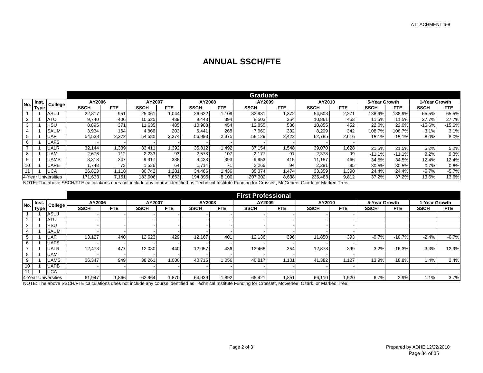### **ANNUAL SSCH/FTE**

|     |             |                     |             |            |             |            |             |            | <b>Graduate</b> |            |             |            |               |            |               |          |
|-----|-------------|---------------------|-------------|------------|-------------|------------|-------------|------------|-----------------|------------|-------------|------------|---------------|------------|---------------|----------|
| No. | Inst.       | College             | AY2006      |            | AY2007      |            | AY2008      |            | AY2009          |            | AY2010      |            | 5-Year Growth |            | 1-Year Growth |          |
|     | <b>Type</b> |                     | <b>SSCH</b> | <b>FTE</b> | <b>SSCH</b> | <b>FTE</b> | <b>SSCH</b> | <b>FTE</b> | <b>SSCH</b>     | <b>FTE</b> | <b>SSCH</b> | <b>FTE</b> | SSCH          | <b>FTE</b> | <b>SSCH</b>   | FTE      |
|     |             | ASUJ                | 22,817      | 951        | 25,061      | 1,044      | 26,622      | 1,109      | 32,931          | 1,372      | 54,503      | 2,27'      | 138.9%        | 138.9%     | 65.5%         | 65.5%    |
| 2   |             | <b>ATU</b>          | 9.740       | 406        | 10.525      | 439        | 9.443       | 394        | 8.503           | 354        | 10.861      | 453        | <b>11.5%</b>  | 11.5%      | 27.7%         | 27.7%    |
| 3   |             | <b>HSU</b>          | 8.895       | 371        | 11.635      | 485        | 10,903      | 454        | 12,855          | 536        | 10,855      | 452        | 22.0%         | 22.0%      | $-15.6%$      | $-15.6%$ |
|     |             | <b>SAUM</b>         | 3.934       | 164        | 4,866       | 203        | 6.441       | 268        | 7,960           | 332        | 8,209       | 342        | 108.7%        | 108.7%     | 3.1%          | 3.1%     |
|     |             | <b>UAF</b>          | 54,538      | 2,272      | 54.580      | 2,274      | 56.993      | 2,375      | 58.129          | 2,422      | 62.785      | 2.616      | 15.1%         | 15.1%      | 8.0%          | 8.0%     |
| 6   |             | UAFS                |             |            |             |            |             |            |                 |            |             |            |               |            |               |          |
|     |             | <b>UALR</b>         | 32.144      | 1,339      | 33,411      | .392       | 35,812      | ا 492.،    | 37,154          | 548. ا     | 39,070      | 1,628      | 21.5%         | 21.5%      | 5.2%          | 5.2%     |
| 8   |             | UAM                 | 2,676       | 112        | 2.233       | 93         | 2,578       | 107        | 2.177           | 91         | 2,378       | 99         | $-11.1%$      | $-11.1%$   | 9.2%          | 9.3%     |
| 9   |             | <b>UAMS</b>         | 8,318       | 347        | 9.317       | 388        | 9.423       | 393        | 9,953           | 415        | 11.187      | 466        | 34.5%         | 34.5%      | 12.4%         | 12.4%    |
| 10  |             | JAPB                | .748        | 73         | 1,536       | 64         | 1.714       | 71         | 2,266           | 94         | 2,281       | 95         | 30.5%         | 30.5%      | 0.7%          | 0.6%     |
|     |             | UCA                 | 26,823      | .118       | 30.742      | 1.281      | 34.466      | 1,436      | 35,374          | A74,       | 33,359      | 1,390      | 24.4%         | 24.4%      | $-5.7%$       | $-5.7\%$ |
|     |             | 4-Year Universities | 171,633     | 7,151      | 183.906     | 7,663      | 194.395     | 8,100      | 207,302         | 8,638      | 235,488     | 9,812      | 37.2%         | 37.2%      | 13.6%         | 13.6%    |

NOTE: The above SSCH/FTE calculations does not include any course identified as Technical Institute Funding for Crossett, McGehee, Ozark, or Marked Tree.

|                |       |                     |             |            |             |            |             |       | <b>First Professional</b> |       |             |       |               |            |               |         |
|----------------|-------|---------------------|-------------|------------|-------------|------------|-------------|-------|---------------------------|-------|-------------|-------|---------------|------------|---------------|---------|
| No.            | lnst. | College             | AY2006      |            | AY2007      |            | AY2008      |       | AY2009                    |       | AY2010      |       | 5-Year Growth |            | 1-Year Growth |         |
|                | Type  |                     | <b>SSCH</b> | <b>FTE</b> | <b>SSCH</b> | <b>FTE</b> | <b>SSCH</b> | FTE   | <b>SSCH</b>               | FTE   | <b>SSCH</b> | FTE   | <b>SSCH</b>   | <b>FTE</b> | <b>SSCH</b>   | FTE     |
|                |       | ASUJ                |             |            |             |            |             |       |                           |       |             |       |               |            |               |         |
| 2              |       | <b>ATU</b>          |             |            |             |            |             |       |                           |       |             |       |               |            |               |         |
| 3              |       | HSU                 |             |            |             |            |             |       |                           |       |             |       |               |            |               |         |
| 4              |       | <b>SAUM</b>         |             |            |             |            |             |       |                           |       |             |       |               |            |               |         |
| 5              |       | UAF                 | 13,127      | 440        | 12,623      | 429        | 12.167      | 401   | 12,136                    | 396   | 11,850      | 393   | $-9.7%$       | $-10.7%$   | $-2.4%$       | $-0.7%$ |
| 6              |       | <b>UAFS</b>         |             |            |             |            |             |       |                           |       |             |       |               |            |               |         |
| $\overline{ }$ |       | UALR                | 12.473      | 477        | 12,080      | 440        | 12,057      | 436   | 12,468                    | 354   | 12,878      | 399   | 3.2%          | $-16.3%$   | 3.3%          | 12.9%   |
| 8              |       | UAM                 |             |            |             |            |             |       |                           |       |             |       |               |            |               |         |
| 9              |       | UAMS                | 36,347      | 949        | 38.261      | 1,000      | 40,715      | 1,056 | 40,817                    | 1,101 | 41,382      | 1,127 | 13.9%         | 18.8%      | 1.4%          | 2.4%    |
| 10             |       | UAPB                |             |            |             |            |             |       |                           |       |             |       |               |            |               |         |
| 11             |       | <b>UCA</b>          |             |            |             |            |             |       |                           |       |             |       |               |            |               |         |
|                |       | 4-Year Universities | 61,947      | 866.1      | 62,964      | .870       | 64,939      | 1,892 | 65,421                    | 1,851 | 66,110      | 1,920 | 6.7%          | 2.9%       | 1.1%          | 3.7%    |